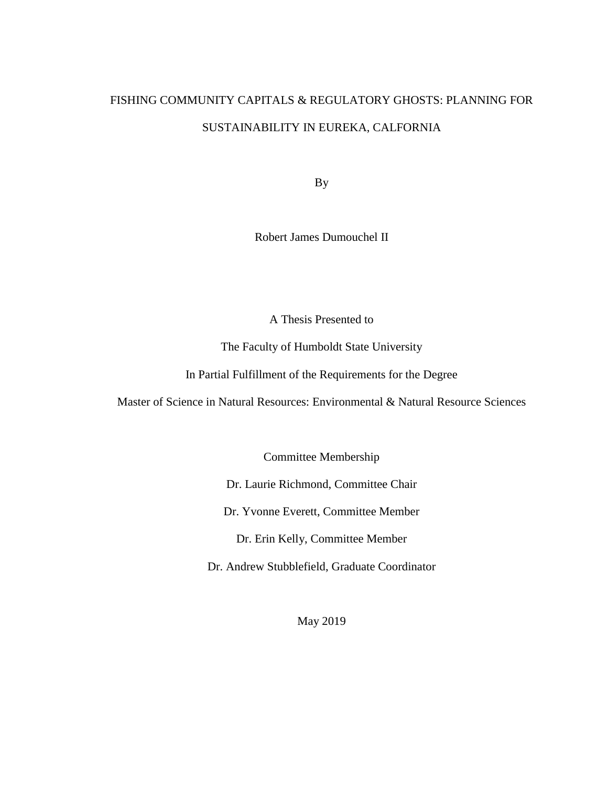# FISHING COMMUNITY CAPITALS & REGULATORY GHOSTS: PLANNING FOR SUSTAINABILITY IN EUREKA, CALFORNIA

By

Robert James Dumouchel II

A Thesis Presented to

The Faculty of Humboldt State University

In Partial Fulfillment of the Requirements for the Degree

Master of Science in Natural Resources: Environmental & Natural Resource Sciences

Committee Membership

Dr. Laurie Richmond, Committee Chair

Dr. Yvonne Everett, Committee Member

Dr. Erin Kelly, Committee Member

Dr. Andrew Stubblefield, Graduate Coordinator

May 2019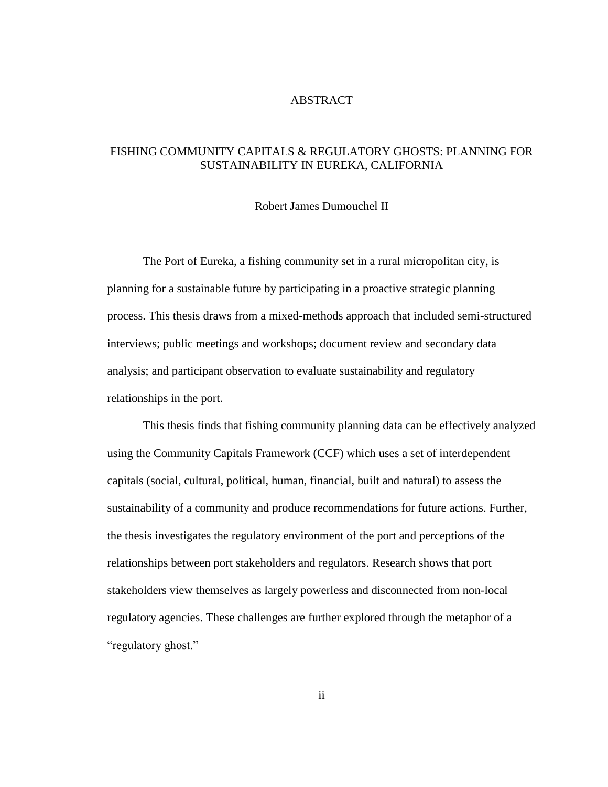# ABSTRACT

# <span id="page-1-0"></span>FISHING COMMUNITY CAPITALS & REGULATORY GHOSTS: PLANNING FOR SUSTAINABILITY IN EUREKA, CALIFORNIA

#### Robert James Dumouchel II

The Port of Eureka, a fishing community set in a rural micropolitan city, is planning for a sustainable future by participating in a proactive strategic planning process. This thesis draws from a mixed-methods approach that included semi-structured interviews; public meetings and workshops; document review and secondary data analysis; and participant observation to evaluate sustainability and regulatory relationships in the port.

This thesis finds that fishing community planning data can be effectively analyzed using the Community Capitals Framework (CCF) which uses a set of interdependent capitals (social, cultural, political, human, financial, built and natural) to assess the sustainability of a community and produce recommendations for future actions. Further, the thesis investigates the regulatory environment of the port and perceptions of the relationships between port stakeholders and regulators. Research shows that port stakeholders view themselves as largely powerless and disconnected from non-local regulatory agencies. These challenges are further explored through the metaphor of a "regulatory ghost."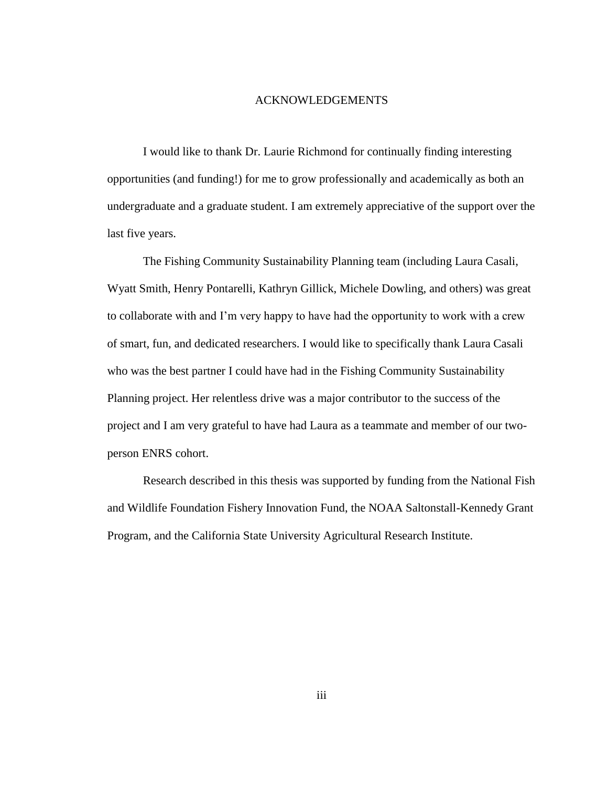#### ACKNOWLEDGEMENTS

<span id="page-2-0"></span>I would like to thank Dr. Laurie Richmond for continually finding interesting opportunities (and funding!) for me to grow professionally and academically as both an undergraduate and a graduate student. I am extremely appreciative of the support over the last five years.

The Fishing Community Sustainability Planning team (including Laura Casali, Wyatt Smith, Henry Pontarelli, Kathryn Gillick, Michele Dowling, and others) was great to collaborate with and I'm very happy to have had the opportunity to work with a crew of smart, fun, and dedicated researchers. I would like to specifically thank Laura Casali who was the best partner I could have had in the Fishing Community Sustainability Planning project. Her relentless drive was a major contributor to the success of the project and I am very grateful to have had Laura as a teammate and member of our twoperson ENRS cohort.

Research described in this thesis was supported by funding from the National Fish and Wildlife Foundation Fishery Innovation Fund, the NOAA Saltonstall-Kennedy Grant Program, and the California State University Agricultural Research Institute.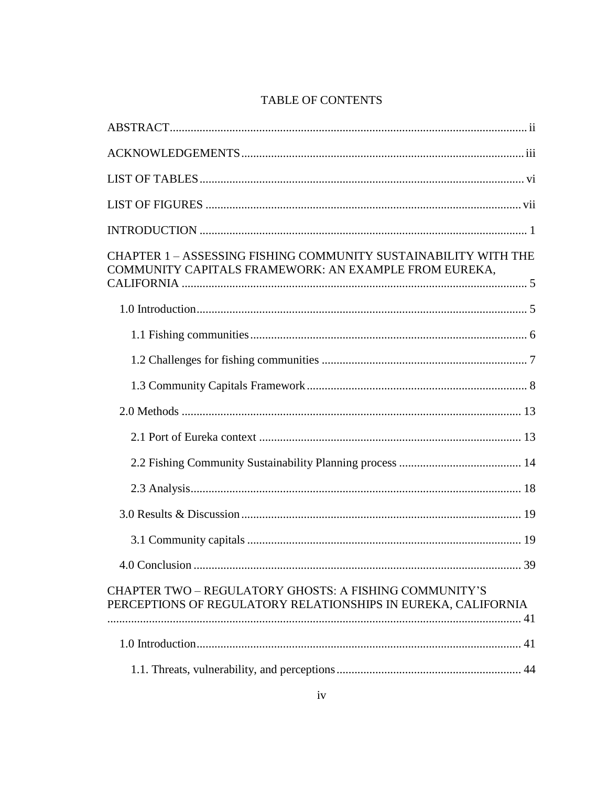# TABLE OF CONTENTS

| CHAPTER 1 - ASSESSING FISHING COMMUNITY SUSTAINABILITY WITH THE<br>COMMUNITY CAPITALS FRAMEWORK: AN EXAMPLE FROM EUREKA, |    |
|--------------------------------------------------------------------------------------------------------------------------|----|
|                                                                                                                          |    |
|                                                                                                                          |    |
|                                                                                                                          |    |
|                                                                                                                          |    |
|                                                                                                                          |    |
|                                                                                                                          |    |
|                                                                                                                          |    |
|                                                                                                                          |    |
|                                                                                                                          |    |
|                                                                                                                          |    |
|                                                                                                                          | 39 |
| CHAPTER TWO - REGULATORY GHOSTS: A FISHING COMMUNITY'S<br>PERCEPTIONS OF REGULATORY RELATIONSHIPS IN EUREKA, CALIFORNIA  |    |
|                                                                                                                          |    |
|                                                                                                                          |    |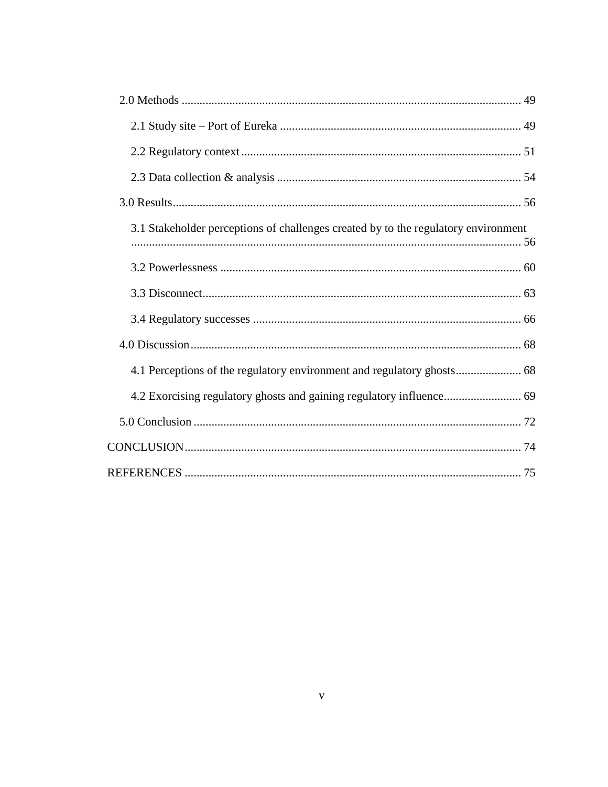| 3.1 Stakeholder perceptions of challenges created by to the regulatory environment |
|------------------------------------------------------------------------------------|
|                                                                                    |
|                                                                                    |
|                                                                                    |
|                                                                                    |
|                                                                                    |
|                                                                                    |
|                                                                                    |
|                                                                                    |
|                                                                                    |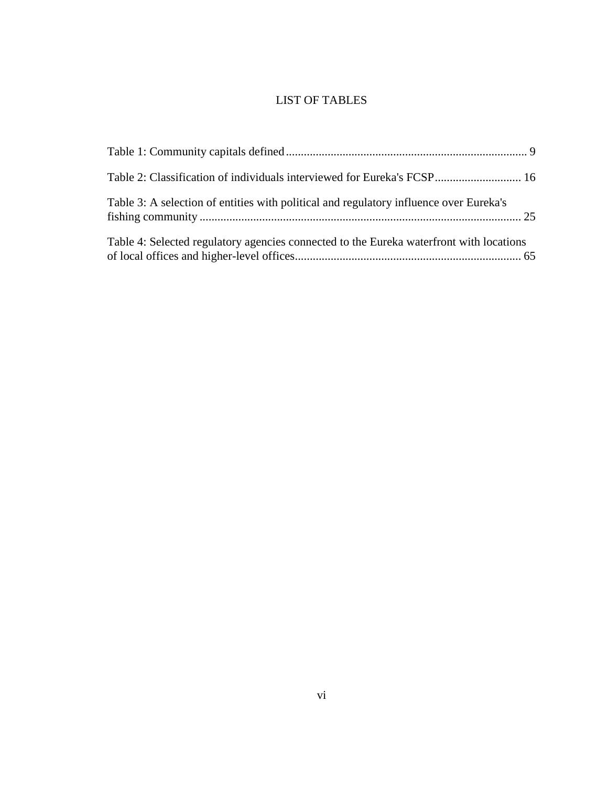# LIST OF TABLES

<span id="page-5-0"></span>

| Table 2: Classification of individuals interviewed for Eureka's FCSP 16                 |  |
|-----------------------------------------------------------------------------------------|--|
| Table 3: A selection of entities with political and regulatory influence over Eureka's  |  |
| Table 4: Selected regulatory agencies connected to the Eureka waterfront with locations |  |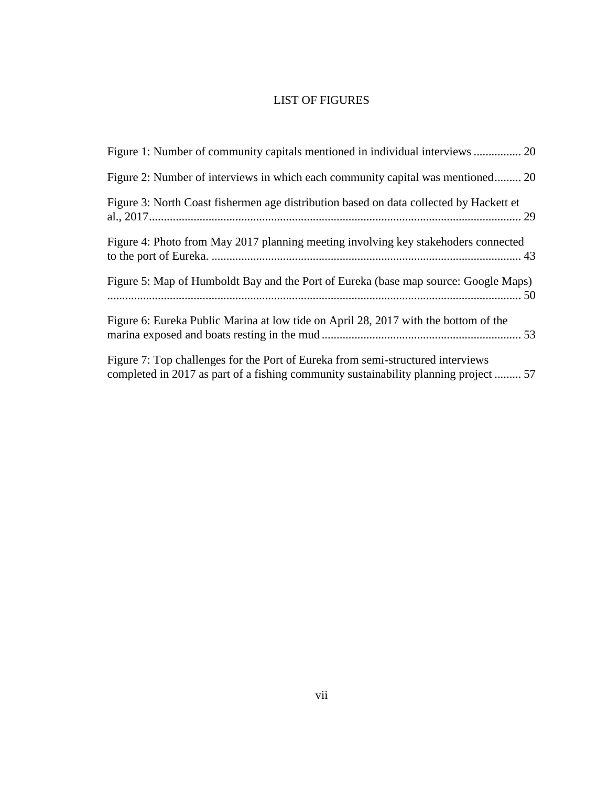# LIST OF FIGURES

<span id="page-6-0"></span>

| Figure 2: Number of interviews in which each community capital was mentioned 20                                                                                         |
|-------------------------------------------------------------------------------------------------------------------------------------------------------------------------|
| Figure 3: North Coast fishermen age distribution based on data collected by Hackett et                                                                                  |
| Figure 4: Photo from May 2017 planning meeting involving key stakehoders connected                                                                                      |
| Figure 5: Map of Humboldt Bay and the Port of Eureka (base map source: Google Maps)                                                                                     |
| Figure 6: Eureka Public Marina at low tide on April 28, 2017 with the bottom of the                                                                                     |
| Figure 7: Top challenges for the Port of Eureka from semi-structured interviews<br>completed in 2017 as part of a fishing community sustainability planning project  57 |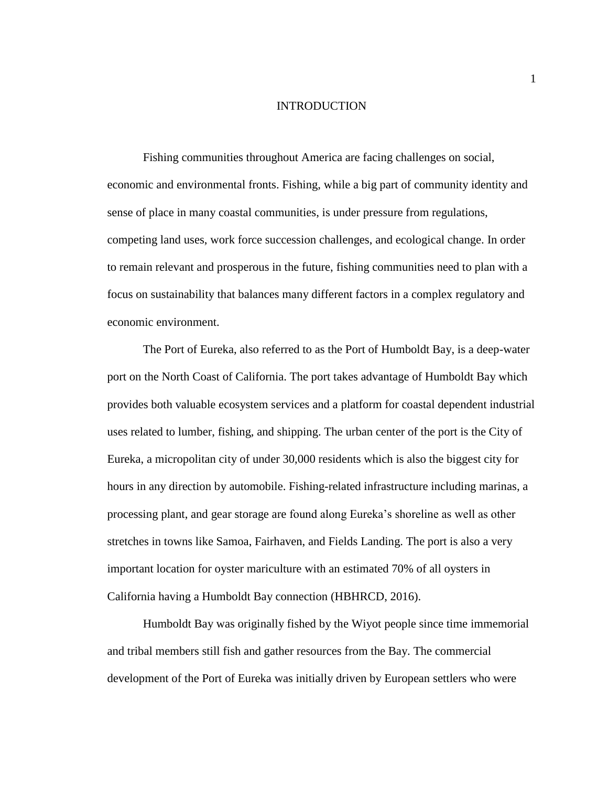## INTRODUCTION

<span id="page-7-0"></span>Fishing communities throughout America are facing challenges on social, economic and environmental fronts. Fishing, while a big part of community identity and sense of place in many coastal communities, is under pressure from regulations, competing land uses, work force succession challenges, and ecological change. In order to remain relevant and prosperous in the future, fishing communities need to plan with a focus on sustainability that balances many different factors in a complex regulatory and economic environment.

The Port of Eureka, also referred to as the Port of Humboldt Bay, is a deep-water port on the North Coast of California. The port takes advantage of Humboldt Bay which provides both valuable ecosystem services and a platform for coastal dependent industrial uses related to lumber, fishing, and shipping. The urban center of the port is the City of Eureka, a micropolitan city of under 30,000 residents which is also the biggest city for hours in any direction by automobile. Fishing-related infrastructure including marinas, a processing plant, and gear storage are found along Eureka's shoreline as well as other stretches in towns like Samoa, Fairhaven, and Fields Landing. The port is also a very important location for oyster mariculture with an estimated 70% of all oysters in California having a Humboldt Bay connection (HBHRCD, 2016).

Humboldt Bay was originally fished by the Wiyot people since time immemorial and tribal members still fish and gather resources from the Bay. The commercial development of the Port of Eureka was initially driven by European settlers who were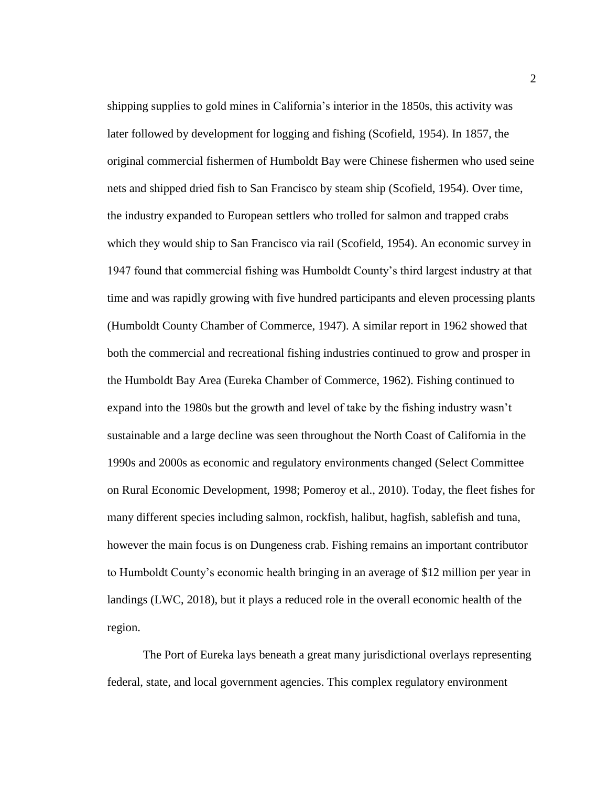shipping supplies to gold mines in California's interior in the 1850s, this activity was later followed by development for logging and fishing (Scofield, 1954). In 1857, the original commercial fishermen of Humboldt Bay were Chinese fishermen who used seine nets and shipped dried fish to San Francisco by steam ship (Scofield, 1954). Over time, the industry expanded to European settlers who trolled for salmon and trapped crabs which they would ship to San Francisco via rail (Scofield, 1954). An economic survey in 1947 found that commercial fishing was Humboldt County's third largest industry at that time and was rapidly growing with five hundred participants and eleven processing plants (Humboldt County Chamber of Commerce, 1947). A similar report in 1962 showed that both the commercial and recreational fishing industries continued to grow and prosper in the Humboldt Bay Area (Eureka Chamber of Commerce, 1962). Fishing continued to expand into the 1980s but the growth and level of take by the fishing industry wasn't sustainable and a large decline was seen throughout the North Coast of California in the 1990s and 2000s as economic and regulatory environments changed (Select Committee on Rural Economic Development, 1998; Pomeroy et al., 2010). Today, the fleet fishes for many different species including salmon, rockfish, halibut, hagfish, sablefish and tuna, however the main focus is on Dungeness crab. Fishing remains an important contributor to Humboldt County's economic health bringing in an average of \$12 million per year in landings (LWC, 2018), but it plays a reduced role in the overall economic health of the region.

The Port of Eureka lays beneath a great many jurisdictional overlays representing federal, state, and local government agencies. This complex regulatory environment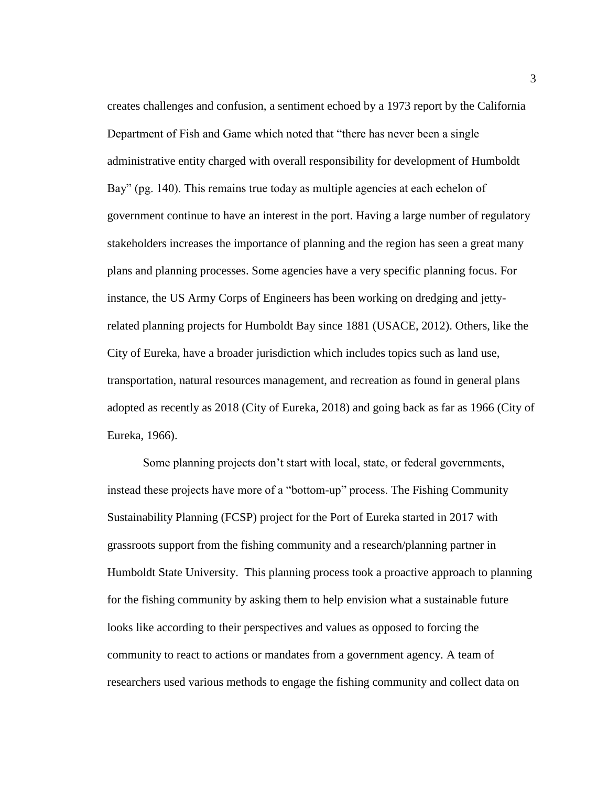creates challenges and confusion, a sentiment echoed by a 1973 report by the California Department of Fish and Game which noted that "there has never been a single administrative entity charged with overall responsibility for development of Humboldt Bay" (pg. 140). This remains true today as multiple agencies at each echelon of government continue to have an interest in the port. Having a large number of regulatory stakeholders increases the importance of planning and the region has seen a great many plans and planning processes. Some agencies have a very specific planning focus. For instance, the US Army Corps of Engineers has been working on dredging and jettyrelated planning projects for Humboldt Bay since 1881 (USACE, 2012). Others, like the City of Eureka, have a broader jurisdiction which includes topics such as land use, transportation, natural resources management, and recreation as found in general plans adopted as recently as 2018 (City of Eureka, 2018) and going back as far as 1966 (City of Eureka, 1966).

Some planning projects don't start with local, state, or federal governments, instead these projects have more of a "bottom-up" process. The Fishing Community Sustainability Planning (FCSP) project for the Port of Eureka started in 2017 with grassroots support from the fishing community and a research/planning partner in Humboldt State University. This planning process took a proactive approach to planning for the fishing community by asking them to help envision what a sustainable future looks like according to their perspectives and values as opposed to forcing the community to react to actions or mandates from a government agency. A team of researchers used various methods to engage the fishing community and collect data on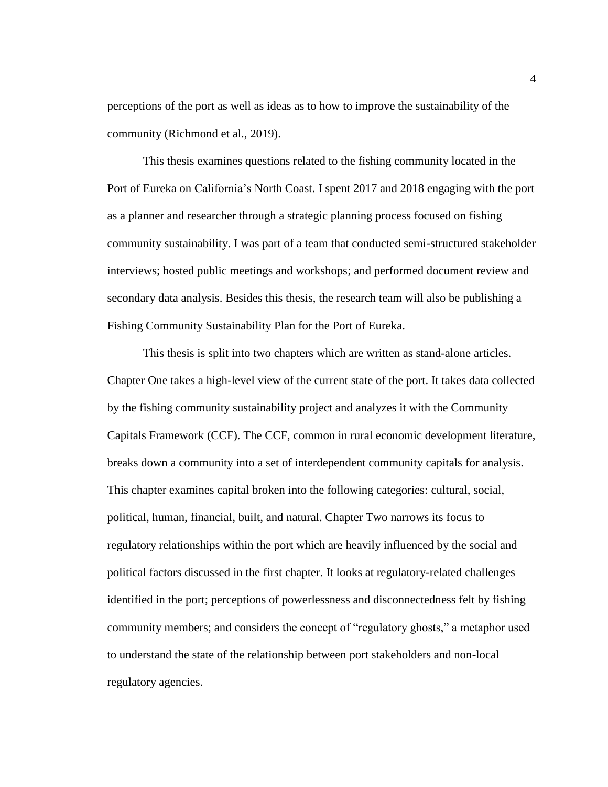perceptions of the port as well as ideas as to how to improve the sustainability of the community (Richmond et al., 2019).

This thesis examines questions related to the fishing community located in the Port of Eureka on California's North Coast. I spent 2017 and 2018 engaging with the port as a planner and researcher through a strategic planning process focused on fishing community sustainability. I was part of a team that conducted semi-structured stakeholder interviews; hosted public meetings and workshops; and performed document review and secondary data analysis. Besides this thesis, the research team will also be publishing a Fishing Community Sustainability Plan for the Port of Eureka.

This thesis is split into two chapters which are written as stand-alone articles. Chapter One takes a high-level view of the current state of the port. It takes data collected by the fishing community sustainability project and analyzes it with the Community Capitals Framework (CCF). The CCF, common in rural economic development literature, breaks down a community into a set of interdependent community capitals for analysis. This chapter examines capital broken into the following categories: cultural, social, political, human, financial, built, and natural. Chapter Two narrows its focus to regulatory relationships within the port which are heavily influenced by the social and political factors discussed in the first chapter. It looks at regulatory-related challenges identified in the port; perceptions of powerlessness and disconnectedness felt by fishing community members; and considers the concept of "regulatory ghosts," a metaphor used to understand the state of the relationship between port stakeholders and non-local regulatory agencies.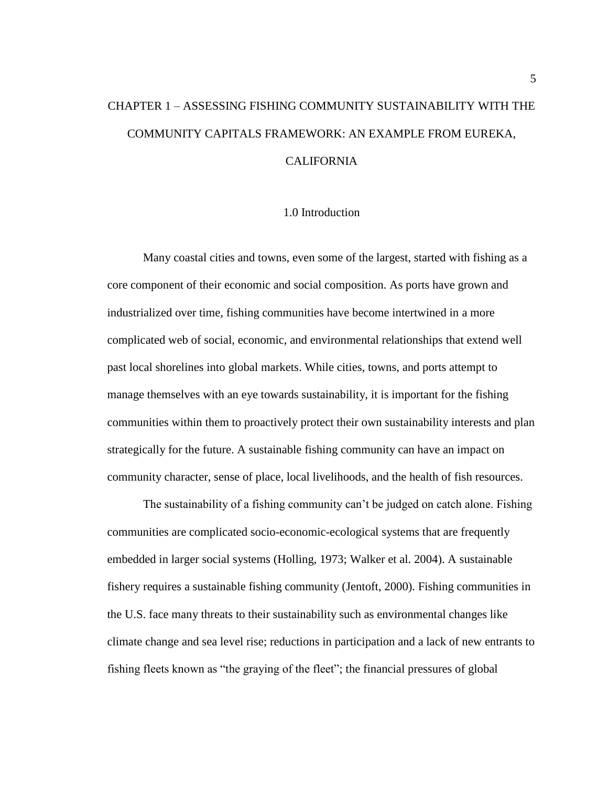# <span id="page-11-0"></span>CHAPTER 1 – ASSESSING FISHING COMMUNITY SUSTAINABILITY WITH THE COMMUNITY CAPITALS FRAMEWORK: AN EXAMPLE FROM EUREKA, CALIFORNIA

# 1.0 Introduction

<span id="page-11-1"></span>Many coastal cities and towns, even some of the largest, started with fishing as a core component of their economic and social composition. As ports have grown and industrialized over time, fishing communities have become intertwined in a more complicated web of social, economic, and environmental relationships that extend well past local shorelines into global markets. While cities, towns, and ports attempt to manage themselves with an eye towards sustainability, it is important for the fishing communities within them to proactively protect their own sustainability interests and plan strategically for the future. A sustainable fishing community can have an impact on community character, sense of place, local livelihoods, and the health of fish resources.

The sustainability of a fishing community can't be judged on catch alone. Fishing communities are complicated socio-economic-ecological systems that are frequently embedded in larger social systems (Holling, 1973; Walker et al. 2004). A sustainable fishery requires a sustainable fishing community (Jentoft, 2000). Fishing communities in the U.S. face many threats to their sustainability such as environmental changes like climate change and sea level rise; reductions in participation and a lack of new entrants to fishing fleets known as "the graying of the fleet"; the financial pressures of global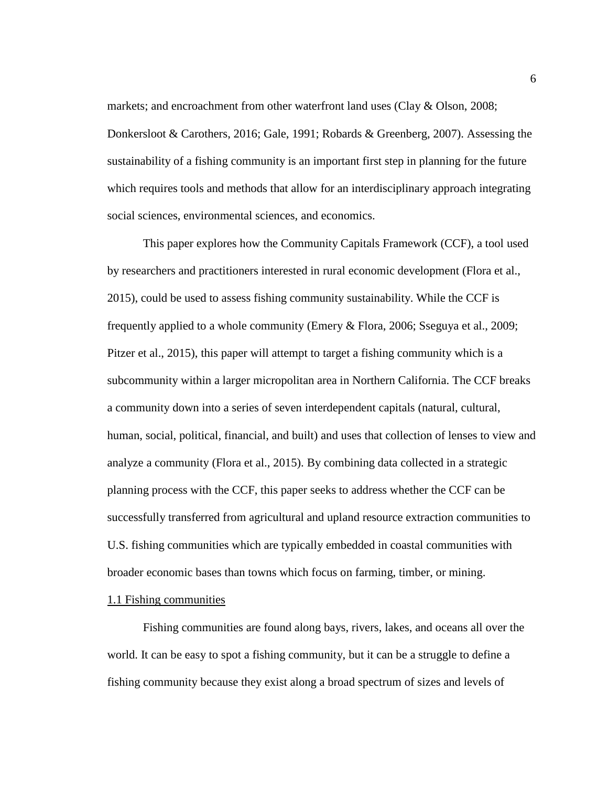markets; and encroachment from other waterfront land uses (Clay & Olson, 2008; Donkersloot & Carothers, 2016; Gale, 1991; Robards & Greenberg, 2007). Assessing the sustainability of a fishing community is an important first step in planning for the future which requires tools and methods that allow for an interdisciplinary approach integrating social sciences, environmental sciences, and economics.

This paper explores how the Community Capitals Framework (CCF), a tool used by researchers and practitioners interested in rural economic development (Flora et al., 2015), could be used to assess fishing community sustainability. While the CCF is frequently applied to a whole community (Emery & Flora, 2006; Sseguya et al., 2009; Pitzer et al., 2015), this paper will attempt to target a fishing community which is a subcommunity within a larger micropolitan area in Northern California. The CCF breaks a community down into a series of seven interdependent capitals (natural, cultural, human, social, political, financial, and built) and uses that collection of lenses to view and analyze a community (Flora et al., 2015). By combining data collected in a strategic planning process with the CCF, this paper seeks to address whether the CCF can be successfully transferred from agricultural and upland resource extraction communities to U.S. fishing communities which are typically embedded in coastal communities with broader economic bases than towns which focus on farming, timber, or mining.

#### <span id="page-12-0"></span>1.1 Fishing communities

Fishing communities are found along bays, rivers, lakes, and oceans all over the world. It can be easy to spot a fishing community, but it can be a struggle to define a fishing community because they exist along a broad spectrum of sizes and levels of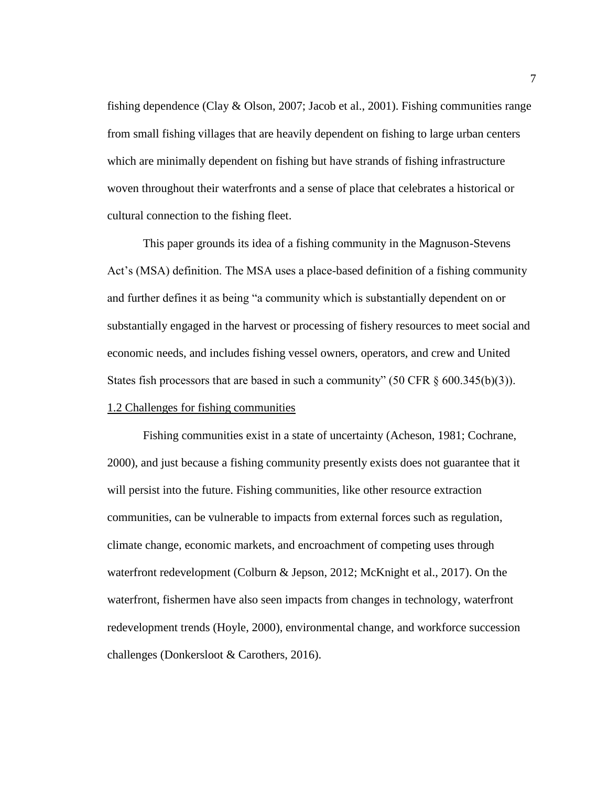fishing dependence (Clay & Olson, 2007; Jacob et al., 2001). Fishing communities range from small fishing villages that are heavily dependent on fishing to large urban centers which are minimally dependent on fishing but have strands of fishing infrastructure woven throughout their waterfronts and a sense of place that celebrates a historical or cultural connection to the fishing fleet.

This paper grounds its idea of a fishing community in the Magnuson-Stevens Act's (MSA) definition. The MSA uses a place-based definition of a fishing community and further defines it as being "a community which is substantially dependent on or substantially engaged in the harvest or processing of fishery resources to meet social and economic needs, and includes fishing vessel owners, operators, and crew and United States fish processors that are based in such a community" (50 CFR  $\S$  600.345(b)(3)). 1.2 Challenges for fishing communities

<span id="page-13-0"></span>Fishing communities exist in a state of uncertainty (Acheson, 1981; Cochrane, 2000), and just because a fishing community presently exists does not guarantee that it will persist into the future. Fishing communities, like other resource extraction communities, can be vulnerable to impacts from external forces such as regulation, climate change, economic markets, and encroachment of competing uses through waterfront redevelopment (Colburn & Jepson, 2012; McKnight et al., 2017). On the waterfront, fishermen have also seen impacts from changes in technology, waterfront redevelopment trends (Hoyle, 2000), environmental change, and workforce succession challenges (Donkersloot & Carothers, 2016).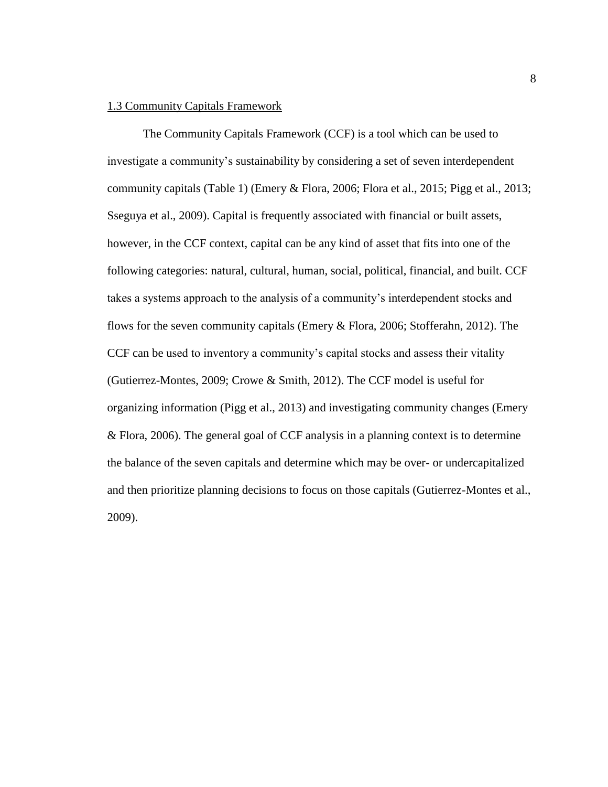## <span id="page-14-0"></span>1.3 Community Capitals Framework

The Community Capitals Framework (CCF) is a tool which can be used to investigate a community's sustainability by considering a set of seven interdependent community capitals [\(Table 1\)](#page-15-0) (Emery & Flora, 2006; Flora et al., 2015; Pigg et al., 2013; Sseguya et al., 2009). Capital is frequently associated with financial or built assets, however, in the CCF context, capital can be any kind of asset that fits into one of the following categories: natural, cultural, human, social, political, financial, and built. CCF takes a systems approach to the analysis of a community's interdependent stocks and flows for the seven community capitals (Emery & Flora, 2006; Stofferahn, 2012). The CCF can be used to inventory a community's capital stocks and assess their vitality (Gutierrez-Montes, 2009; Crowe & Smith, 2012). The CCF model is useful for organizing information (Pigg et al., 2013) and investigating community changes (Emery & Flora, 2006). The general goal of CCF analysis in a planning context is to determine the balance of the seven capitals and determine which may be over- or undercapitalized and then prioritize planning decisions to focus on those capitals (Gutierrez-Montes et al., 2009).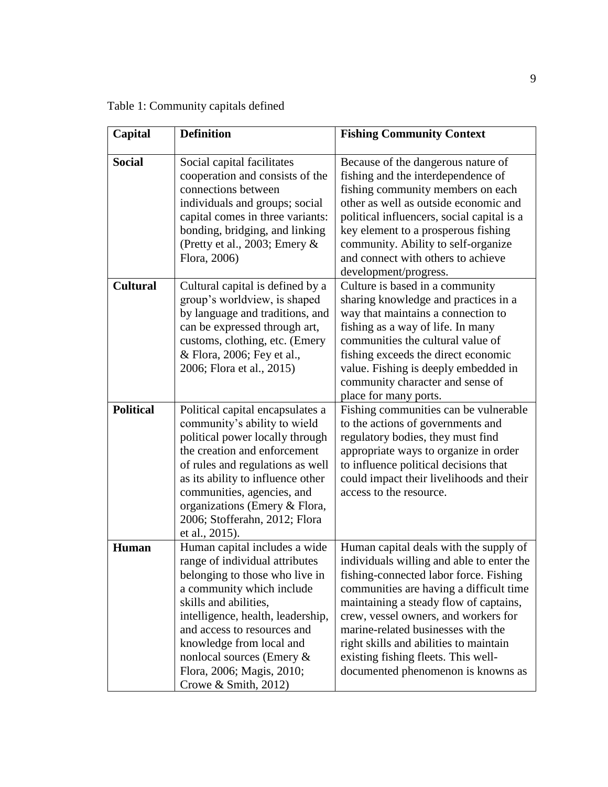<span id="page-15-0"></span>Table 1: Community capitals defined

| Capital          | <b>Definition</b>                                                                                                                                                                                                                                                                                                                           | <b>Fishing Community Context</b>                                                                                                                                                                                                                                                                                                                                                                                        |
|------------------|---------------------------------------------------------------------------------------------------------------------------------------------------------------------------------------------------------------------------------------------------------------------------------------------------------------------------------------------|-------------------------------------------------------------------------------------------------------------------------------------------------------------------------------------------------------------------------------------------------------------------------------------------------------------------------------------------------------------------------------------------------------------------------|
|                  |                                                                                                                                                                                                                                                                                                                                             |                                                                                                                                                                                                                                                                                                                                                                                                                         |
| <b>Social</b>    | Social capital facilitates<br>cooperation and consists of the<br>connections between<br>individuals and groups; social<br>capital comes in three variants:<br>bonding, bridging, and linking<br>(Pretty et al., 2003; Emery &<br>Flora, 2006)                                                                                               | Because of the dangerous nature of<br>fishing and the interdependence of<br>fishing community members on each<br>other as well as outside economic and<br>political influencers, social capital is a<br>key element to a prosperous fishing<br>community. Ability to self-organize<br>and connect with others to achieve<br>development/progress.                                                                       |
| <b>Cultural</b>  | Cultural capital is defined by a<br>group's worldview, is shaped<br>by language and traditions, and<br>can be expressed through art,<br>customs, clothing, etc. (Emery<br>& Flora, 2006; Fey et al.,<br>2006; Flora et al., 2015)                                                                                                           | Culture is based in a community<br>sharing knowledge and practices in a<br>way that maintains a connection to<br>fishing as a way of life. In many<br>communities the cultural value of<br>fishing exceeds the direct economic<br>value. Fishing is deeply embedded in<br>community character and sense of<br>place for many ports.                                                                                     |
| <b>Political</b> | Political capital encapsulates a<br>community's ability to wield<br>political power locally through<br>the creation and enforcement<br>of rules and regulations as well<br>as its ability to influence other<br>communities, agencies, and<br>organizations (Emery & Flora,<br>2006; Stofferahn, 2012; Flora<br>et al., 2015).              | Fishing communities can be vulnerable<br>to the actions of governments and<br>regulatory bodies, they must find<br>appropriate ways to organize in order<br>to influence political decisions that<br>could impact their livelihoods and their<br>access to the resource.                                                                                                                                                |
| <b>Human</b>     | Human capital includes a wide<br>range of individual attributes<br>belonging to those who live in<br>a community which include<br>skills and abilities,<br>intelligence, health, leadership,<br>and access to resources and<br>knowledge from local and<br>nonlocal sources (Emery &<br>Flora, 2006; Magis, 2010;<br>Crowe $& Smith, 2012)$ | Human capital deals with the supply of<br>individuals willing and able to enter the<br>fishing-connected labor force. Fishing<br>communities are having a difficult time<br>maintaining a steady flow of captains,<br>crew, vessel owners, and workers for<br>marine-related businesses with the<br>right skills and abilities to maintain<br>existing fishing fleets. This well-<br>documented phenomenon is knowns as |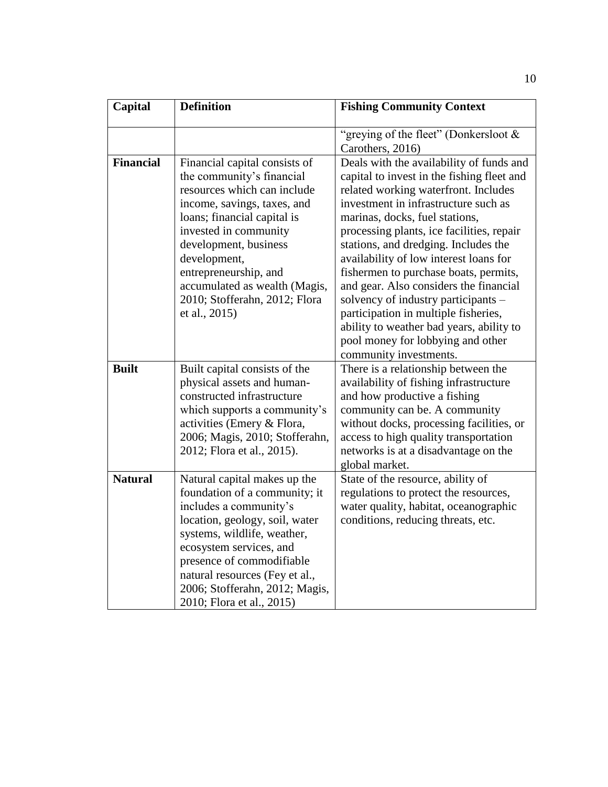| Capital          | <b>Definition</b>                                                                                                                                                                                                                                                                                                                     | <b>Fishing Community Context</b>                                                                                                                                                                                                                                                                                                                                                                                                                                                                                                                                                                                     |
|------------------|---------------------------------------------------------------------------------------------------------------------------------------------------------------------------------------------------------------------------------------------------------------------------------------------------------------------------------------|----------------------------------------------------------------------------------------------------------------------------------------------------------------------------------------------------------------------------------------------------------------------------------------------------------------------------------------------------------------------------------------------------------------------------------------------------------------------------------------------------------------------------------------------------------------------------------------------------------------------|
|                  |                                                                                                                                                                                                                                                                                                                                       | "greying of the fleet" (Donkersloot &<br>Carothers, 2016)                                                                                                                                                                                                                                                                                                                                                                                                                                                                                                                                                            |
| <b>Financial</b> | Financial capital consists of<br>the community's financial<br>resources which can include<br>income, savings, taxes, and<br>loans; financial capital is<br>invested in community<br>development, business<br>development,<br>entrepreneurship, and<br>accumulated as wealth (Magis,<br>2010; Stofferahn, 2012; Flora<br>et al., 2015) | Deals with the availability of funds and<br>capital to invest in the fishing fleet and<br>related working waterfront. Includes<br>investment in infrastructure such as<br>marinas, docks, fuel stations,<br>processing plants, ice facilities, repair<br>stations, and dredging. Includes the<br>availability of low interest loans for<br>fishermen to purchase boats, permits,<br>and gear. Also considers the financial<br>solvency of industry participants -<br>participation in multiple fisheries,<br>ability to weather bad years, ability to<br>pool money for lobbying and other<br>community investments. |
| <b>Built</b>     | Built capital consists of the<br>physical assets and human-<br>constructed infrastructure<br>which supports a community's<br>activities (Emery & Flora,<br>2006; Magis, 2010; Stofferahn,<br>2012; Flora et al., 2015).                                                                                                               | There is a relationship between the<br>availability of fishing infrastructure<br>and how productive a fishing<br>community can be. A community<br>without docks, processing facilities, or<br>access to high quality transportation<br>networks is at a disadvantage on the<br>global market.                                                                                                                                                                                                                                                                                                                        |
| <b>Natural</b>   | Natural capital makes up the<br>foundation of a community; it<br>includes a community's<br>location, geology, soil, water<br>systems, wildlife, weather,<br>ecosystem services, and<br>presence of commodifiable<br>natural resources (Fey et al.,<br>2006; Stofferahn, 2012; Magis,<br>2010; Flora et al., 2015)                     | State of the resource, ability of<br>regulations to protect the resources,<br>water quality, habitat, oceanographic<br>conditions, reducing threats, etc.                                                                                                                                                                                                                                                                                                                                                                                                                                                            |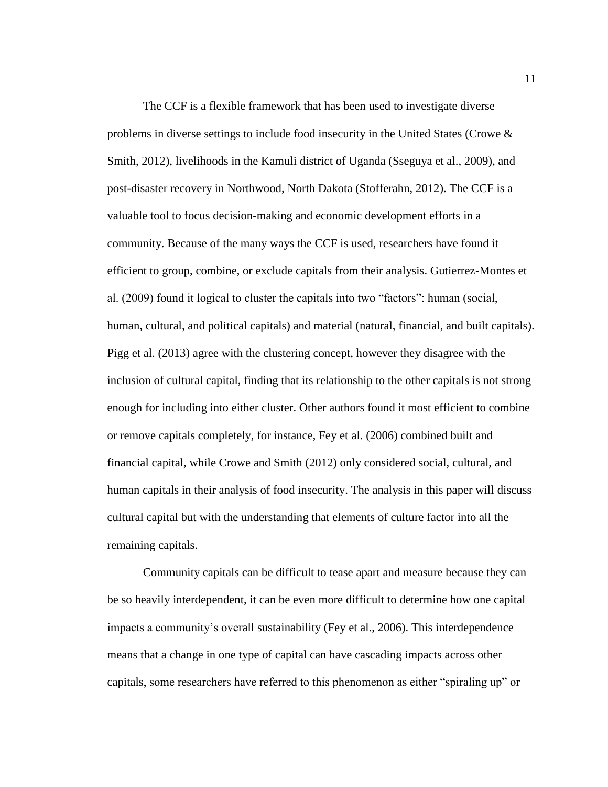The CCF is a flexible framework that has been used to investigate diverse problems in diverse settings to include food insecurity in the United States (Crowe & Smith, 2012), livelihoods in the Kamuli district of Uganda (Sseguya et al., 2009), and post-disaster recovery in Northwood, North Dakota (Stofferahn, 2012). The CCF is a valuable tool to focus decision-making and economic development efforts in a community. Because of the many ways the CCF is used, researchers have found it efficient to group, combine, or exclude capitals from their analysis. Gutierrez-Montes et al. (2009) found it logical to cluster the capitals into two "factors": human (social, human, cultural, and political capitals) and material (natural, financial, and built capitals). Pigg et al. (2013) agree with the clustering concept, however they disagree with the inclusion of cultural capital, finding that its relationship to the other capitals is not strong enough for including into either cluster. Other authors found it most efficient to combine or remove capitals completely, for instance, Fey et al. (2006) combined built and financial capital, while Crowe and Smith (2012) only considered social, cultural, and human capitals in their analysis of food insecurity. The analysis in this paper will discuss cultural capital but with the understanding that elements of culture factor into all the remaining capitals.

Community capitals can be difficult to tease apart and measure because they can be so heavily interdependent, it can be even more difficult to determine how one capital impacts a community's overall sustainability (Fey et al., 2006). This interdependence means that a change in one type of capital can have cascading impacts across other capitals, some researchers have referred to this phenomenon as either "spiraling up" or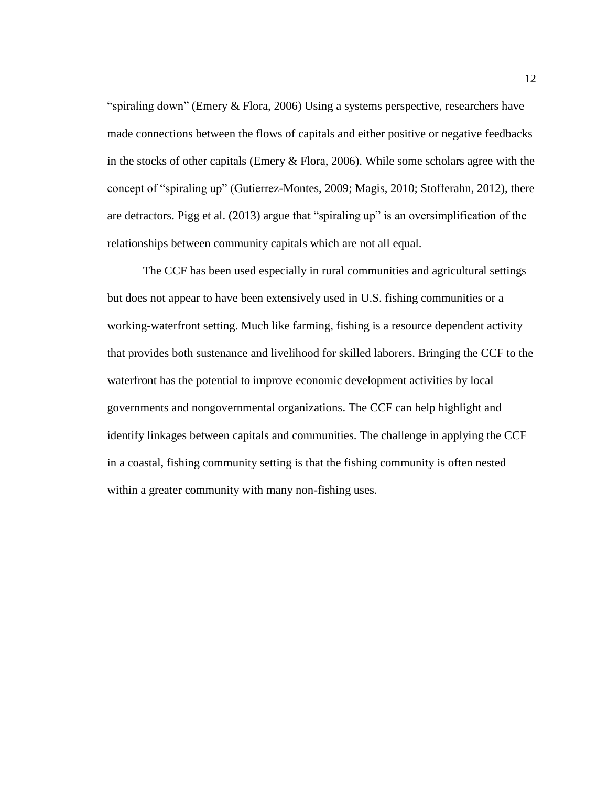"spiraling down" (Emery & Flora, 2006) Using a systems perspective, researchers have made connections between the flows of capitals and either positive or negative feedbacks in the stocks of other capitals (Emery & Flora, 2006). While some scholars agree with the concept of "spiraling up" (Gutierrez-Montes, 2009; Magis, 2010; Stofferahn, 2012), there are detractors. Pigg et al. (2013) argue that "spiraling up" is an oversimplification of the relationships between community capitals which are not all equal.

The CCF has been used especially in rural communities and agricultural settings but does not appear to have been extensively used in U.S. fishing communities or a working-waterfront setting. Much like farming, fishing is a resource dependent activity that provides both sustenance and livelihood for skilled laborers. Bringing the CCF to the waterfront has the potential to improve economic development activities by local governments and nongovernmental organizations. The CCF can help highlight and identify linkages between capitals and communities. The challenge in applying the CCF in a coastal, fishing community setting is that the fishing community is often nested within a greater community with many non-fishing uses.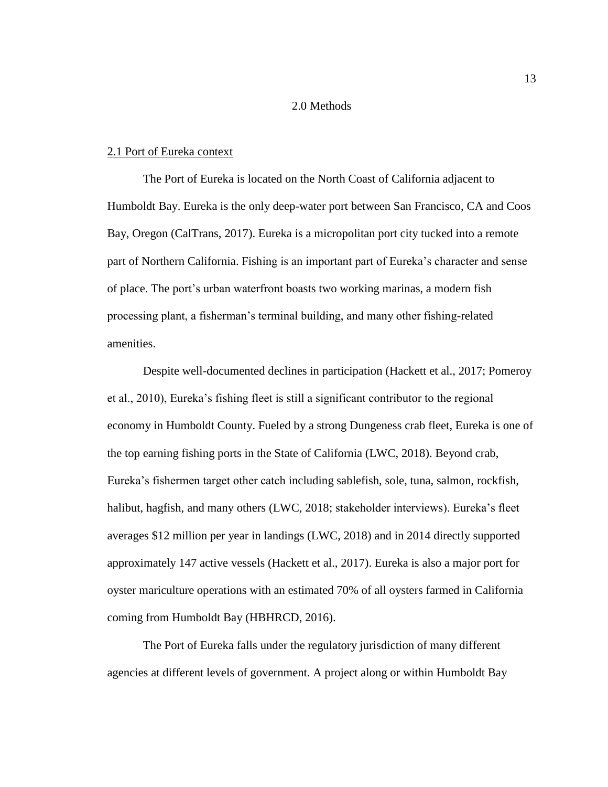# 2.0 Methods

#### <span id="page-19-1"></span><span id="page-19-0"></span>2.1 Port of Eureka context

The Port of Eureka is located on the North Coast of California adjacent to Humboldt Bay. Eureka is the only deep-water port between San Francisco, CA and Coos Bay, Oregon (CalTrans, 2017). Eureka is a micropolitan port city tucked into a remote part of Northern California. Fishing is an important part of Eureka's character and sense of place. The port's urban waterfront boasts two working marinas, a modern fish processing plant, a fisherman's terminal building, and many other fishing-related amenities.

Despite well-documented declines in participation (Hackett et al., 2017; Pomeroy et al., 2010), Eureka's fishing fleet is still a significant contributor to the regional economy in Humboldt County. Fueled by a strong Dungeness crab fleet, Eureka is one of the top earning fishing ports in the State of California (LWC, 2018). Beyond crab, Eureka's fishermen target other catch including sablefish, sole, tuna, salmon, rockfish, halibut, hagfish, and many others (LWC, 2018; stakeholder interviews). Eureka's fleet averages \$12 million per year in landings (LWC, 2018) and in 2014 directly supported approximately 147 active vessels (Hackett et al., 2017). Eureka is also a major port for oyster mariculture operations with an estimated 70% of all oysters farmed in California coming from Humboldt Bay (HBHRCD, 2016).

The Port of Eureka falls under the regulatory jurisdiction of many different agencies at different levels of government. A project along or within Humboldt Bay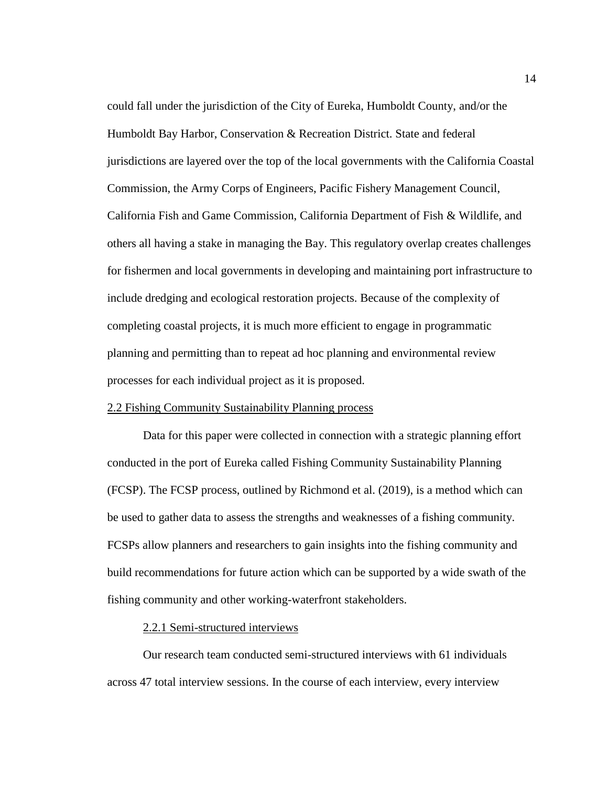could fall under the jurisdiction of the City of Eureka, Humboldt County, and/or the Humboldt Bay Harbor, Conservation & Recreation District. State and federal jurisdictions are layered over the top of the local governments with the California Coastal Commission, the Army Corps of Engineers, Pacific Fishery Management Council, California Fish and Game Commission, California Department of Fish & Wildlife, and others all having a stake in managing the Bay. This regulatory overlap creates challenges for fishermen and local governments in developing and maintaining port infrastructure to include dredging and ecological restoration projects. Because of the complexity of completing coastal projects, it is much more efficient to engage in programmatic planning and permitting than to repeat ad hoc planning and environmental review processes for each individual project as it is proposed.

# <span id="page-20-0"></span>2.2 Fishing Community Sustainability Planning process

Data for this paper were collected in connection with a strategic planning effort conducted in the port of Eureka called Fishing Community Sustainability Planning (FCSP). The FCSP process, outlined by Richmond et al. (2019), is a method which can be used to gather data to assess the strengths and weaknesses of a fishing community. FCSPs allow planners and researchers to gain insights into the fishing community and build recommendations for future action which can be supported by a wide swath of the fishing community and other working-waterfront stakeholders.

#### 2.2.1 Semi-structured interviews

Our research team conducted semi-structured interviews with 61 individuals across 47 total interview sessions. In the course of each interview, every interview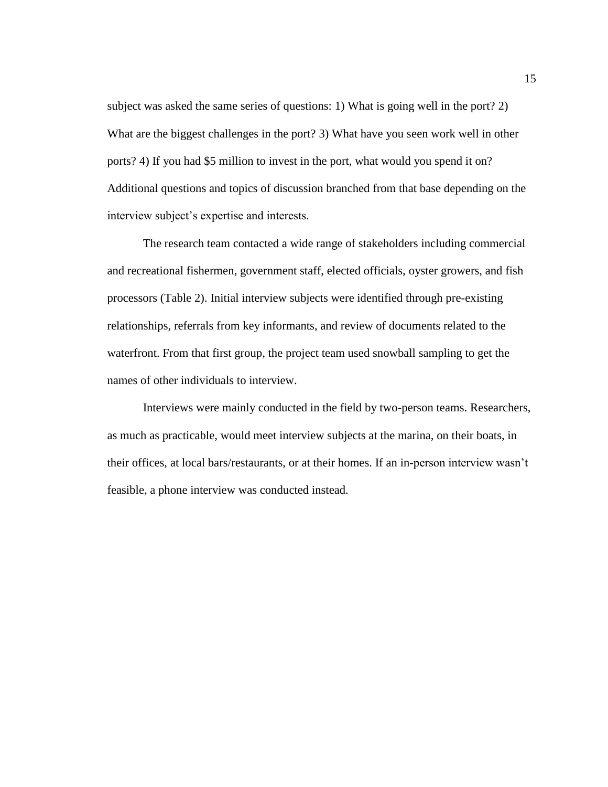subject was asked the same series of questions: 1) What is going well in the port? 2) What are the biggest challenges in the port? 3) What have you seen work well in other ports? 4) If you had \$5 million to invest in the port, what would you spend it on? Additional questions and topics of discussion branched from that base depending on the interview subject's expertise and interests.

The research team contacted a wide range of stakeholders including commercial and recreational fishermen, government staff, elected officials, oyster growers, and fish processors [\(Table 2\)](#page-22-0). Initial interview subjects were identified through pre-existing relationships, referrals from key informants, and review of documents related to the waterfront. From that first group, the project team used snowball sampling to get the names of other individuals to interview.

Interviews were mainly conducted in the field by two-person teams. Researchers, as much as practicable, would meet interview subjects at the marina, on their boats, in their offices, at local bars/restaurants, or at their homes. If an in-person interview wasn't feasible, a phone interview was conducted instead.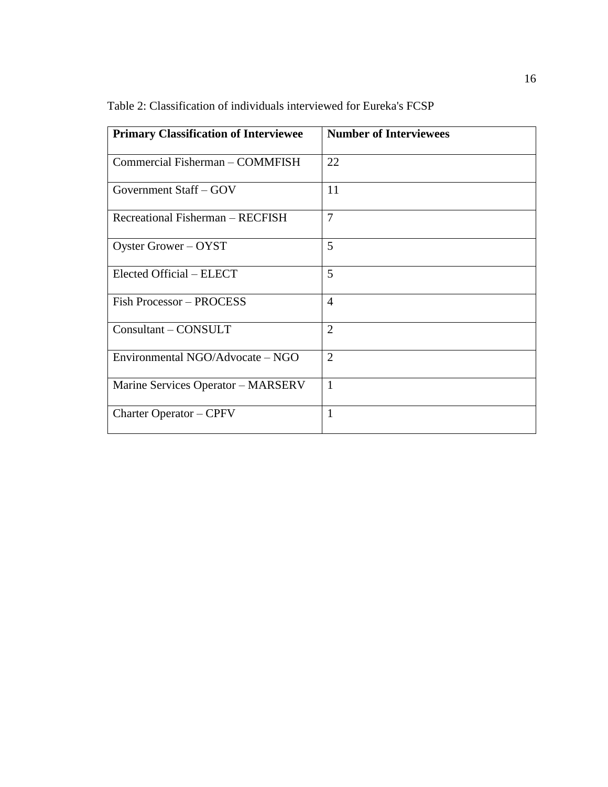| <b>Primary Classification of Interviewee</b> | <b>Number of Interviewees</b> |
|----------------------------------------------|-------------------------------|
| Commercial Fisherman - COMMFISH              | 22                            |
| Government Staff – GOV                       | 11                            |
| Recreational Fisherman – RECFISH             | $\overline{7}$                |
| Oyster Grower – OYST                         | 5                             |
| Elected Official – ELECT                     | 5                             |
| <b>Fish Processor - PROCESS</b>              | $\overline{4}$                |
| Consultant – CONSULT                         | $\overline{2}$                |
| Environmental NGO/Advocate – NGO             | $\overline{2}$                |
| Marine Services Operator – MARSERV           | 1                             |
| <b>Charter Operator – CPFV</b>               | 1                             |

<span id="page-22-0"></span>Table 2: Classification of individuals interviewed for Eureka's FCSP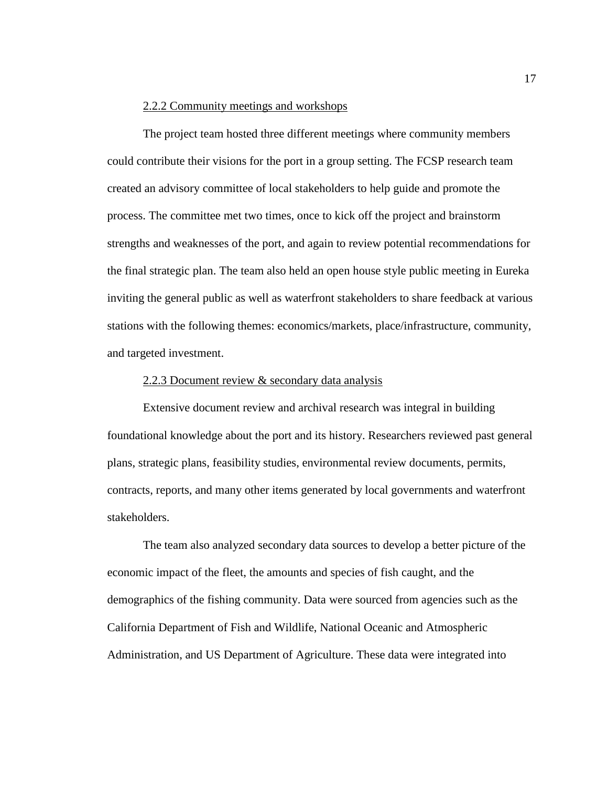#### 2.2.2 Community meetings and workshops

The project team hosted three different meetings where community members could contribute their visions for the port in a group setting. The FCSP research team created an advisory committee of local stakeholders to help guide and promote the process. The committee met two times, once to kick off the project and brainstorm strengths and weaknesses of the port, and again to review potential recommendations for the final strategic plan. The team also held an open house style public meeting in Eureka inviting the general public as well as waterfront stakeholders to share feedback at various stations with the following themes: economics/markets, place/infrastructure, community, and targeted investment.

#### 2.2.3 Document review & secondary data analysis

Extensive document review and archival research was integral in building foundational knowledge about the port and its history. Researchers reviewed past general plans, strategic plans, feasibility studies, environmental review documents, permits, contracts, reports, and many other items generated by local governments and waterfront stakeholders.

The team also analyzed secondary data sources to develop a better picture of the economic impact of the fleet, the amounts and species of fish caught, and the demographics of the fishing community. Data were sourced from agencies such as the California Department of Fish and Wildlife, National Oceanic and Atmospheric Administration, and US Department of Agriculture. These data were integrated into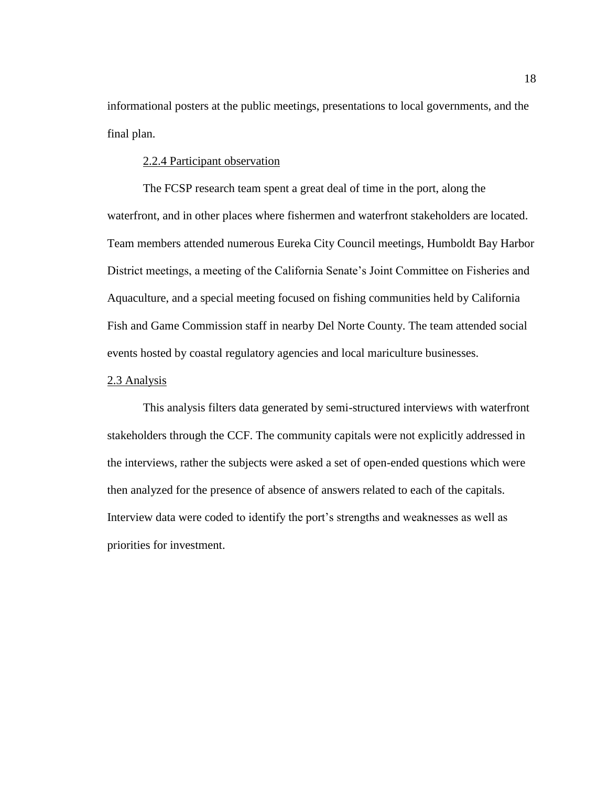informational posters at the public meetings, presentations to local governments, and the final plan.

# 2.2.4 Participant observation

The FCSP research team spent a great deal of time in the port, along the waterfront, and in other places where fishermen and waterfront stakeholders are located. Team members attended numerous Eureka City Council meetings, Humboldt Bay Harbor District meetings, a meeting of the California Senate's Joint Committee on Fisheries and Aquaculture, and a special meeting focused on fishing communities held by California Fish and Game Commission staff in nearby Del Norte County. The team attended social events hosted by coastal regulatory agencies and local mariculture businesses.

#### <span id="page-24-0"></span>2.3 Analysis

This analysis filters data generated by semi-structured interviews with waterfront stakeholders through the CCF. The community capitals were not explicitly addressed in the interviews, rather the subjects were asked a set of open-ended questions which were then analyzed for the presence of absence of answers related to each of the capitals. Interview data were coded to identify the port's strengths and weaknesses as well as priorities for investment.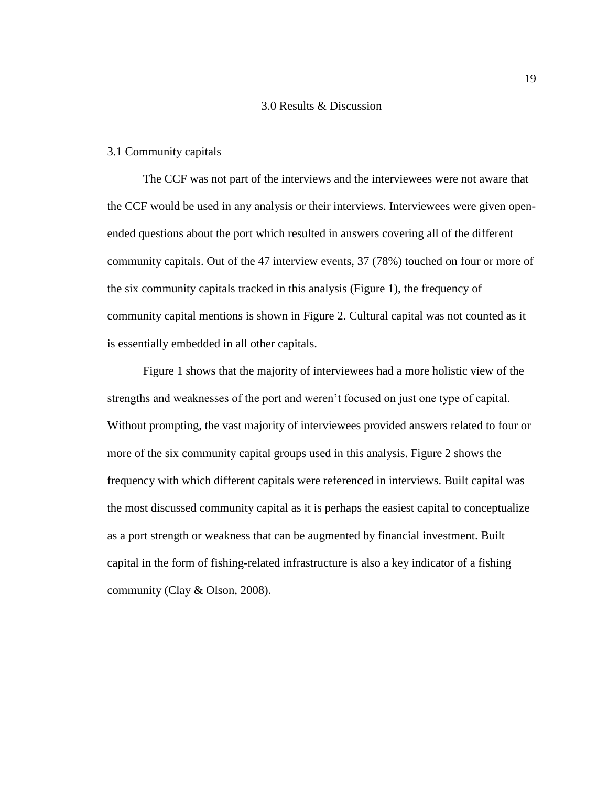# 3.0 Results & Discussion

#### <span id="page-25-1"></span><span id="page-25-0"></span>3.1 Community capitals

The CCF was not part of the interviews and the interviewees were not aware that the CCF would be used in any analysis or their interviews. Interviewees were given openended questions about the port which resulted in answers covering all of the different community capitals. Out of the 47 interview events, 37 (78%) touched on four or more of the six community capitals tracked in this analysis [\(Figure 1\)](#page-26-0), the frequency of community capital mentions is shown in [Figure 2.](#page-26-1) Cultural capital was not counted as it is essentially embedded in all other capitals.

[Figure 1](#page-26-0) shows that the majority of interviewees had a more holistic view of the strengths and weaknesses of the port and weren't focused on just one type of capital. Without prompting, the vast majority of interviewees provided answers related to four or more of the six community capital groups used in this analysis. [Figure 2](#page-26-1) shows the frequency with which different capitals were referenced in interviews. Built capital was the most discussed community capital as it is perhaps the easiest capital to conceptualize as a port strength or weakness that can be augmented by financial investment. Built capital in the form of fishing-related infrastructure is also a key indicator of a fishing community (Clay & Olson, 2008).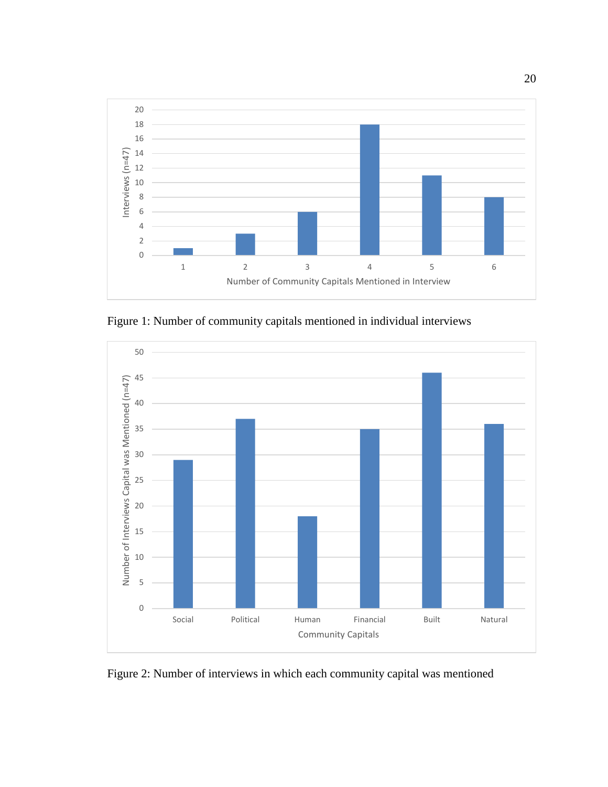

<span id="page-26-0"></span>Figure 1: Number of community capitals mentioned in individual interviews



<span id="page-26-1"></span>Figure 2: Number of interviews in which each community capital was mentioned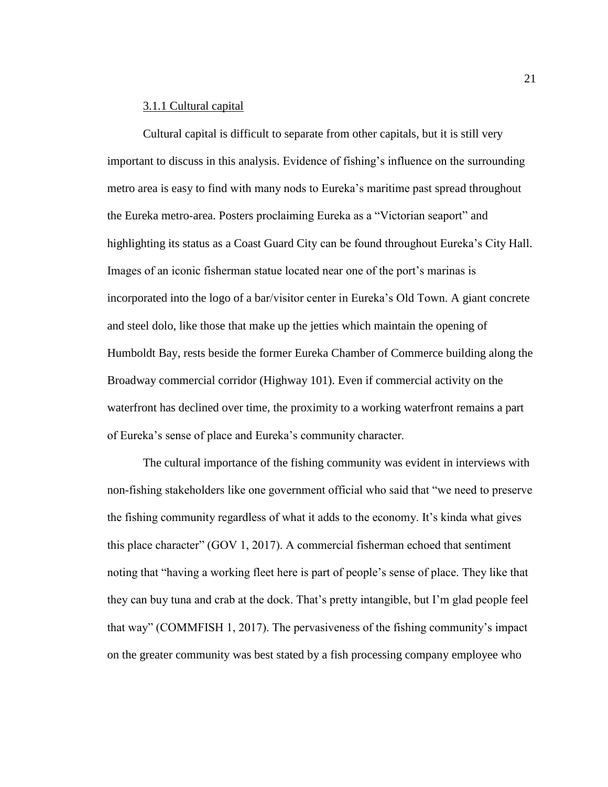# 3.1.1 Cultural capital

Cultural capital is difficult to separate from other capitals, but it is still very important to discuss in this analysis. Evidence of fishing's influence on the surrounding metro area is easy to find with many nods to Eureka's maritime past spread throughout the Eureka metro-area. Posters proclaiming Eureka as a "Victorian seaport" and highlighting its status as a Coast Guard City can be found throughout Eureka's City Hall. Images of an iconic fisherman statue located near one of the port's marinas is incorporated into the logo of a bar/visitor center in Eureka's Old Town. A giant concrete and steel dolo, like those that make up the jetties which maintain the opening of Humboldt Bay, rests beside the former Eureka Chamber of Commerce building along the Broadway commercial corridor (Highway 101). Even if commercial activity on the waterfront has declined over time, the proximity to a working waterfront remains a part of Eureka's sense of place and Eureka's community character.

The cultural importance of the fishing community was evident in interviews with non-fishing stakeholders like one government official who said that "we need to preserve the fishing community regardless of what it adds to the economy. It's kinda what gives this place character" (GOV 1, 2017). A commercial fisherman echoed that sentiment noting that "having a working fleet here is part of people's sense of place. They like that they can buy tuna and crab at the dock. That's pretty intangible, but I'm glad people feel that way" (COMMFISH 1, 2017). The pervasiveness of the fishing community's impact on the greater community was best stated by a fish processing company employee who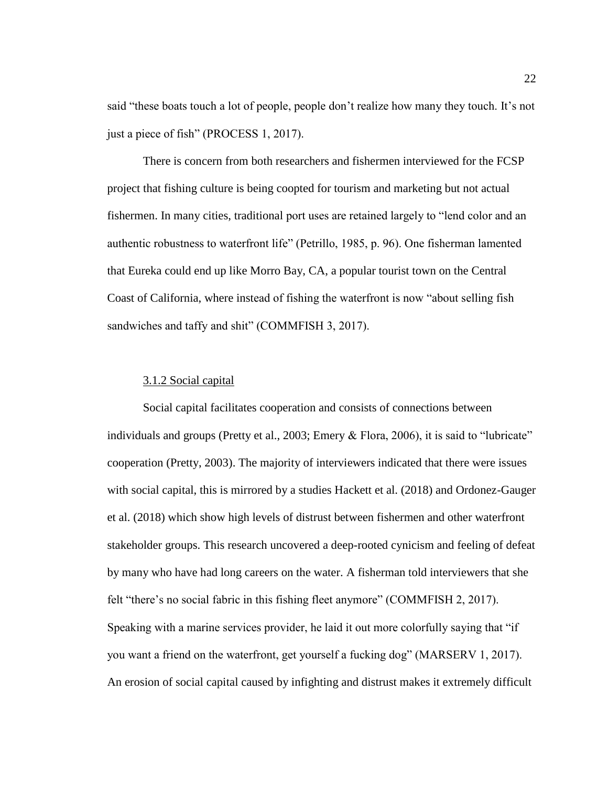said "these boats touch a lot of people, people don't realize how many they touch. It's not just a piece of fish" (PROCESS 1, 2017).

There is concern from both researchers and fishermen interviewed for the FCSP project that fishing culture is being coopted for tourism and marketing but not actual fishermen. In many cities, traditional port uses are retained largely to "lend color and an authentic robustness to waterfront life" (Petrillo, 1985, p. 96). One fisherman lamented that Eureka could end up like Morro Bay, CA, a popular tourist town on the Central Coast of California, where instead of fishing the waterfront is now "about selling fish sandwiches and taffy and shit" (COMMFISH 3, 2017).

#### 3.1.2 Social capital

Social capital facilitates cooperation and consists of connections between individuals and groups (Pretty et al., 2003; Emery & Flora, 2006), it is said to "lubricate" cooperation (Pretty, 2003). The majority of interviewers indicated that there were issues with social capital, this is mirrored by a studies Hackett et al. (2018) and Ordonez-Gauger et al. (2018) which show high levels of distrust between fishermen and other waterfront stakeholder groups. This research uncovered a deep-rooted cynicism and feeling of defeat by many who have had long careers on the water. A fisherman told interviewers that she felt "there's no social fabric in this fishing fleet anymore" (COMMFISH 2, 2017). Speaking with a marine services provider, he laid it out more colorfully saying that "if you want a friend on the waterfront, get yourself a fucking dog" (MARSERV 1, 2017). An erosion of social capital caused by infighting and distrust makes it extremely difficult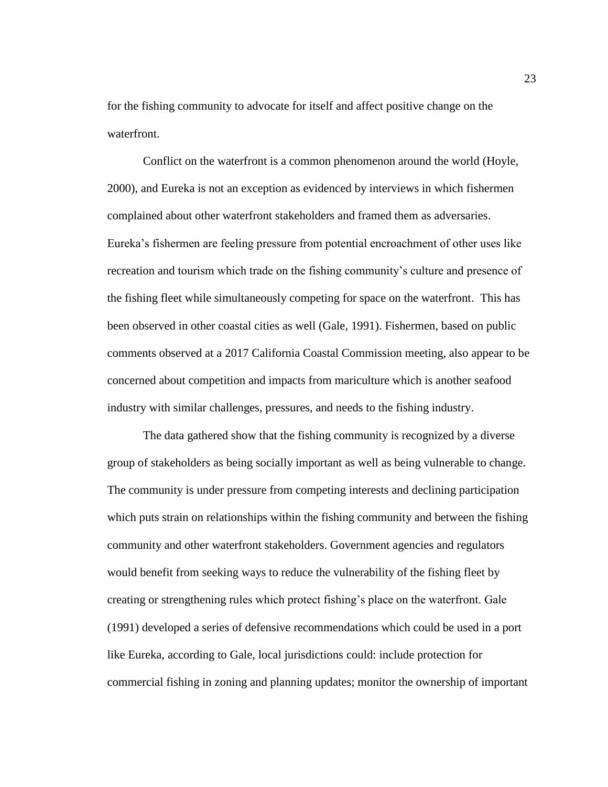for the fishing community to advocate for itself and affect positive change on the waterfront.

Conflict on the waterfront is a common phenomenon around the world (Hoyle, 2000), and Eureka is not an exception as evidenced by interviews in which fishermen complained about other waterfront stakeholders and framed them as adversaries. Eureka's fishermen are feeling pressure from potential encroachment of other uses like recreation and tourism which trade on the fishing community's culture and presence of the fishing fleet while simultaneously competing for space on the waterfront. This has been observed in other coastal cities as well (Gale, 1991). Fishermen, based on public comments observed at a 2017 California Coastal Commission meeting, also appear to be concerned about competition and impacts from mariculture which is another seafood industry with similar challenges, pressures, and needs to the fishing industry.

The data gathered show that the fishing community is recognized by a diverse group of stakeholders as being socially important as well as being vulnerable to change. The community is under pressure from competing interests and declining participation which puts strain on relationships within the fishing community and between the fishing community and other waterfront stakeholders. Government agencies and regulators would benefit from seeking ways to reduce the vulnerability of the fishing fleet by creating or strengthening rules which protect fishing's place on the waterfront. Gale (1991) developed a series of defensive recommendations which could be used in a port like Eureka, according to Gale, local jurisdictions could: include protection for commercial fishing in zoning and planning updates; monitor the ownership of important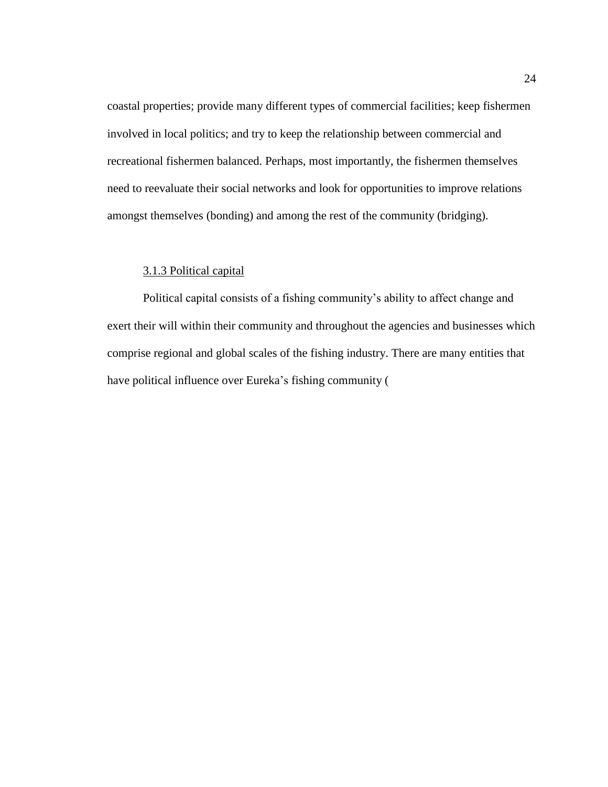coastal properties; provide many different types of commercial facilities; keep fishermen involved in local politics; and try to keep the relationship between commercial and recreational fishermen balanced. Perhaps, most importantly, the fishermen themselves need to reevaluate their social networks and look for opportunities to improve relations amongst themselves (bonding) and among the rest of the community (bridging).

# 3.1.3 Political capital

Political capital consists of a fishing community's ability to affect change and exert their will within their community and throughout the agencies and businesses which comprise regional and global scales of the fishing industry. There are many entities that have political influence over Eureka's fishing community [\(](#page-31-0)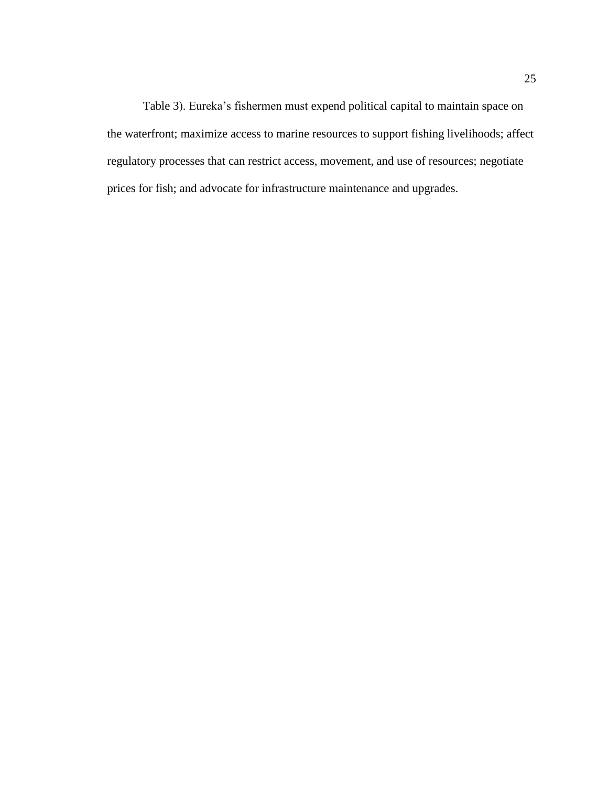<span id="page-31-0"></span>[Table 3\)](#page-31-0). Eureka's fishermen must expend political capital to maintain space on the waterfront; maximize access to marine resources to support fishing livelihoods; affect regulatory processes that can restrict access, movement, and use of resources; negotiate prices for fish; and advocate for infrastructure maintenance and upgrades.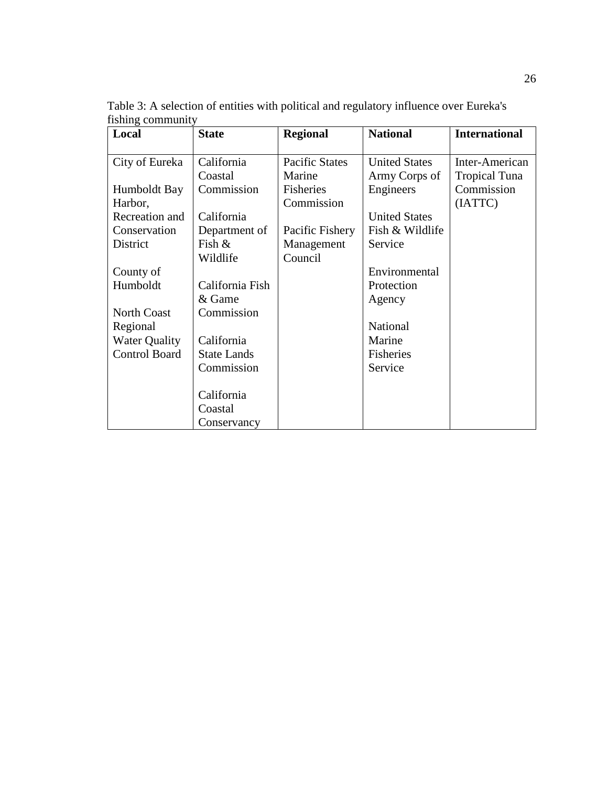**Local State Regional National International** City of Eureka Humboldt Bay Harbor, Recreation and Conservation District County of Humboldt North Coast Regional Water Quality Control Board California Coastal Commission California Department of Fish & Wildlife California Fish & Game Commission California State Lands Commission California Coastal **Conservancy** Pacific States Marine Fisheries Commission Pacific Fishery Management Council United States Army Corps of Engineers United States Fish & Wildlife Service Environmental Protection Agency National Marine Fisheries Service Inter-American Tropical Tuna Commission (IATTC)

<span id="page-32-0"></span>Table 3: A selection of entities with political and regulatory influence over Eureka's fishing community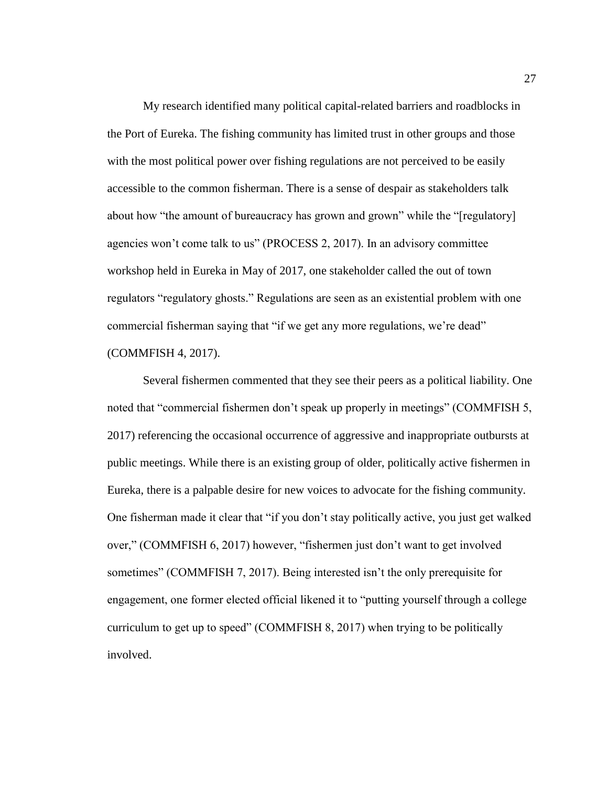My research identified many political capital-related barriers and roadblocks in the Port of Eureka. The fishing community has limited trust in other groups and those with the most political power over fishing regulations are not perceived to be easily accessible to the common fisherman. There is a sense of despair as stakeholders talk about how "the amount of bureaucracy has grown and grown" while the "[regulatory] agencies won't come talk to us" (PROCESS 2, 2017). In an advisory committee workshop held in Eureka in May of 2017, one stakeholder called the out of town regulators "regulatory ghosts." Regulations are seen as an existential problem with one commercial fisherman saying that "if we get any more regulations, we're dead" (COMMFISH 4, 2017).

Several fishermen commented that they see their peers as a political liability. One noted that "commercial fishermen don't speak up properly in meetings" (COMMFISH 5, 2017) referencing the occasional occurrence of aggressive and inappropriate outbursts at public meetings. While there is an existing group of older, politically active fishermen in Eureka, there is a palpable desire for new voices to advocate for the fishing community. One fisherman made it clear that "if you don't stay politically active, you just get walked over," (COMMFISH 6, 2017) however, "fishermen just don't want to get involved sometimes" (COMMFISH 7, 2017). Being interested isn't the only prerequisite for engagement, one former elected official likened it to "putting yourself through a college curriculum to get up to speed" (COMMFISH 8, 2017) when trying to be politically involved.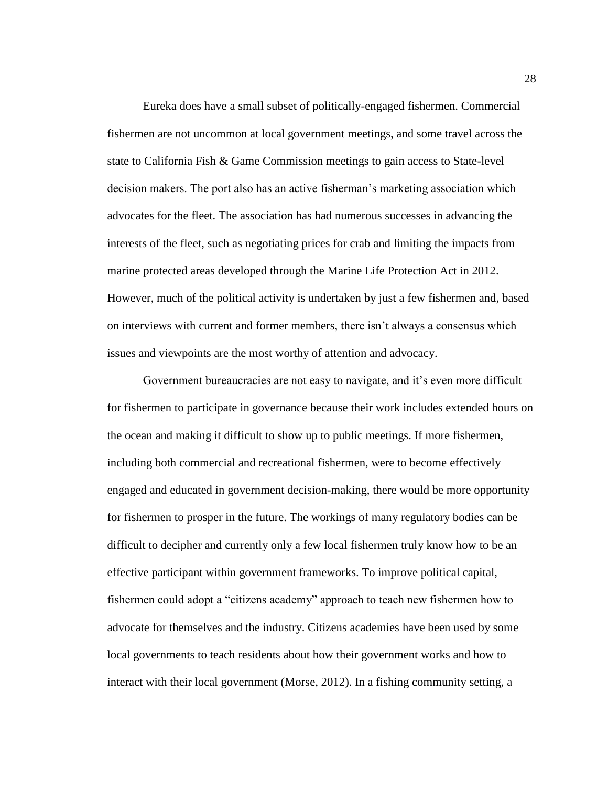Eureka does have a small subset of politically-engaged fishermen. Commercial fishermen are not uncommon at local government meetings, and some travel across the state to California Fish & Game Commission meetings to gain access to State-level decision makers. The port also has an active fisherman's marketing association which advocates for the fleet. The association has had numerous successes in advancing the interests of the fleet, such as negotiating prices for crab and limiting the impacts from marine protected areas developed through the Marine Life Protection Act in 2012. However, much of the political activity is undertaken by just a few fishermen and, based on interviews with current and former members, there isn't always a consensus which issues and viewpoints are the most worthy of attention and advocacy.

Government bureaucracies are not easy to navigate, and it's even more difficult for fishermen to participate in governance because their work includes extended hours on the ocean and making it difficult to show up to public meetings. If more fishermen, including both commercial and recreational fishermen, were to become effectively engaged and educated in government decision-making, there would be more opportunity for fishermen to prosper in the future. The workings of many regulatory bodies can be difficult to decipher and currently only a few local fishermen truly know how to be an effective participant within government frameworks. To improve political capital, fishermen could adopt a "citizens academy" approach to teach new fishermen how to advocate for themselves and the industry. Citizens academies have been used by some local governments to teach residents about how their government works and how to interact with their local government (Morse, 2012). In a fishing community setting, a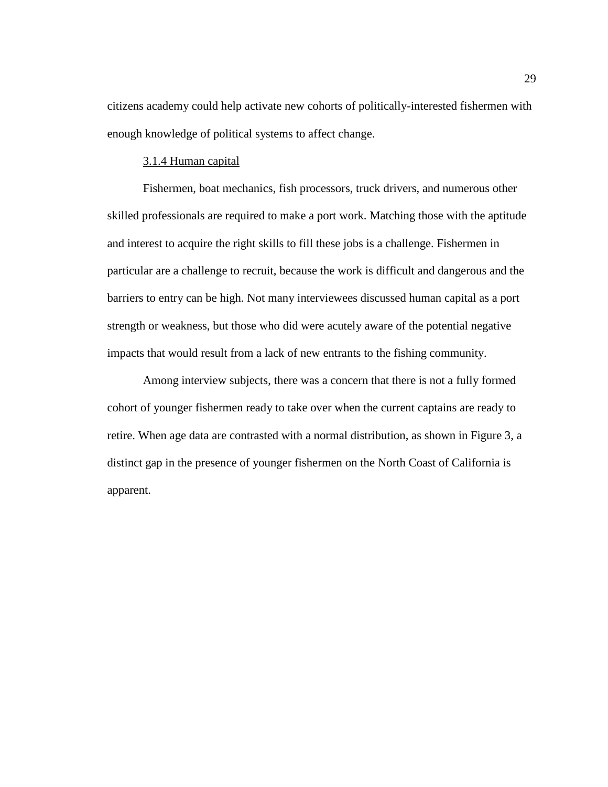citizens academy could help activate new cohorts of politically-interested fishermen with enough knowledge of political systems to affect change.

#### 3.1.4 Human capital

Fishermen, boat mechanics, fish processors, truck drivers, and numerous other skilled professionals are required to make a port work. Matching those with the aptitude and interest to acquire the right skills to fill these jobs is a challenge. Fishermen in particular are a challenge to recruit, because the work is difficult and dangerous and the barriers to entry can be high. Not many interviewees discussed human capital as a port strength or weakness, but those who did were acutely aware of the potential negative impacts that would result from a lack of new entrants to the fishing community.

Among interview subjects, there was a concern that there is not a fully formed cohort of younger fishermen ready to take over when the current captains are ready to retire. When age data are contrasted with a normal distribution, as shown in [Figure 3,](#page-36-0) a distinct gap in the presence of younger fishermen on the North Coast of California is apparent.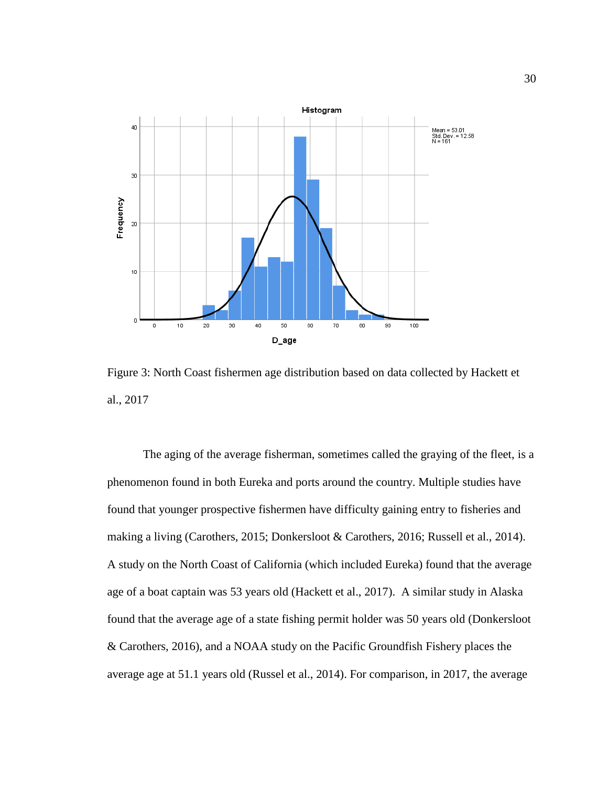

Figure 3: North Coast fishermen age distribution based on data collected by Hackett et al., 2017

The aging of the average fisherman, sometimes called the graying of the fleet, is a phenomenon found in both Eureka and ports around the country. Multiple studies have found that younger prospective fishermen have difficulty gaining entry to fisheries and making a living (Carothers, 2015; Donkersloot & Carothers, 2016; Russell et al., 2014). A study on the North Coast of California (which included Eureka) found that the average age of a boat captain was 53 years old (Hackett et al., 2017). A similar study in Alaska found that the average age of a state fishing permit holder was 50 years old (Donkersloot & Carothers, 2016), and a NOAA study on the Pacific Groundfish Fishery places the average age at 51.1 years old (Russel et al., 2014). For comparison, in 2017, the average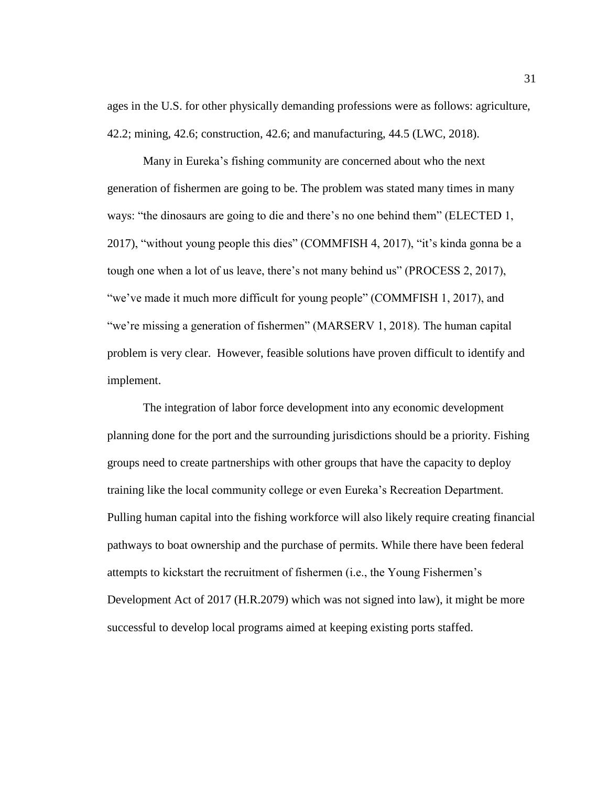ages in the U.S. for other physically demanding professions were as follows: agriculture, 42.2; mining, 42.6; construction, 42.6; and manufacturing, 44.5 (LWC, 2018).

Many in Eureka's fishing community are concerned about who the next generation of fishermen are going to be. The problem was stated many times in many ways: "the dinosaurs are going to die and there's no one behind them" (ELECTED 1, 2017), "without young people this dies" (COMMFISH 4, 2017), "it's kinda gonna be a tough one when a lot of us leave, there's not many behind us" (PROCESS 2, 2017), "we've made it much more difficult for young people" (COMMFISH 1, 2017), and "we're missing a generation of fishermen" (MARSERV 1, 2018). The human capital problem is very clear. However, feasible solutions have proven difficult to identify and implement.

The integration of labor force development into any economic development planning done for the port and the surrounding jurisdictions should be a priority. Fishing groups need to create partnerships with other groups that have the capacity to deploy training like the local community college or even Eureka's Recreation Department. Pulling human capital into the fishing workforce will also likely require creating financial pathways to boat ownership and the purchase of permits. While there have been federal attempts to kickstart the recruitment of fishermen (i.e., the Young Fishermen's Development Act of 2017 (H.R.2079) which was not signed into law), it might be more successful to develop local programs aimed at keeping existing ports staffed.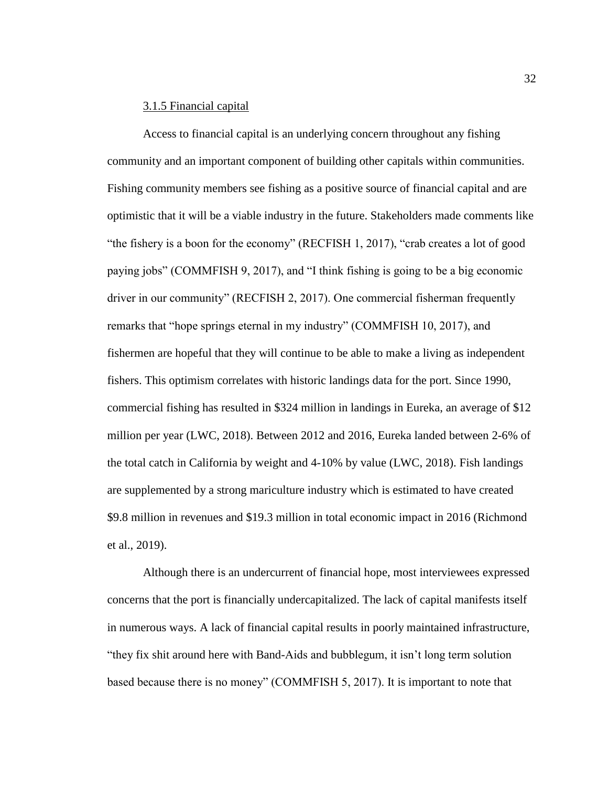## 3.1.5 Financial capital

Access to financial capital is an underlying concern throughout any fishing community and an important component of building other capitals within communities. Fishing community members see fishing as a positive source of financial capital and are optimistic that it will be a viable industry in the future. Stakeholders made comments like "the fishery is a boon for the economy" (RECFISH 1, 2017), "crab creates a lot of good paying jobs" (COMMFISH 9, 2017), and "I think fishing is going to be a big economic driver in our community" (RECFISH 2, 2017). One commercial fisherman frequently remarks that "hope springs eternal in my industry" (COMMFISH 10, 2017), and fishermen are hopeful that they will continue to be able to make a living as independent fishers. This optimism correlates with historic landings data for the port. Since 1990, commercial fishing has resulted in \$324 million in landings in Eureka, an average of \$12 million per year (LWC, 2018). Between 2012 and 2016, Eureka landed between 2-6% of the total catch in California by weight and 4-10% by value (LWC, 2018). Fish landings are supplemented by a strong mariculture industry which is estimated to have created \$9.8 million in revenues and \$19.3 million in total economic impact in 2016 (Richmond et al., 2019).

Although there is an undercurrent of financial hope, most interviewees expressed concerns that the port is financially undercapitalized. The lack of capital manifests itself in numerous ways. A lack of financial capital results in poorly maintained infrastructure, "they fix shit around here with Band-Aids and bubblegum, it isn't long term solution based because there is no money" (COMMFISH 5, 2017). It is important to note that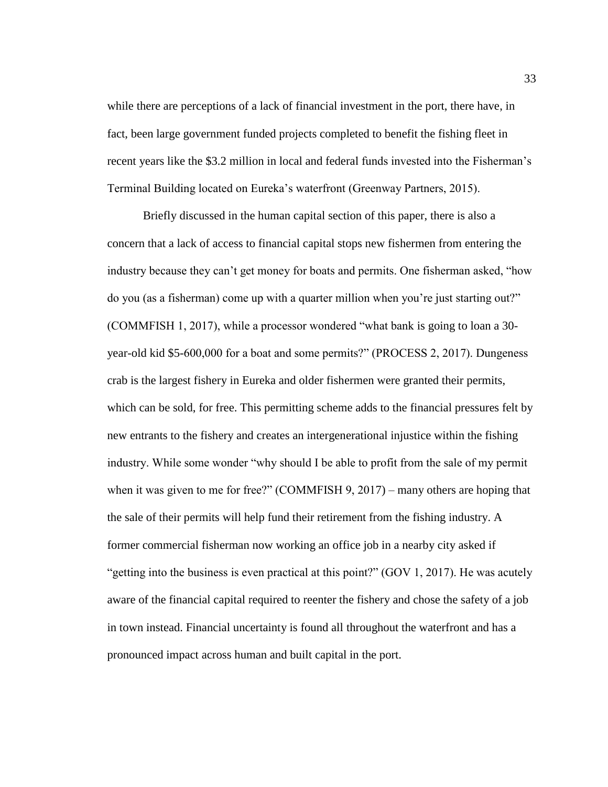while there are perceptions of a lack of financial investment in the port, there have, in fact, been large government funded projects completed to benefit the fishing fleet in recent years like the \$3.2 million in local and federal funds invested into the Fisherman's Terminal Building located on Eureka's waterfront (Greenway Partners, 2015).

Briefly discussed in the human capital section of this paper, there is also a concern that a lack of access to financial capital stops new fishermen from entering the industry because they can't get money for boats and permits. One fisherman asked, "how do you (as a fisherman) come up with a quarter million when you're just starting out?" (COMMFISH 1, 2017), while a processor wondered "what bank is going to loan a 30 year-old kid \$5-600,000 for a boat and some permits?" (PROCESS 2, 2017). Dungeness crab is the largest fishery in Eureka and older fishermen were granted their permits, which can be sold, for free. This permitting scheme adds to the financial pressures felt by new entrants to the fishery and creates an intergenerational injustice within the fishing industry. While some wonder "why should I be able to profit from the sale of my permit when it was given to me for free?" (COMMFISH 9, 2017) – many others are hoping that the sale of their permits will help fund their retirement from the fishing industry. A former commercial fisherman now working an office job in a nearby city asked if "getting into the business is even practical at this point?" (GOV 1, 2017). He was acutely aware of the financial capital required to reenter the fishery and chose the safety of a job in town instead. Financial uncertainty is found all throughout the waterfront and has a pronounced impact across human and built capital in the port.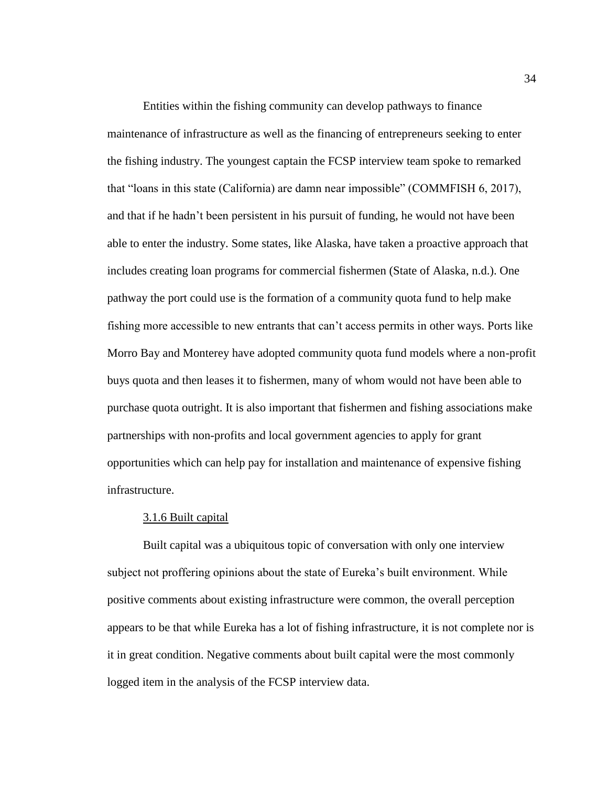Entities within the fishing community can develop pathways to finance maintenance of infrastructure as well as the financing of entrepreneurs seeking to enter the fishing industry. The youngest captain the FCSP interview team spoke to remarked that "loans in this state (California) are damn near impossible" (COMMFISH 6, 2017), and that if he hadn't been persistent in his pursuit of funding, he would not have been able to enter the industry. Some states, like Alaska, have taken a proactive approach that includes creating loan programs for commercial fishermen (State of Alaska, n.d.). One pathway the port could use is the formation of a community quota fund to help make fishing more accessible to new entrants that can't access permits in other ways. Ports like Morro Bay and Monterey have adopted community quota fund models where a non-profit buys quota and then leases it to fishermen, many of whom would not have been able to purchase quota outright. It is also important that fishermen and fishing associations make partnerships with non-profits and local government agencies to apply for grant opportunities which can help pay for installation and maintenance of expensive fishing infrastructure.

## 3.1.6 Built capital

Built capital was a ubiquitous topic of conversation with only one interview subject not proffering opinions about the state of Eureka's built environment. While positive comments about existing infrastructure were common, the overall perception appears to be that while Eureka has a lot of fishing infrastructure, it is not complete nor is it in great condition. Negative comments about built capital were the most commonly logged item in the analysis of the FCSP interview data.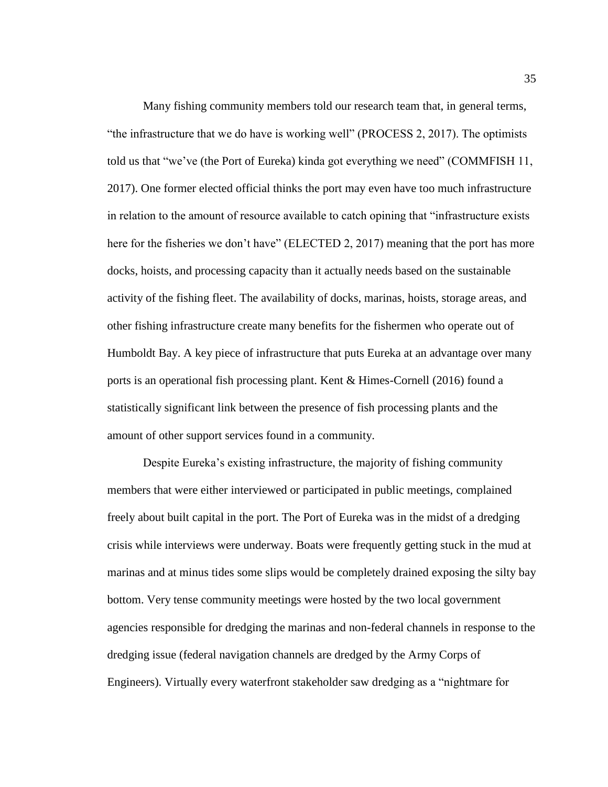Many fishing community members told our research team that, in general terms, "the infrastructure that we do have is working well" (PROCESS 2, 2017). The optimists told us that "we've (the Port of Eureka) kinda got everything we need" (COMMFISH 11, 2017). One former elected official thinks the port may even have too much infrastructure in relation to the amount of resource available to catch opining that "infrastructure exists here for the fisheries we don't have" (ELECTED 2, 2017) meaning that the port has more docks, hoists, and processing capacity than it actually needs based on the sustainable activity of the fishing fleet. The availability of docks, marinas, hoists, storage areas, and other fishing infrastructure create many benefits for the fishermen who operate out of Humboldt Bay. A key piece of infrastructure that puts Eureka at an advantage over many ports is an operational fish processing plant. Kent & Himes-Cornell (2016) found a statistically significant link between the presence of fish processing plants and the amount of other support services found in a community.

Despite Eureka's existing infrastructure, the majority of fishing community members that were either interviewed or participated in public meetings, complained freely about built capital in the port. The Port of Eureka was in the midst of a dredging crisis while interviews were underway. Boats were frequently getting stuck in the mud at marinas and at minus tides some slips would be completely drained exposing the silty bay bottom. Very tense community meetings were hosted by the two local government agencies responsible for dredging the marinas and non-federal channels in response to the dredging issue (federal navigation channels are dredged by the Army Corps of Engineers). Virtually every waterfront stakeholder saw dredging as a "nightmare for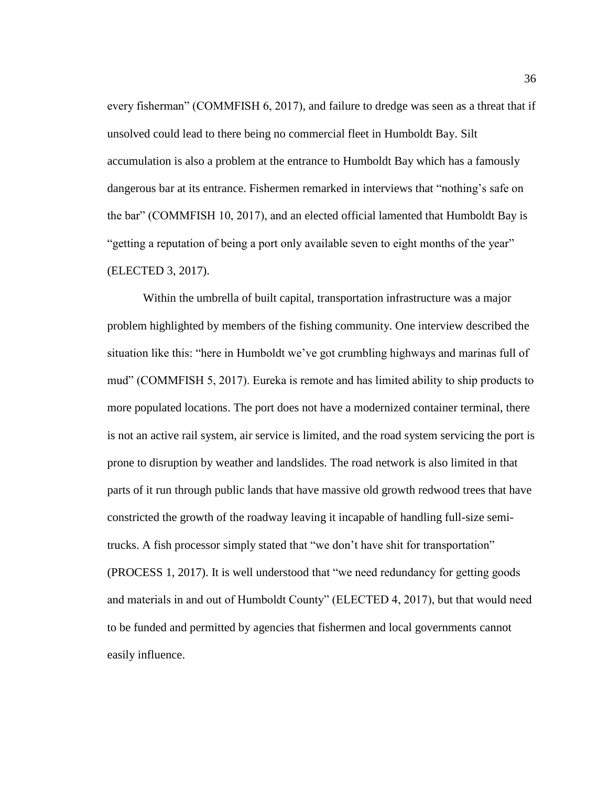every fisherman" (COMMFISH 6, 2017), and failure to dredge was seen as a threat that if unsolved could lead to there being no commercial fleet in Humboldt Bay. Silt accumulation is also a problem at the entrance to Humboldt Bay which has a famously dangerous bar at its entrance. Fishermen remarked in interviews that "nothing's safe on the bar" (COMMFISH 10, 2017), and an elected official lamented that Humboldt Bay is "getting a reputation of being a port only available seven to eight months of the year" (ELECTED 3, 2017).

Within the umbrella of built capital, transportation infrastructure was a major problem highlighted by members of the fishing community. One interview described the situation like this: "here in Humboldt we've got crumbling highways and marinas full of mud" (COMMFISH 5, 2017). Eureka is remote and has limited ability to ship products to more populated locations. The port does not have a modernized container terminal, there is not an active rail system, air service is limited, and the road system servicing the port is prone to disruption by weather and landslides. The road network is also limited in that parts of it run through public lands that have massive old growth redwood trees that have constricted the growth of the roadway leaving it incapable of handling full-size semitrucks. A fish processor simply stated that "we don't have shit for transportation" (PROCESS 1, 2017). It is well understood that "we need redundancy for getting goods and materials in and out of Humboldt County" (ELECTED 4, 2017), but that would need to be funded and permitted by agencies that fishermen and local governments cannot easily influence.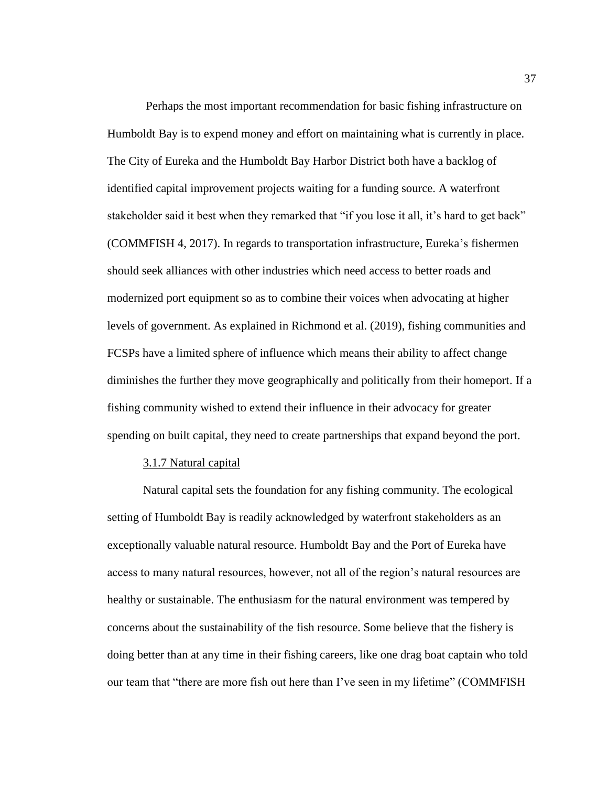Perhaps the most important recommendation for basic fishing infrastructure on Humboldt Bay is to expend money and effort on maintaining what is currently in place. The City of Eureka and the Humboldt Bay Harbor District both have a backlog of identified capital improvement projects waiting for a funding source. A waterfront stakeholder said it best when they remarked that "if you lose it all, it's hard to get back" (COMMFISH 4, 2017). In regards to transportation infrastructure, Eureka's fishermen should seek alliances with other industries which need access to better roads and modernized port equipment so as to combine their voices when advocating at higher levels of government. As explained in Richmond et al. (2019), fishing communities and FCSPs have a limited sphere of influence which means their ability to affect change diminishes the further they move geographically and politically from their homeport. If a fishing community wished to extend their influence in their advocacy for greater spending on built capital, they need to create partnerships that expand beyond the port.

## 3.1.7 Natural capital

Natural capital sets the foundation for any fishing community. The ecological setting of Humboldt Bay is readily acknowledged by waterfront stakeholders as an exceptionally valuable natural resource. Humboldt Bay and the Port of Eureka have access to many natural resources, however, not all of the region's natural resources are healthy or sustainable. The enthusiasm for the natural environment was tempered by concerns about the sustainability of the fish resource. Some believe that the fishery is doing better than at any time in their fishing careers, like one drag boat captain who told our team that "there are more fish out here than I've seen in my lifetime" (COMMFISH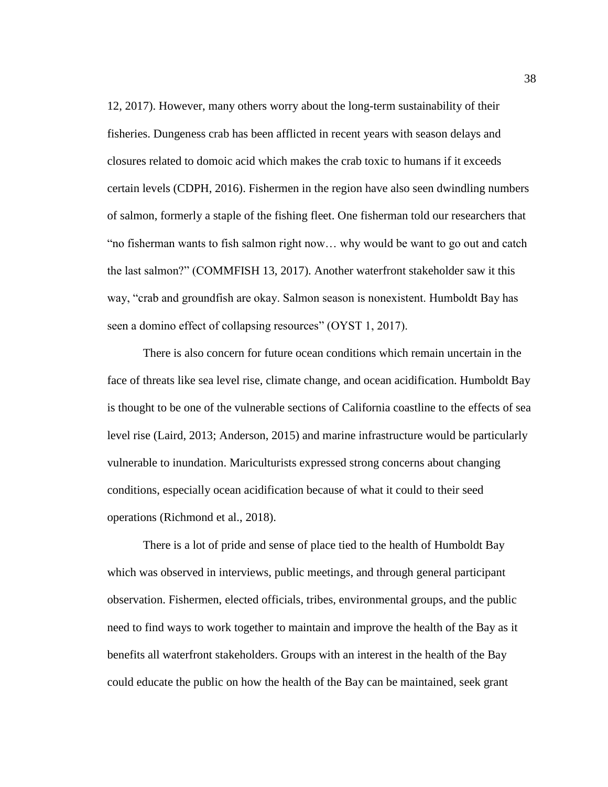12, 2017). However, many others worry about the long-term sustainability of their fisheries. Dungeness crab has been afflicted in recent years with season delays and closures related to domoic acid which makes the crab toxic to humans if it exceeds certain levels (CDPH, 2016). Fishermen in the region have also seen dwindling numbers of salmon, formerly a staple of the fishing fleet. One fisherman told our researchers that "no fisherman wants to fish salmon right now… why would be want to go out and catch the last salmon?" (COMMFISH 13, 2017). Another waterfront stakeholder saw it this way, "crab and groundfish are okay. Salmon season is nonexistent. Humboldt Bay has seen a domino effect of collapsing resources" (OYST 1, 2017).

There is also concern for future ocean conditions which remain uncertain in the face of threats like sea level rise, climate change, and ocean acidification. Humboldt Bay is thought to be one of the vulnerable sections of California coastline to the effects of sea level rise (Laird, 2013; Anderson, 2015) and marine infrastructure would be particularly vulnerable to inundation. Mariculturists expressed strong concerns about changing conditions, especially ocean acidification because of what it could to their seed operations (Richmond et al., 2018).

There is a lot of pride and sense of place tied to the health of Humboldt Bay which was observed in interviews, public meetings, and through general participant observation. Fishermen, elected officials, tribes, environmental groups, and the public need to find ways to work together to maintain and improve the health of the Bay as it benefits all waterfront stakeholders. Groups with an interest in the health of the Bay could educate the public on how the health of the Bay can be maintained, seek grant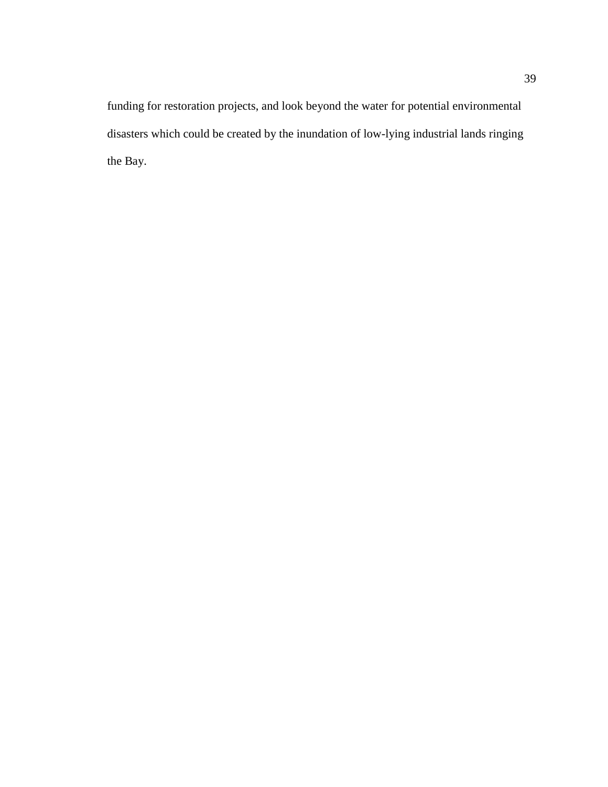funding for restoration projects, and look beyond the water for potential environmental disasters which could be created by the inundation of low-lying industrial lands ringing the Bay.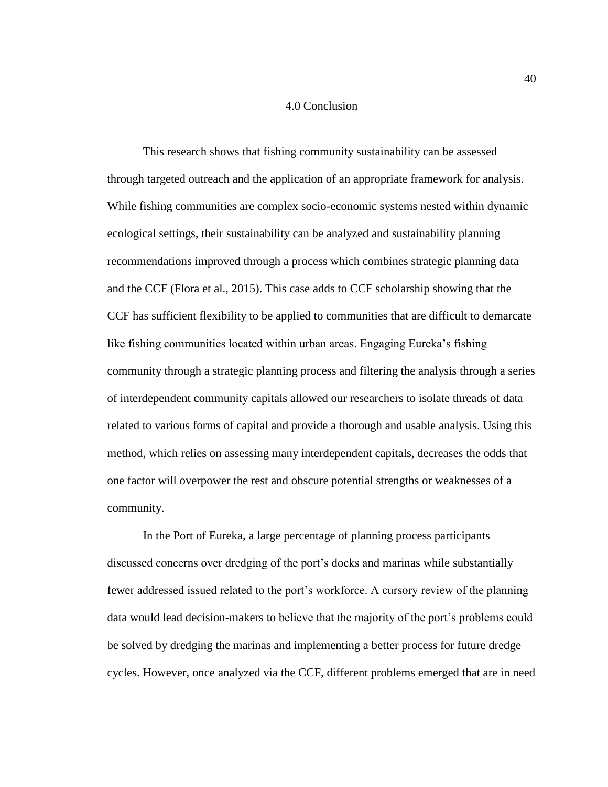## 4.0 Conclusion

This research shows that fishing community sustainability can be assessed through targeted outreach and the application of an appropriate framework for analysis. While fishing communities are complex socio-economic systems nested within dynamic ecological settings, their sustainability can be analyzed and sustainability planning recommendations improved through a process which combines strategic planning data and the CCF (Flora et al., 2015). This case adds to CCF scholarship showing that the CCF has sufficient flexibility to be applied to communities that are difficult to demarcate like fishing communities located within urban areas. Engaging Eureka's fishing community through a strategic planning process and filtering the analysis through a series of interdependent community capitals allowed our researchers to isolate threads of data related to various forms of capital and provide a thorough and usable analysis. Using this method, which relies on assessing many interdependent capitals, decreases the odds that one factor will overpower the rest and obscure potential strengths or weaknesses of a community.

In the Port of Eureka, a large percentage of planning process participants discussed concerns over dredging of the port's docks and marinas while substantially fewer addressed issued related to the port's workforce. A cursory review of the planning data would lead decision-makers to believe that the majority of the port's problems could be solved by dredging the marinas and implementing a better process for future dredge cycles. However, once analyzed via the CCF, different problems emerged that are in need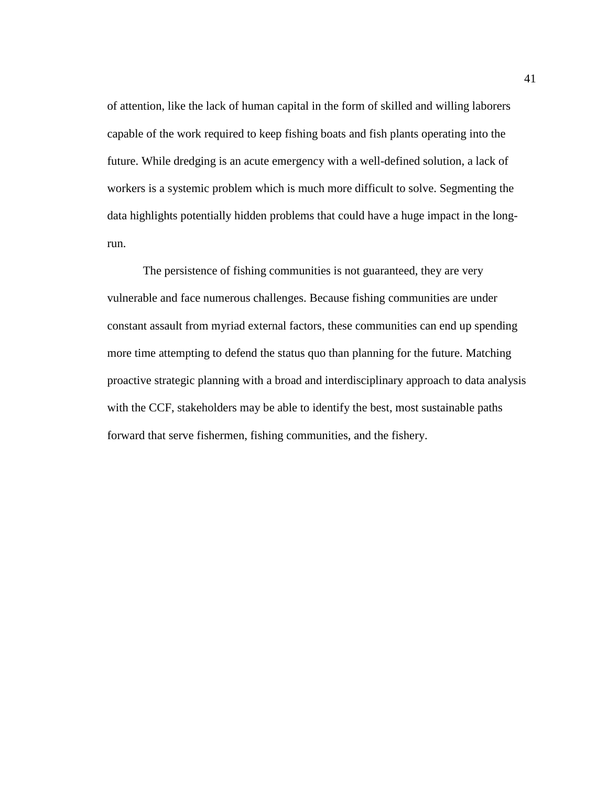of attention, like the lack of human capital in the form of skilled and willing laborers capable of the work required to keep fishing boats and fish plants operating into the future. While dredging is an acute emergency with a well-defined solution, a lack of workers is a systemic problem which is much more difficult to solve. Segmenting the data highlights potentially hidden problems that could have a huge impact in the longrun.

The persistence of fishing communities is not guaranteed, they are very vulnerable and face numerous challenges. Because fishing communities are under constant assault from myriad external factors, these communities can end up spending more time attempting to defend the status quo than planning for the future. Matching proactive strategic planning with a broad and interdisciplinary approach to data analysis with the CCF, stakeholders may be able to identify the best, most sustainable paths forward that serve fishermen, fishing communities, and the fishery.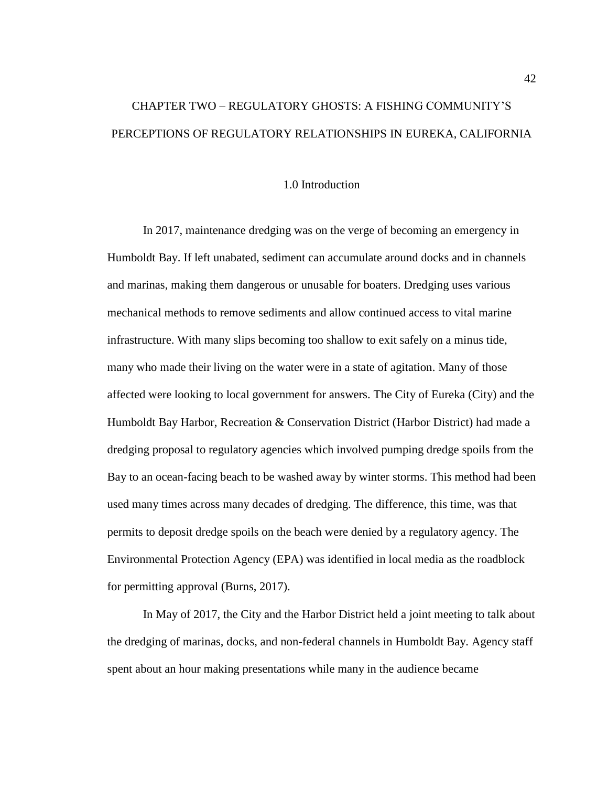# CHAPTER TWO – REGULATORY GHOSTS: A FISHING COMMUNITY'S PERCEPTIONS OF REGULATORY RELATIONSHIPS IN EUREKA, CALIFORNIA

## 1.0 Introduction

In 2017, maintenance dredging was on the verge of becoming an emergency in Humboldt Bay. If left unabated, sediment can accumulate around docks and in channels and marinas, making them dangerous or unusable for boaters. Dredging uses various mechanical methods to remove sediments and allow continued access to vital marine infrastructure. With many slips becoming too shallow to exit safely on a minus tide, many who made their living on the water were in a state of agitation. Many of those affected were looking to local government for answers. The City of Eureka (City) and the Humboldt Bay Harbor, Recreation & Conservation District (Harbor District) had made a dredging proposal to regulatory agencies which involved pumping dredge spoils from the Bay to an ocean-facing beach to be washed away by winter storms. This method had been used many times across many decades of dredging. The difference, this time, was that permits to deposit dredge spoils on the beach were denied by a regulatory agency. The Environmental Protection Agency (EPA) was identified in local media as the roadblock for permitting approval (Burns, 2017).

In May of 2017, the City and the Harbor District held a joint meeting to talk about the dredging of marinas, docks, and non-federal channels in Humboldt Bay. Agency staff spent about an hour making presentations while many in the audience became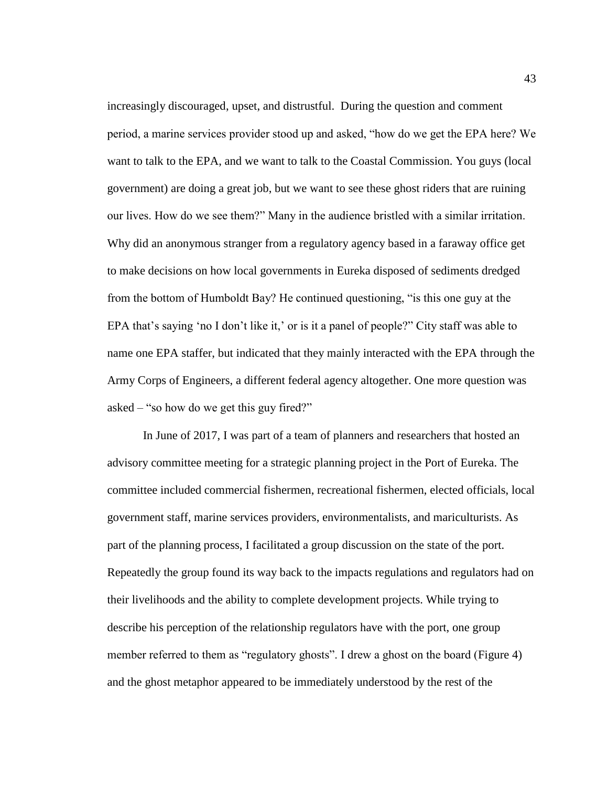increasingly discouraged, upset, and distrustful. During the question and comment period, a marine services provider stood up and asked, "how do we get the EPA here? We want to talk to the EPA, and we want to talk to the Coastal Commission. You guys (local government) are doing a great job, but we want to see these ghost riders that are ruining our lives. How do we see them?" Many in the audience bristled with a similar irritation. Why did an anonymous stranger from a regulatory agency based in a faraway office get to make decisions on how local governments in Eureka disposed of sediments dredged from the bottom of Humboldt Bay? He continued questioning, "is this one guy at the EPA that's saying 'no I don't like it,' or is it a panel of people?" City staff was able to name one EPA staffer, but indicated that they mainly interacted with the EPA through the Army Corps of Engineers, a different federal agency altogether. One more question was asked – "so how do we get this guy fired?"

In June of 2017, I was part of a team of planners and researchers that hosted an advisory committee meeting for a strategic planning project in the Port of Eureka. The committee included commercial fishermen, recreational fishermen, elected officials, local government staff, marine services providers, environmentalists, and mariculturists. As part of the planning process, I facilitated a group discussion on the state of the port. Repeatedly the group found its way back to the impacts regulations and regulators had on their livelihoods and the ability to complete development projects. While trying to describe his perception of the relationship regulators have with the port, one group member referred to them as "regulatory ghosts". I drew a ghost on the board [\(Figure 4\)](#page-50-0) and the ghost metaphor appeared to be immediately understood by the rest of the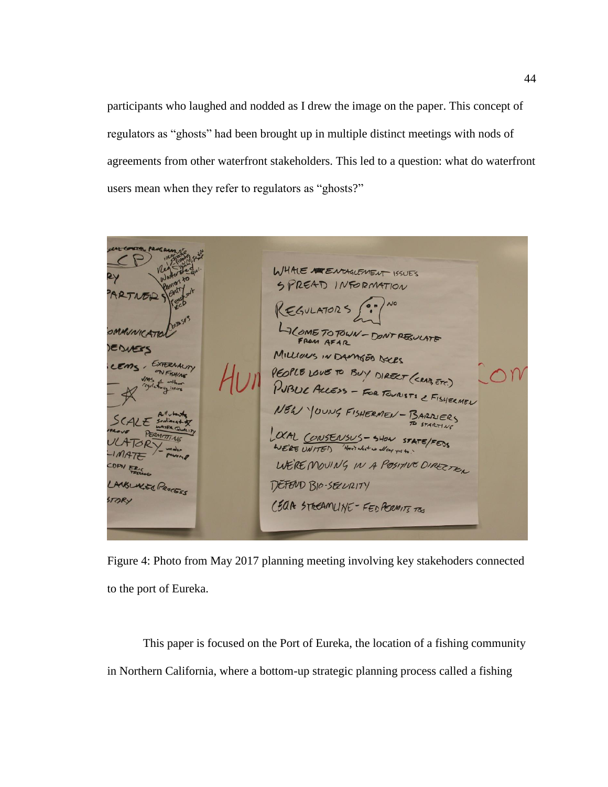participants who laughed and nodded as I drew the image on the paper. This concept of regulators as "ghosts" had been brought up in multiple distinct meetings with nods of agreements from other waterfront stakeholders. This led to a question: what do waterfront users mean when they refer to regulators as "ghosts?"

HALE A ENTAGLEMENT ISSUES PREAD INFORMATION **PLOME TO TOWN - DON'T REGULATE** FROM AFAR MILLIONS IN DAMGED DECES EXTERNAUM PEOPLE LOVE TO BUY DIRECT (CRAIT, ETC.) FISHING FOR TOURISTS & FISHERMEN  $NEL$ -BARRIERS OCAL CONSENSUS - SHOW STAT WE'RE UNITED Have's what we all say you to WE'RE MOUING IN A POSITIVE DIRECTE.  $DP$ NELACTO PROCESS DEFEND BIO-SELVRITY TORY CEAR STREAMLINE - FED PERMITE TO

<span id="page-50-0"></span>Figure 4: Photo from May 2017 planning meeting involving key stakehoders connected to the port of Eureka.

This paper is focused on the Port of Eureka, the location of a fishing community in Northern California, where a bottom-up strategic planning process called a fishing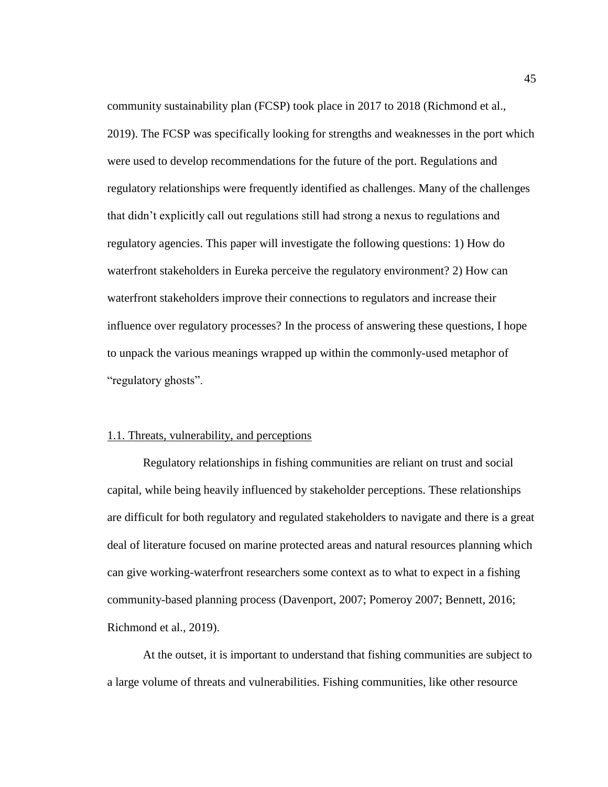community sustainability plan (FCSP) took place in 2017 to 2018 (Richmond et al., 2019). The FCSP was specifically looking for strengths and weaknesses in the port which were used to develop recommendations for the future of the port. Regulations and regulatory relationships were frequently identified as challenges. Many of the challenges that didn't explicitly call out regulations still had strong a nexus to regulations and regulatory agencies. This paper will investigate the following questions: 1) How do waterfront stakeholders in Eureka perceive the regulatory environment? 2) How can waterfront stakeholders improve their connections to regulators and increase their influence over regulatory processes? In the process of answering these questions, I hope to unpack the various meanings wrapped up within the commonly-used metaphor of "regulatory ghosts".

## 1.1. Threats, vulnerability, and perceptions

Regulatory relationships in fishing communities are reliant on trust and social capital, while being heavily influenced by stakeholder perceptions. These relationships are difficult for both regulatory and regulated stakeholders to navigate and there is a great deal of literature focused on marine protected areas and natural resources planning which can give working-waterfront researchers some context as to what to expect in a fishing community-based planning process (Davenport, 2007; Pomeroy 2007; Bennett, 2016; Richmond et al., 2019).

At the outset, it is important to understand that fishing communities are subject to a large volume of threats and vulnerabilities. Fishing communities, like other resource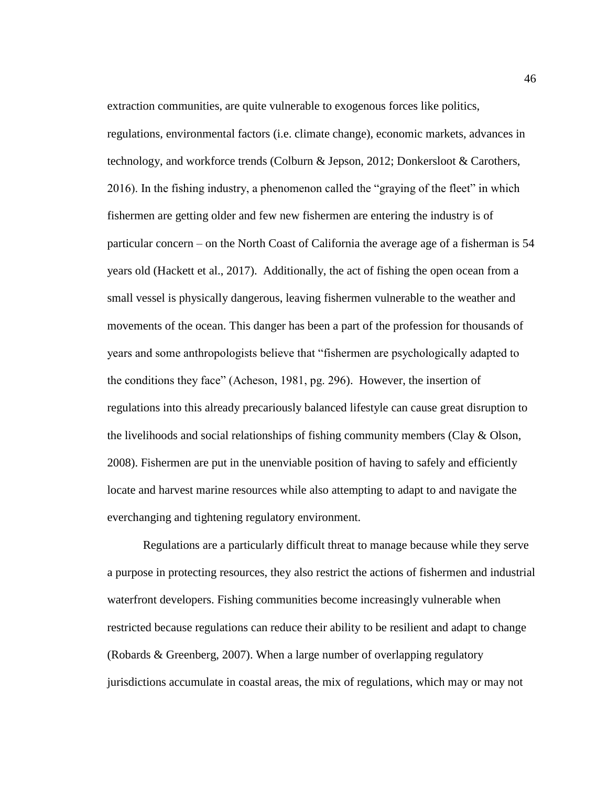extraction communities, are quite vulnerable to exogenous forces like politics, regulations, environmental factors (i.e. climate change), economic markets, advances in technology, and workforce trends (Colburn & Jepson, 2012; Donkersloot & Carothers, 2016). In the fishing industry, a phenomenon called the "graying of the fleet" in which fishermen are getting older and few new fishermen are entering the industry is of particular concern – on the North Coast of California the average age of a fisherman is 54 years old (Hackett et al., 2017). Additionally, the act of fishing the open ocean from a small vessel is physically dangerous, leaving fishermen vulnerable to the weather and movements of the ocean. This danger has been a part of the profession for thousands of years and some anthropologists believe that "fishermen are psychologically adapted to the conditions they face" (Acheson, 1981, pg. 296). However, the insertion of regulations into this already precariously balanced lifestyle can cause great disruption to the livelihoods and social relationships of fishing community members (Clay  $\&$  Olson, 2008). Fishermen are put in the unenviable position of having to safely and efficiently locate and harvest marine resources while also attempting to adapt to and navigate the everchanging and tightening regulatory environment.

Regulations are a particularly difficult threat to manage because while they serve a purpose in protecting resources, they also restrict the actions of fishermen and industrial waterfront developers. Fishing communities become increasingly vulnerable when restricted because regulations can reduce their ability to be resilient and adapt to change (Robards & Greenberg, 2007). When a large number of overlapping regulatory jurisdictions accumulate in coastal areas, the mix of regulations, which may or may not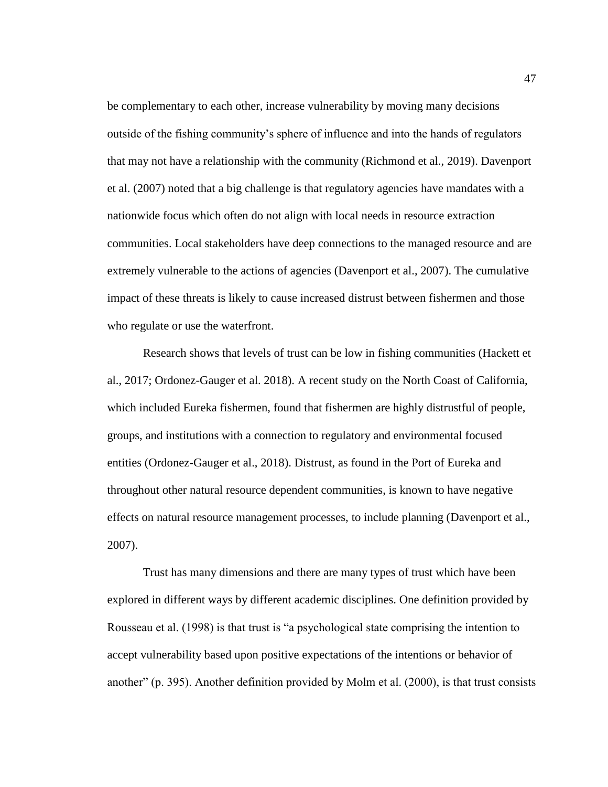be complementary to each other, increase vulnerability by moving many decisions outside of the fishing community's sphere of influence and into the hands of regulators that may not have a relationship with the community (Richmond et al., 2019). Davenport et al. (2007) noted that a big challenge is that regulatory agencies have mandates with a nationwide focus which often do not align with local needs in resource extraction communities. Local stakeholders have deep connections to the managed resource and are extremely vulnerable to the actions of agencies (Davenport et al., 2007). The cumulative impact of these threats is likely to cause increased distrust between fishermen and those who regulate or use the waterfront.

Research shows that levels of trust can be low in fishing communities (Hackett et al., 2017; Ordonez-Gauger et al. 2018). A recent study on the North Coast of California, which included Eureka fishermen, found that fishermen are highly distrustful of people, groups, and institutions with a connection to regulatory and environmental focused entities (Ordonez-Gauger et al., 2018). Distrust, as found in the Port of Eureka and throughout other natural resource dependent communities, is known to have negative effects on natural resource management processes, to include planning (Davenport et al., 2007).

Trust has many dimensions and there are many types of trust which have been explored in different ways by different academic disciplines. One definition provided by Rousseau et al. (1998) is that trust is "a psychological state comprising the intention to accept vulnerability based upon positive expectations of the intentions or behavior of another" (p. 395). Another definition provided by Molm et al. (2000), is that trust consists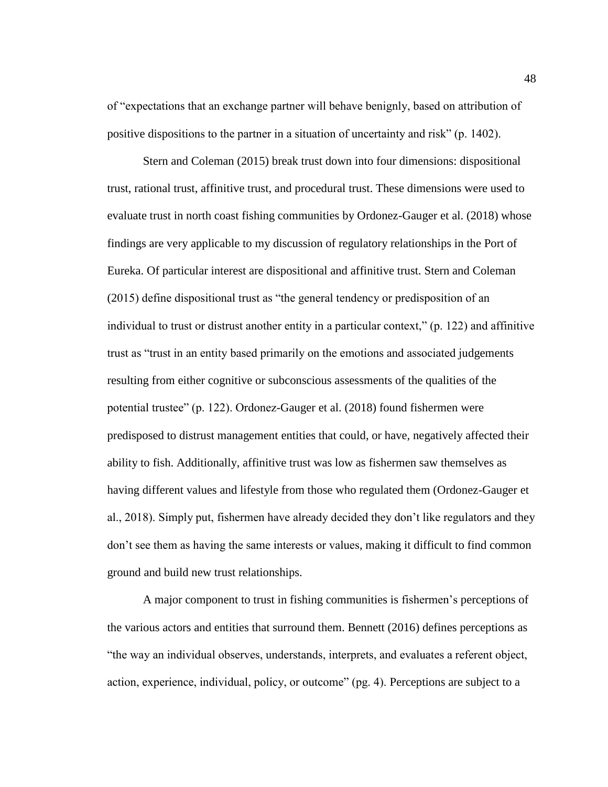of "expectations that an exchange partner will behave benignly, based on attribution of positive dispositions to the partner in a situation of uncertainty and risk" (p. 1402).

Stern and Coleman (2015) break trust down into four dimensions: dispositional trust, rational trust, affinitive trust, and procedural trust. These dimensions were used to evaluate trust in north coast fishing communities by Ordonez-Gauger et al. (2018) whose findings are very applicable to my discussion of regulatory relationships in the Port of Eureka. Of particular interest are dispositional and affinitive trust. Stern and Coleman (2015) define dispositional trust as "the general tendency or predisposition of an individual to trust or distrust another entity in a particular context," (p. 122) and affinitive trust as "trust in an entity based primarily on the emotions and associated judgements resulting from either cognitive or subconscious assessments of the qualities of the potential trustee" (p. 122). Ordonez-Gauger et al. (2018) found fishermen were predisposed to distrust management entities that could, or have, negatively affected their ability to fish. Additionally, affinitive trust was low as fishermen saw themselves as having different values and lifestyle from those who regulated them (Ordonez-Gauger et al., 2018). Simply put, fishermen have already decided they don't like regulators and they don't see them as having the same interests or values, making it difficult to find common ground and build new trust relationships.

A major component to trust in fishing communities is fishermen's perceptions of the various actors and entities that surround them. Bennett (2016) defines perceptions as "the way an individual observes, understands, interprets, and evaluates a referent object, action, experience, individual, policy, or outcome" (pg. 4). Perceptions are subject to a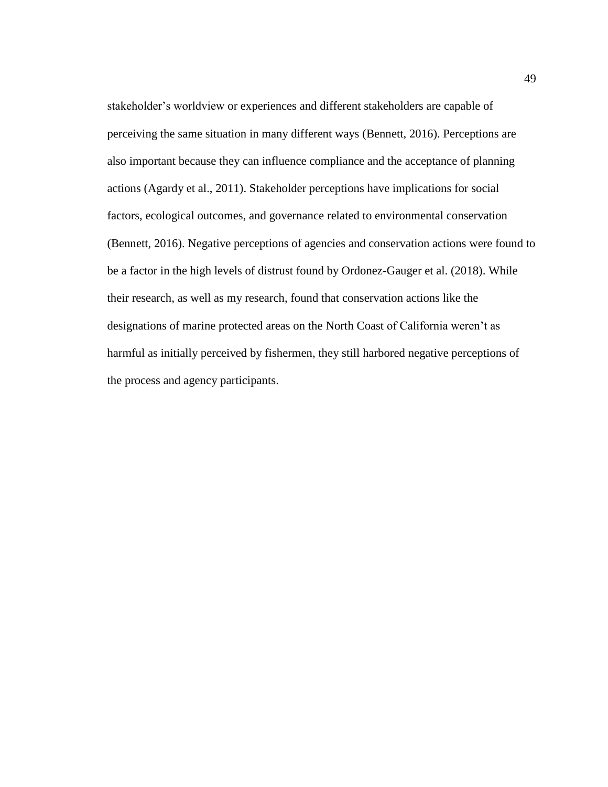stakeholder's worldview or experiences and different stakeholders are capable of perceiving the same situation in many different ways (Bennett, 2016). Perceptions are also important because they can influence compliance and the acceptance of planning actions (Agardy et al., 2011). Stakeholder perceptions have implications for social factors, ecological outcomes, and governance related to environmental conservation (Bennett, 2016). Negative perceptions of agencies and conservation actions were found to be a factor in the high levels of distrust found by Ordonez-Gauger et al. (2018). While their research, as well as my research, found that conservation actions like the designations of marine protected areas on the North Coast of California weren't as harmful as initially perceived by fishermen, they still harbored negative perceptions of the process and agency participants.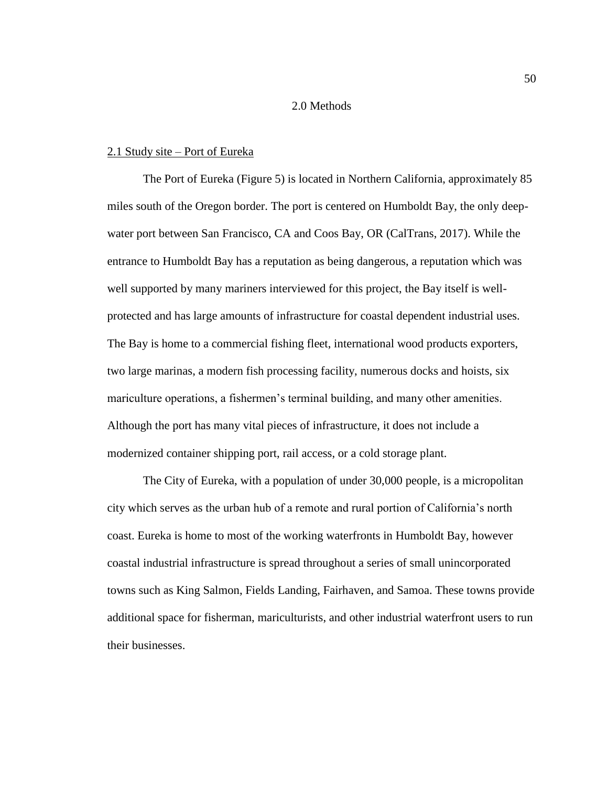## 2.0 Methods

#### 2.1 Study site – Port of Eureka

The Port of Eureka [\(Figure 5\)](#page-57-0) is located in Northern California, approximately 85 miles south of the Oregon border. The port is centered on Humboldt Bay, the only deepwater port between San Francisco, CA and Coos Bay, OR (CalTrans, 2017). While the entrance to Humboldt Bay has a reputation as being dangerous, a reputation which was well supported by many mariners interviewed for this project, the Bay itself is wellprotected and has large amounts of infrastructure for coastal dependent industrial uses. The Bay is home to a commercial fishing fleet, international wood products exporters, two large marinas, a modern fish processing facility, numerous docks and hoists, six mariculture operations, a fishermen's terminal building, and many other amenities. Although the port has many vital pieces of infrastructure, it does not include a modernized container shipping port, rail access, or a cold storage plant.

The City of Eureka, with a population of under 30,000 people, is a micropolitan city which serves as the urban hub of a remote and rural portion of California's north coast. Eureka is home to most of the working waterfronts in Humboldt Bay, however coastal industrial infrastructure is spread throughout a series of small unincorporated towns such as King Salmon, Fields Landing, Fairhaven, and Samoa. These towns provide additional space for fisherman, mariculturists, and other industrial waterfront users to run their businesses.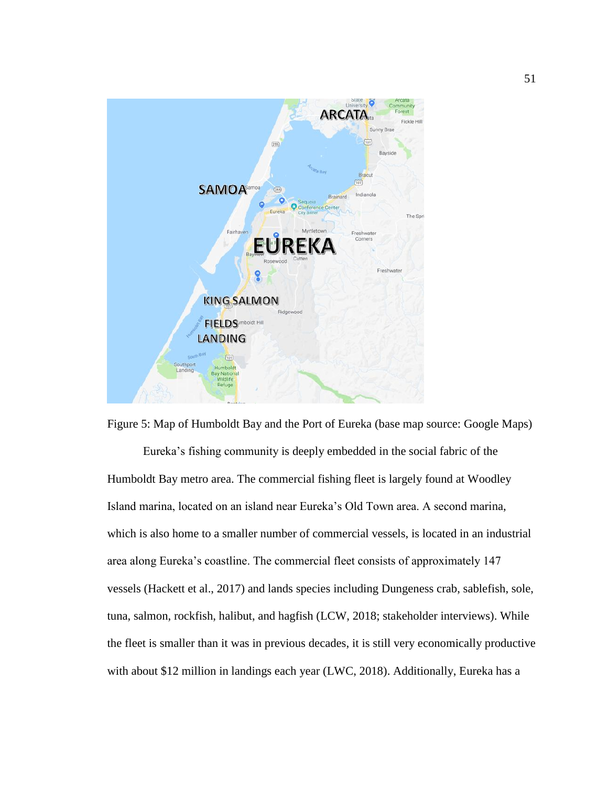

<span id="page-57-0"></span>Figure 5: Map of Humboldt Bay and the Port of Eureka (base map source: Google Maps) Eureka's fishing community is deeply embedded in the social fabric of the Humboldt Bay metro area. The commercial fishing fleet is largely found at Woodley Island marina, located on an island near Eureka's Old Town area. A second marina, which is also home to a smaller number of commercial vessels, is located in an industrial area along Eureka's coastline. The commercial fleet consists of approximately 147 vessels (Hackett et al., 2017) and lands species including Dungeness crab, sablefish, sole, tuna, salmon, rockfish, halibut, and hagfish (LCW, 2018; stakeholder interviews). While the fleet is smaller than it was in previous decades, it is still very economically productive with about \$12 million in landings each year (LWC, 2018). Additionally, Eureka has a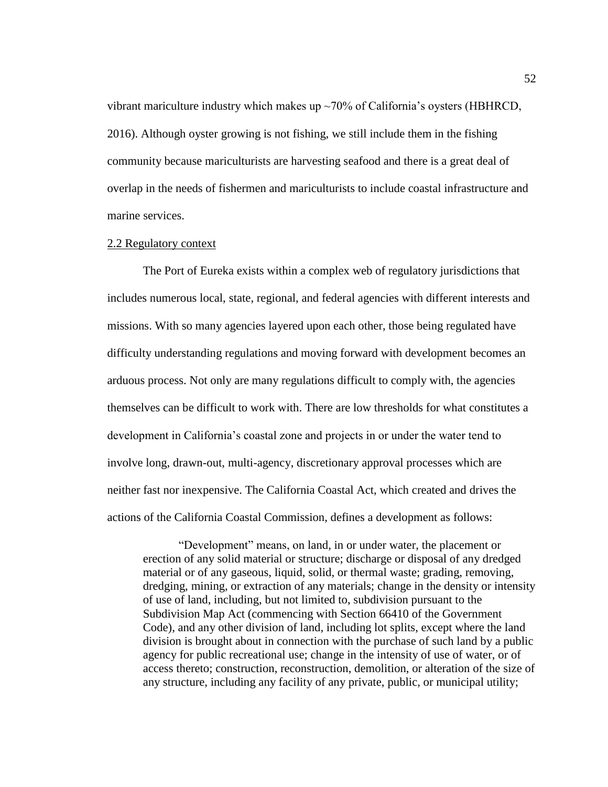vibrant mariculture industry which makes up  $\sim$  70% of California's oysters (HBHRCD, 2016). Although oyster growing is not fishing, we still include them in the fishing community because mariculturists are harvesting seafood and there is a great deal of overlap in the needs of fishermen and mariculturists to include coastal infrastructure and marine services.

#### 2.2 Regulatory context

The Port of Eureka exists within a complex web of regulatory jurisdictions that includes numerous local, state, regional, and federal agencies with different interests and missions. With so many agencies layered upon each other, those being regulated have difficulty understanding regulations and moving forward with development becomes an arduous process. Not only are many regulations difficult to comply with, the agencies themselves can be difficult to work with. There are low thresholds for what constitutes a development in California's coastal zone and projects in or under the water tend to involve long, drawn-out, multi-agency, discretionary approval processes which are neither fast nor inexpensive. The California Coastal Act, which created and drives the actions of the California Coastal Commission, defines a development as follows:

"Development" means, on land, in or under water, the placement or erection of any solid material or structure; discharge or disposal of any dredged material or of any gaseous, liquid, solid, or thermal waste; grading, removing, dredging, mining, or extraction of any materials; change in the density or intensity of use of land, including, but not limited to, subdivision pursuant to the Subdivision Map Act (commencing with Section 66410 of the Government Code), and any other division of land, including lot splits, except where the land division is brought about in connection with the purchase of such land by a public agency for public recreational use; change in the intensity of use of water, or of access thereto; construction, reconstruction, demolition, or alteration of the size of any structure, including any facility of any private, public, or municipal utility;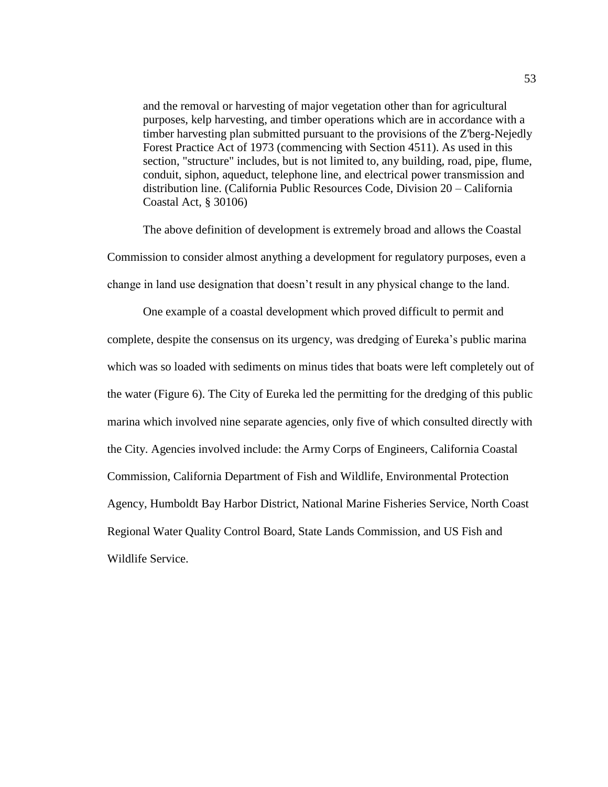and the removal or harvesting of major vegetation other than for agricultural purposes, kelp harvesting, and timber operations which are in accordance with a timber harvesting plan submitted pursuant to the provisions of the Z'berg-Nejedly Forest Practice Act of 1973 (commencing with Section 4511). As used in this section, "structure" includes, but is not limited to, any building, road, pipe, flume, conduit, siphon, aqueduct, telephone line, and electrical power transmission and distribution line. (California Public Resources Code, Division 20 – California Coastal Act, § 30106)

The above definition of development is extremely broad and allows the Coastal Commission to consider almost anything a development for regulatory purposes, even a change in land use designation that doesn't result in any physical change to the land.

One example of a coastal development which proved difficult to permit and complete, despite the consensus on its urgency, was dredging of Eureka's public marina which was so loaded with sediments on minus tides that boats were left completely out of the water [\(Figure 6\)](#page-60-0). The City of Eureka led the permitting for the dredging of this public marina which involved nine separate agencies, only five of which consulted directly with the City. Agencies involved include: the Army Corps of Engineers, California Coastal Commission, California Department of Fish and Wildlife, Environmental Protection Agency, Humboldt Bay Harbor District, National Marine Fisheries Service, North Coast Regional Water Quality Control Board, State Lands Commission, and US Fish and Wildlife Service.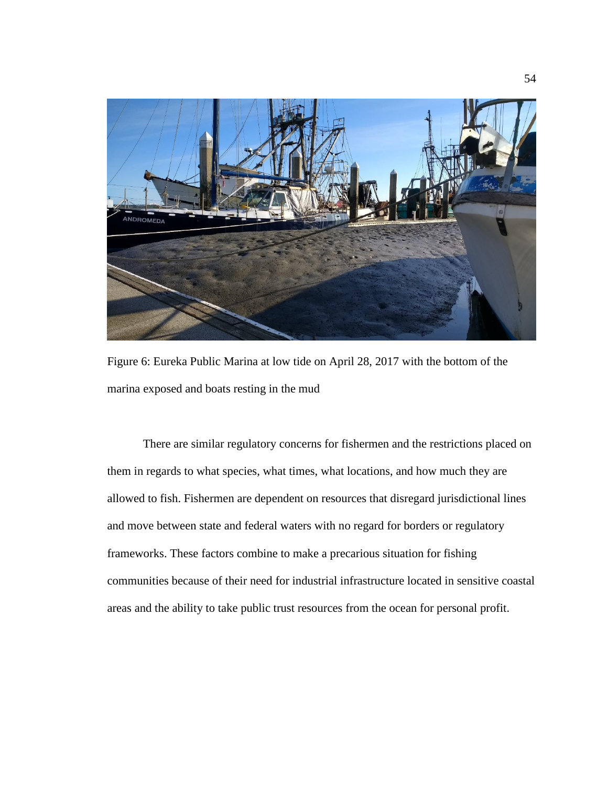

Figure 6: Eureka Public Marina at low tide on April 28, 2017 with the bottom of the marina exposed and boats resting in the mud

<span id="page-60-0"></span>There are similar regulatory concerns for fishermen and the restrictions placed on them in regards to what species, what times, what locations, and how much they are allowed to fish. Fishermen are dependent on resources that disregard jurisdictional lines and move between state and federal waters with no regard for borders or regulatory frameworks. These factors combine to make a precarious situation for fishing communities because of their need for industrial infrastructure located in sensitive coastal areas and the ability to take public trust resources from the ocean for personal profit.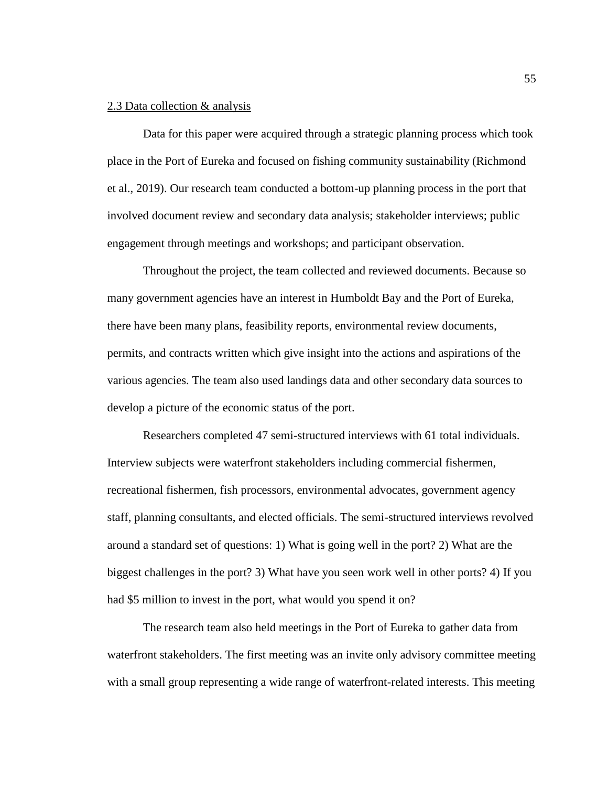# 2.3 Data collection & analysis

Data for this paper were acquired through a strategic planning process which took place in the Port of Eureka and focused on fishing community sustainability (Richmond et al., 2019). Our research team conducted a bottom-up planning process in the port that involved document review and secondary data analysis; stakeholder interviews; public engagement through meetings and workshops; and participant observation.

Throughout the project, the team collected and reviewed documents. Because so many government agencies have an interest in Humboldt Bay and the Port of Eureka, there have been many plans, feasibility reports, environmental review documents, permits, and contracts written which give insight into the actions and aspirations of the various agencies. The team also used landings data and other secondary data sources to develop a picture of the economic status of the port.

Researchers completed 47 semi-structured interviews with 61 total individuals. Interview subjects were waterfront stakeholders including commercial fishermen, recreational fishermen, fish processors, environmental advocates, government agency staff, planning consultants, and elected officials. The semi-structured interviews revolved around a standard set of questions: 1) What is going well in the port? 2) What are the biggest challenges in the port? 3) What have you seen work well in other ports? 4) If you had \$5 million to invest in the port, what would you spend it on?

The research team also held meetings in the Port of Eureka to gather data from waterfront stakeholders. The first meeting was an invite only advisory committee meeting with a small group representing a wide range of waterfront-related interests. This meeting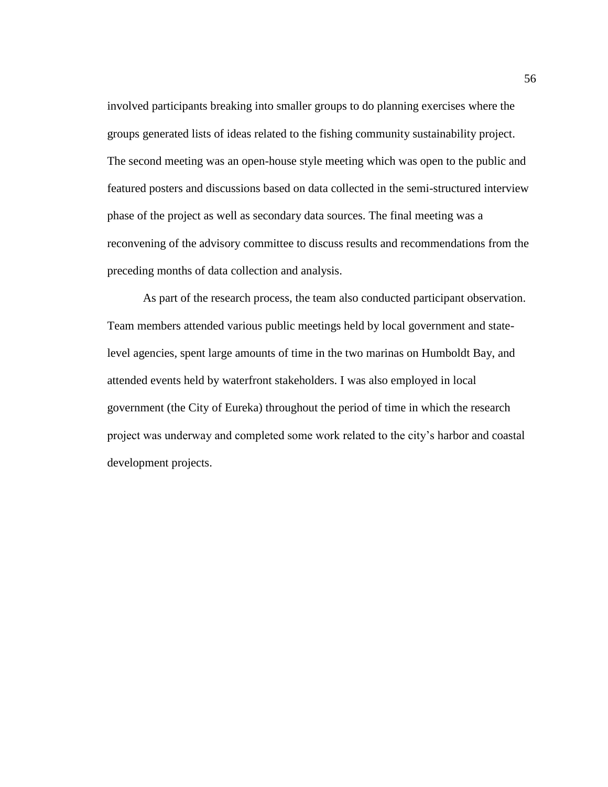involved participants breaking into smaller groups to do planning exercises where the groups generated lists of ideas related to the fishing community sustainability project. The second meeting was an open-house style meeting which was open to the public and featured posters and discussions based on data collected in the semi-structured interview phase of the project as well as secondary data sources. The final meeting was a reconvening of the advisory committee to discuss results and recommendations from the preceding months of data collection and analysis.

As part of the research process, the team also conducted participant observation. Team members attended various public meetings held by local government and statelevel agencies, spent large amounts of time in the two marinas on Humboldt Bay, and attended events held by waterfront stakeholders. I was also employed in local government (the City of Eureka) throughout the period of time in which the research project was underway and completed some work related to the city's harbor and coastal development projects.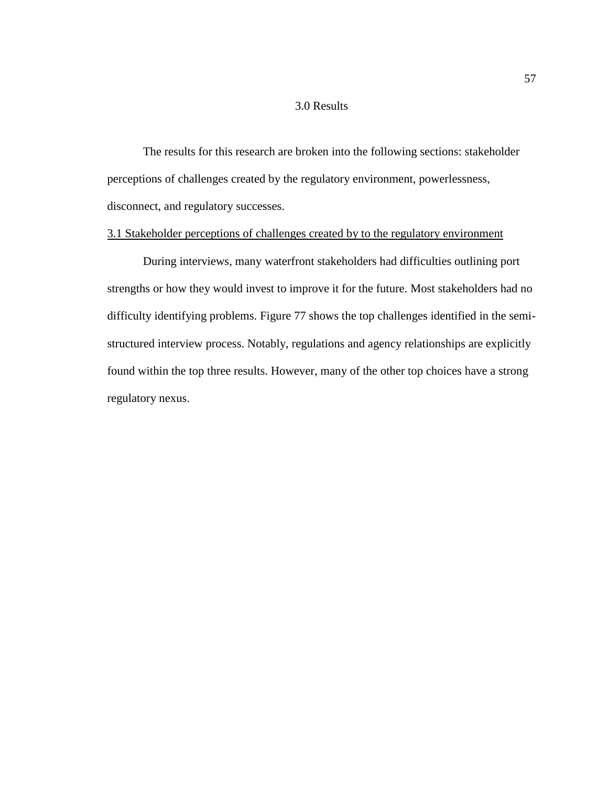# 3.0 Results

The results for this research are broken into the following sections: stakeholder perceptions of challenges created by the regulatory environment, powerlessness, disconnect, and regulatory successes.

## 3.1 Stakeholder perceptions of challenges created by to the regulatory environment

During interviews, many waterfront stakeholders had difficulties outlining port strengths or how they would invest to improve it for the future. Most stakeholders had no difficulty identifying problems. [Figure 77](#page-64-0) shows the top challenges identified in the semistructured interview process. Notably, regulations and agency relationships are explicitly found within the top three results. However, many of the other top choices have a strong regulatory nexus.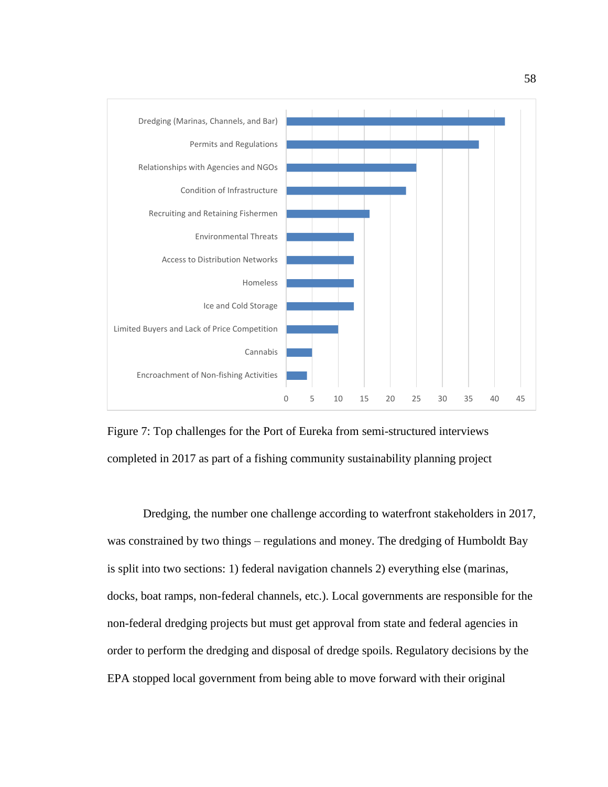

<span id="page-64-0"></span>

Dredging, the number one challenge according to waterfront stakeholders in 2017, was constrained by two things – regulations and money. The dredging of Humboldt Bay is split into two sections: 1) federal navigation channels 2) everything else (marinas, docks, boat ramps, non-federal channels, etc.). Local governments are responsible for the non-federal dredging projects but must get approval from state and federal agencies in order to perform the dredging and disposal of dredge spoils. Regulatory decisions by the EPA stopped local government from being able to move forward with their original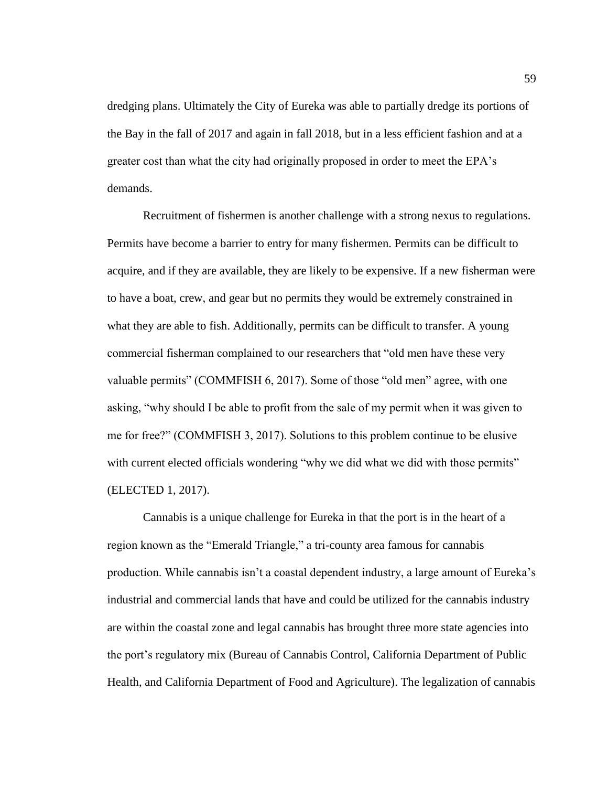dredging plans. Ultimately the City of Eureka was able to partially dredge its portions of the Bay in the fall of 2017 and again in fall 2018, but in a less efficient fashion and at a greater cost than what the city had originally proposed in order to meet the EPA's demands.

Recruitment of fishermen is another challenge with a strong nexus to regulations. Permits have become a barrier to entry for many fishermen. Permits can be difficult to acquire, and if they are available, they are likely to be expensive. If a new fisherman were to have a boat, crew, and gear but no permits they would be extremely constrained in what they are able to fish. Additionally, permits can be difficult to transfer. A young commercial fisherman complained to our researchers that "old men have these very valuable permits" (COMMFISH 6, 2017). Some of those "old men" agree, with one asking, "why should I be able to profit from the sale of my permit when it was given to me for free?" (COMMFISH 3, 2017). Solutions to this problem continue to be elusive with current elected officials wondering "why we did what we did with those permits" (ELECTED 1, 2017).

Cannabis is a unique challenge for Eureka in that the port is in the heart of a region known as the "Emerald Triangle," a tri-county area famous for cannabis production. While cannabis isn't a coastal dependent industry, a large amount of Eureka's industrial and commercial lands that have and could be utilized for the cannabis industry are within the coastal zone and legal cannabis has brought three more state agencies into the port's regulatory mix (Bureau of Cannabis Control, California Department of Public Health, and California Department of Food and Agriculture). The legalization of cannabis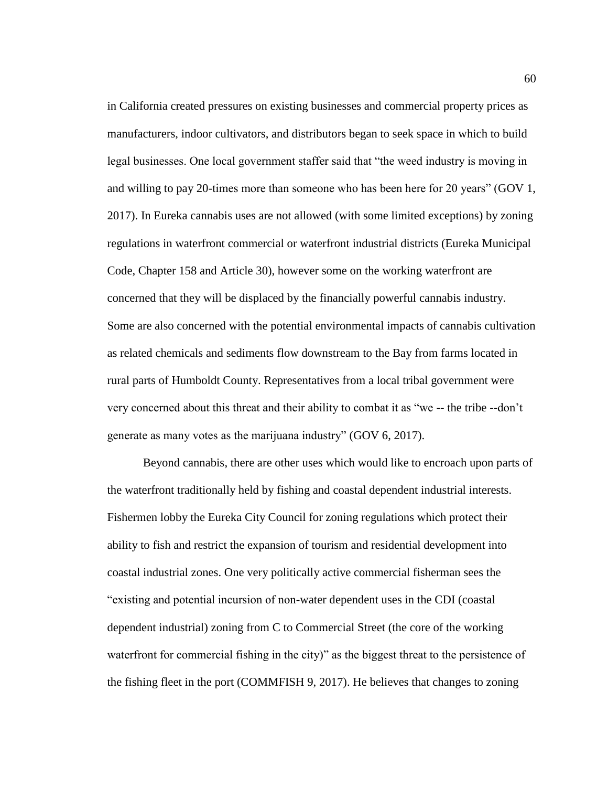in California created pressures on existing businesses and commercial property prices as manufacturers, indoor cultivators, and distributors began to seek space in which to build legal businesses. One local government staffer said that "the weed industry is moving in and willing to pay 20-times more than someone who has been here for 20 years" (GOV 1, 2017). In Eureka cannabis uses are not allowed (with some limited exceptions) by zoning regulations in waterfront commercial or waterfront industrial districts (Eureka Municipal Code, Chapter 158 and Article 30), however some on the working waterfront are concerned that they will be displaced by the financially powerful cannabis industry. Some are also concerned with the potential environmental impacts of cannabis cultivation as related chemicals and sediments flow downstream to the Bay from farms located in rural parts of Humboldt County. Representatives from a local tribal government were very concerned about this threat and their ability to combat it as "we -- the tribe --don't generate as many votes as the marijuana industry" (GOV 6, 2017).

Beyond cannabis, there are other uses which would like to encroach upon parts of the waterfront traditionally held by fishing and coastal dependent industrial interests. Fishermen lobby the Eureka City Council for zoning regulations which protect their ability to fish and restrict the expansion of tourism and residential development into coastal industrial zones. One very politically active commercial fisherman sees the "existing and potential incursion of non-water dependent uses in the CDI (coastal dependent industrial) zoning from C to Commercial Street (the core of the working waterfront for commercial fishing in the city)" as the biggest threat to the persistence of the fishing fleet in the port (COMMFISH 9, 2017). He believes that changes to zoning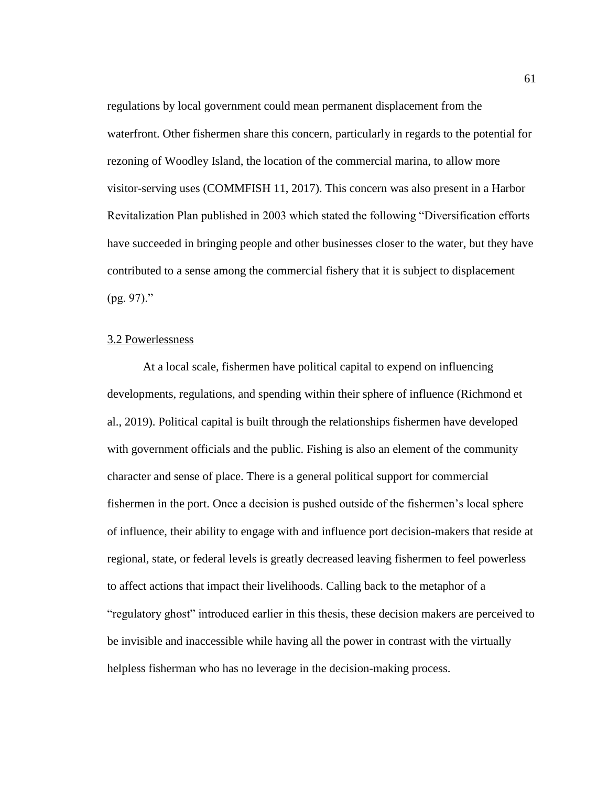regulations by local government could mean permanent displacement from the waterfront. Other fishermen share this concern, particularly in regards to the potential for rezoning of Woodley Island, the location of the commercial marina, to allow more visitor-serving uses (COMMFISH 11, 2017). This concern was also present in a Harbor Revitalization Plan published in 2003 which stated the following "Diversification efforts have succeeded in bringing people and other businesses closer to the water, but they have contributed to a sense among the commercial fishery that it is subject to displacement (pg. 97)."

## 3.2 Powerlessness

At a local scale, fishermen have political capital to expend on influencing developments, regulations, and spending within their sphere of influence (Richmond et al., 2019). Political capital is built through the relationships fishermen have developed with government officials and the public. Fishing is also an element of the community character and sense of place. There is a general political support for commercial fishermen in the port. Once a decision is pushed outside of the fishermen's local sphere of influence, their ability to engage with and influence port decision-makers that reside at regional, state, or federal levels is greatly decreased leaving fishermen to feel powerless to affect actions that impact their livelihoods. Calling back to the metaphor of a "regulatory ghost" introduced earlier in this thesis, these decision makers are perceived to be invisible and inaccessible while having all the power in contrast with the virtually helpless fisherman who has no leverage in the decision-making process.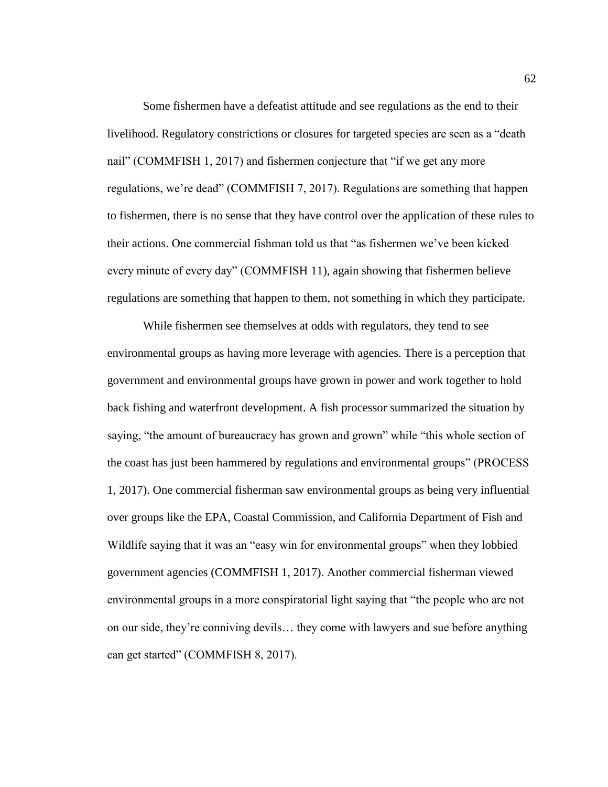Some fishermen have a defeatist attitude and see regulations as the end to their livelihood. Regulatory constrictions or closures for targeted species are seen as a "death nail" (COMMFISH 1, 2017) and fishermen conjecture that "if we get any more regulations, we're dead" (COMMFISH 7, 2017). Regulations are something that happen to fishermen, there is no sense that they have control over the application of these rules to their actions. One commercial fishman told us that "as fishermen we've been kicked every minute of every day" (COMMFISH 11), again showing that fishermen believe regulations are something that happen to them, not something in which they participate.

While fishermen see themselves at odds with regulators, they tend to see environmental groups as having more leverage with agencies. There is a perception that government and environmental groups have grown in power and work together to hold back fishing and waterfront development. A fish processor summarized the situation by saying, "the amount of bureaucracy has grown and grown" while "this whole section of the coast has just been hammered by regulations and environmental groups" (PROCESS 1, 2017). One commercial fisherman saw environmental groups as being very influential over groups like the EPA, Coastal Commission, and California Department of Fish and Wildlife saying that it was an "easy win for environmental groups" when they lobbied government agencies (COMMFISH 1, 2017). Another commercial fisherman viewed environmental groups in a more conspiratorial light saying that "the people who are not on our side, they're conniving devils… they come with lawyers and sue before anything can get started" (COMMFISH 8, 2017).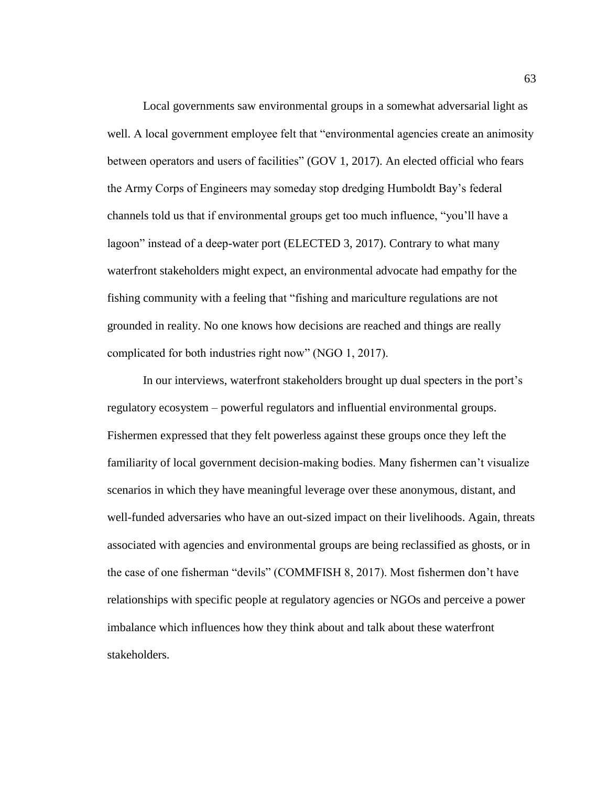Local governments saw environmental groups in a somewhat adversarial light as well. A local government employee felt that "environmental agencies create an animosity between operators and users of facilities" (GOV 1, 2017). An elected official who fears the Army Corps of Engineers may someday stop dredging Humboldt Bay's federal channels told us that if environmental groups get too much influence, "you'll have a lagoon" instead of a deep-water port (ELECTED 3, 2017). Contrary to what many waterfront stakeholders might expect, an environmental advocate had empathy for the fishing community with a feeling that "fishing and mariculture regulations are not grounded in reality. No one knows how decisions are reached and things are really complicated for both industries right now" (NGO 1, 2017).

In our interviews, waterfront stakeholders brought up dual specters in the port's regulatory ecosystem – powerful regulators and influential environmental groups. Fishermen expressed that they felt powerless against these groups once they left the familiarity of local government decision-making bodies. Many fishermen can't visualize scenarios in which they have meaningful leverage over these anonymous, distant, and well-funded adversaries who have an out-sized impact on their livelihoods. Again, threats associated with agencies and environmental groups are being reclassified as ghosts, or in the case of one fisherman "devils" (COMMFISH 8, 2017). Most fishermen don't have relationships with specific people at regulatory agencies or NGOs and perceive a power imbalance which influences how they think about and talk about these waterfront stakeholders.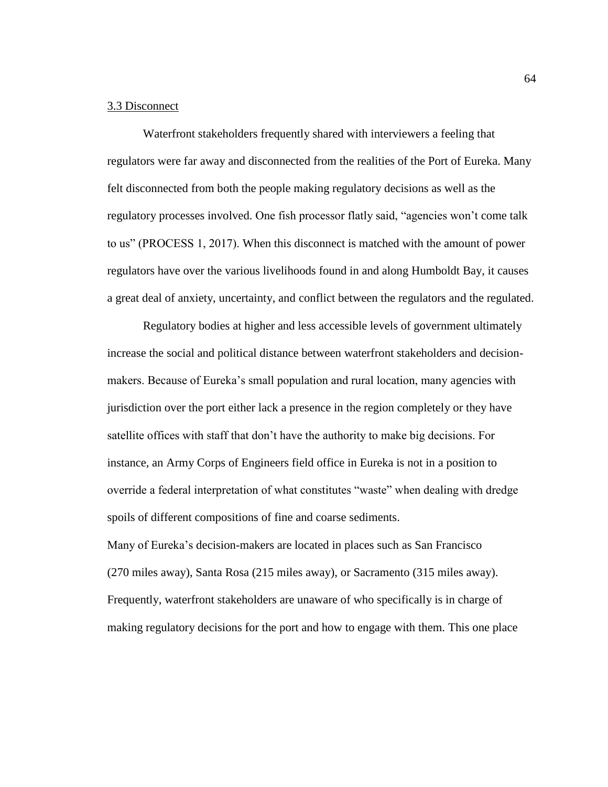# 3.3 Disconnect

Waterfront stakeholders frequently shared with interviewers a feeling that regulators were far away and disconnected from the realities of the Port of Eureka. Many felt disconnected from both the people making regulatory decisions as well as the regulatory processes involved. One fish processor flatly said, "agencies won't come talk to us" (PROCESS 1, 2017). When this disconnect is matched with the amount of power regulators have over the various livelihoods found in and along Humboldt Bay, it causes a great deal of anxiety, uncertainty, and conflict between the regulators and the regulated.

Regulatory bodies at higher and less accessible levels of government ultimately increase the social and political distance between waterfront stakeholders and decisionmakers. Because of Eureka's small population and rural location, many agencies with jurisdiction over the port either lack a presence in the region completely or they have satellite offices with staff that don't have the authority to make big decisions. For instance, an Army Corps of Engineers field office in Eureka is not in a position to override a federal interpretation of what constitutes "waste" when dealing with dredge spoils of different compositions of fine and coarse sediments.

Many of Eureka's decision-makers are located in places such as San Francisco (270 miles away), Santa Rosa (215 miles away), or Sacramento (315 miles away). Frequently, waterfront stakeholders are unaware of who specifically is in charge of making regulatory decisions for the port and how to engage with them. This one place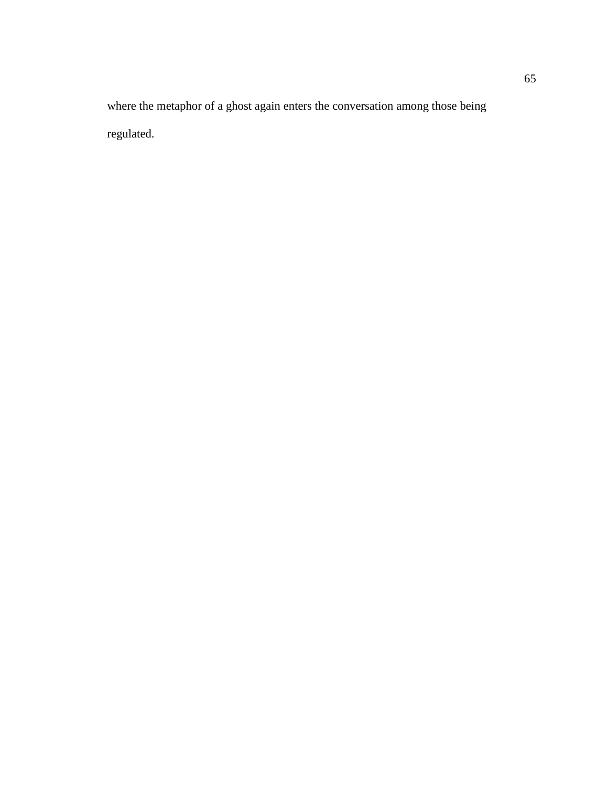where the metaphor of a ghost again enters the conversation among those being regulated.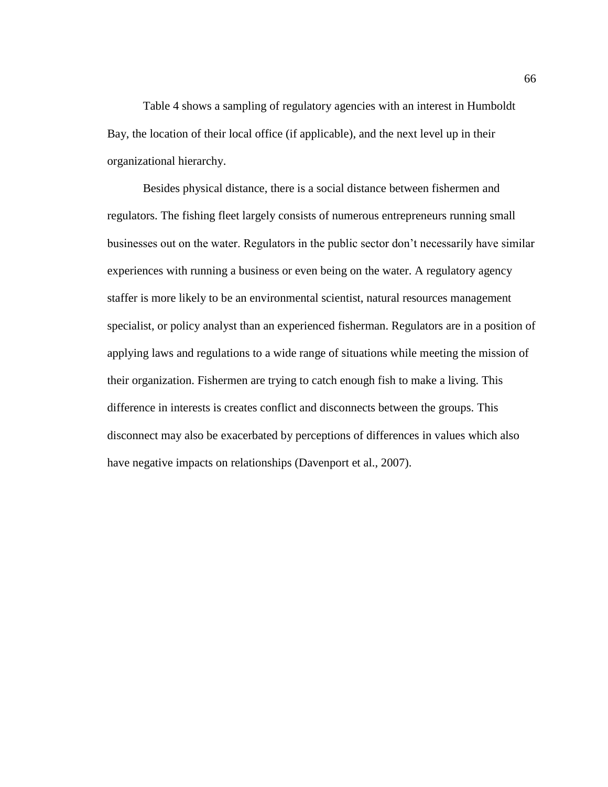[Table 4](#page-72-0) shows a sampling of regulatory agencies with an interest in Humboldt Bay, the location of their local office (if applicable), and the next level up in their organizational hierarchy.

<span id="page-72-0"></span>Besides physical distance, there is a social distance between fishermen and regulators. The fishing fleet largely consists of numerous entrepreneurs running small businesses out on the water. Regulators in the public sector don't necessarily have similar experiences with running a business or even being on the water. A regulatory agency staffer is more likely to be an environmental scientist, natural resources management specialist, or policy analyst than an experienced fisherman. Regulators are in a position of applying laws and regulations to a wide range of situations while meeting the mission of their organization. Fishermen are trying to catch enough fish to make a living. This difference in interests is creates conflict and disconnects between the groups. This disconnect may also be exacerbated by perceptions of differences in values which also have negative impacts on relationships (Davenport et al., 2007).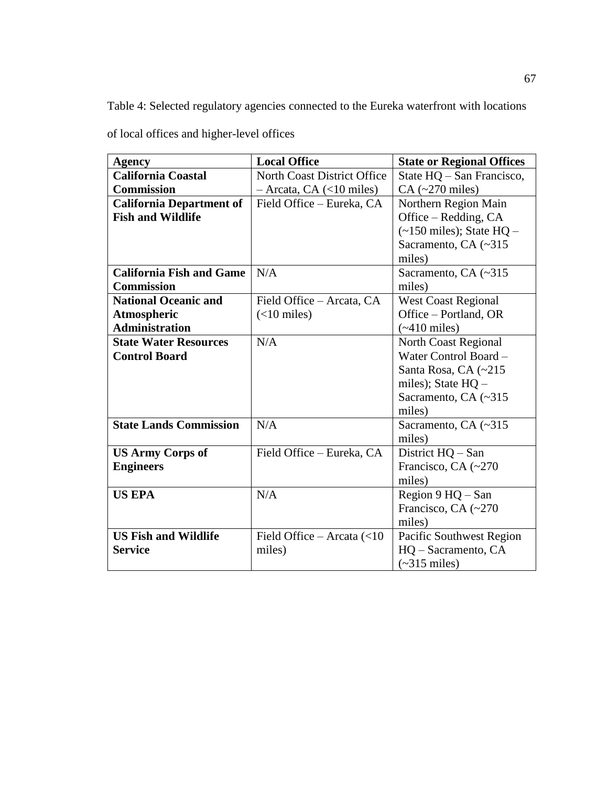Table 4: Selected regulatory agencies connected to the Eureka waterfront with locations

of local offices and higher-level offices

| <b>Agency</b>                   | <b>Local Office</b>                         | <b>State or Regional Offices</b>     |
|---------------------------------|---------------------------------------------|--------------------------------------|
| <b>California Coastal</b>       | <b>North Coast District Office</b>          | State HQ – San Francisco,            |
| <b>Commission</b>               | $-$ Arcata, CA (<10 miles)                  | $CA$ (~270 miles)                    |
| <b>California Department of</b> | Field Office – Eureka, CA                   | Northern Region Main                 |
| <b>Fish and Wildlife</b>        |                                             | Office – Redding, CA                 |
|                                 |                                             | $(-150 \text{ miles})$ ; State HQ –  |
|                                 |                                             | Sacramento, CA (~315                 |
|                                 |                                             | miles)                               |
| <b>California Fish and Game</b> | N/A                                         | Sacramento, CA (~315                 |
| <b>Commission</b>               |                                             | miles)                               |
| <b>National Oceanic and</b>     | Field Office - Arcata, CA                   | <b>West Coast Regional</b>           |
| <b>Atmospheric</b>              | $(<10$ miles)                               | Office – Portland, OR                |
| <b>Administration</b>           |                                             | $(*410$ miles)                       |
| <b>State Water Resources</b>    | N/A                                         | North Coast Regional                 |
| <b>Control Board</b>            |                                             | Water Control Board -                |
|                                 |                                             | Santa Rosa, CA (~215)                |
|                                 |                                             | miles); State $HQ -$                 |
|                                 |                                             | Sacramento, CA (~315                 |
|                                 |                                             | miles)                               |
| <b>State Lands Commission</b>   | N/A                                         | Sacramento, CA (~315                 |
|                                 |                                             | miles)                               |
| <b>US Army Corps of</b>         | Field Office - Eureka, CA                   | District HQ – San                    |
| <b>Engineers</b>                |                                             | Francisco, CA (~270                  |
|                                 |                                             | miles)                               |
| <b>US EPA</b>                   | N/A                                         | Region $9$ HQ $-$ San                |
|                                 |                                             | Francisco, CA $(-270)$               |
|                                 |                                             | miles)                               |
| <b>US Fish and Wildlife</b>     | Field Office - Arcata $\left( < 10 \right)$ | Pacific Southwest Region             |
| <b>Service</b>                  | miles)                                      | HQ - Sacramento, CA                  |
|                                 |                                             | $\left(\sim315 \text{ miles}\right)$ |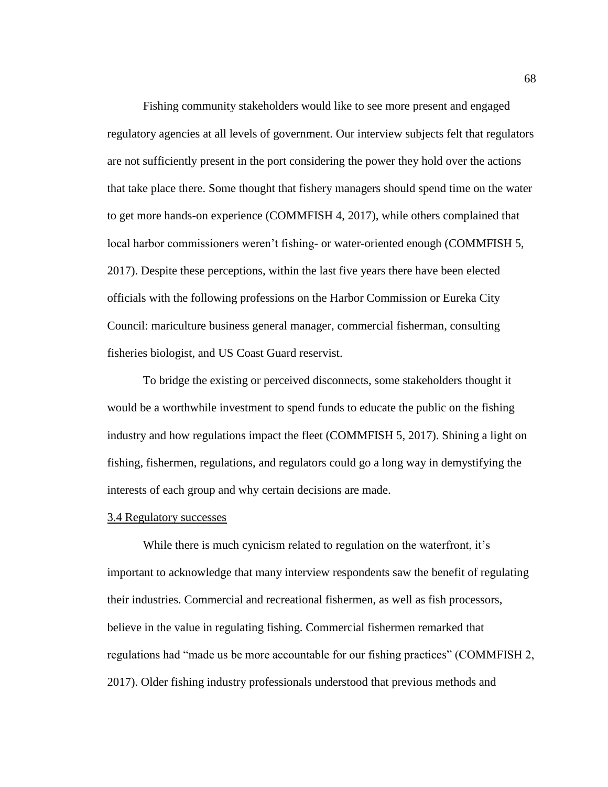Fishing community stakeholders would like to see more present and engaged regulatory agencies at all levels of government. Our interview subjects felt that regulators are not sufficiently present in the port considering the power they hold over the actions that take place there. Some thought that fishery managers should spend time on the water to get more hands-on experience (COMMFISH 4, 2017), while others complained that local harbor commissioners weren't fishing- or water-oriented enough (COMMFISH 5, 2017). Despite these perceptions, within the last five years there have been elected officials with the following professions on the Harbor Commission or Eureka City Council: mariculture business general manager, commercial fisherman, consulting fisheries biologist, and US Coast Guard reservist.

To bridge the existing or perceived disconnects, some stakeholders thought it would be a worthwhile investment to spend funds to educate the public on the fishing industry and how regulations impact the fleet (COMMFISH 5, 2017). Shining a light on fishing, fishermen, regulations, and regulators could go a long way in demystifying the interests of each group and why certain decisions are made.

### 3.4 Regulatory successes

While there is much cynicism related to regulation on the waterfront, it's important to acknowledge that many interview respondents saw the benefit of regulating their industries. Commercial and recreational fishermen, as well as fish processors, believe in the value in regulating fishing. Commercial fishermen remarked that regulations had "made us be more accountable for our fishing practices" (COMMFISH 2, 2017). Older fishing industry professionals understood that previous methods and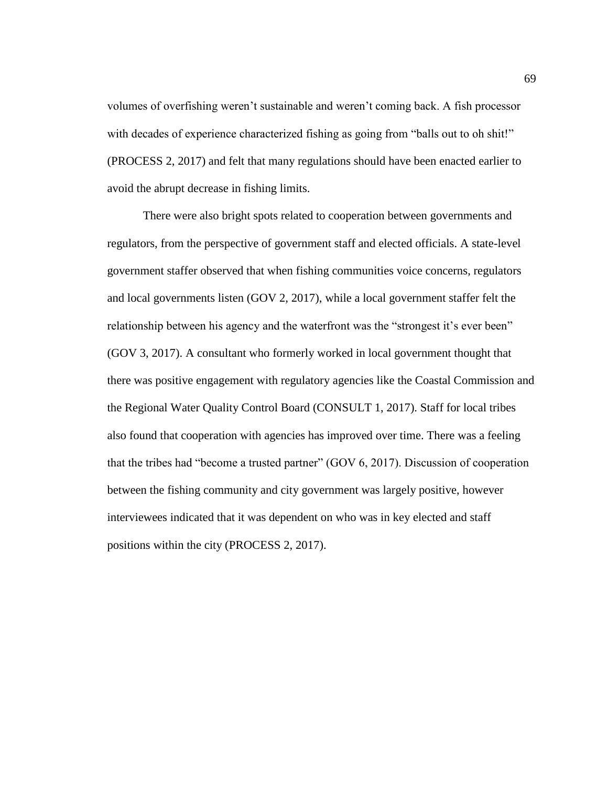volumes of overfishing weren't sustainable and weren't coming back. A fish processor with decades of experience characterized fishing as going from "balls out to oh shit!" (PROCESS 2, 2017) and felt that many regulations should have been enacted earlier to avoid the abrupt decrease in fishing limits.

There were also bright spots related to cooperation between governments and regulators, from the perspective of government staff and elected officials. A state-level government staffer observed that when fishing communities voice concerns, regulators and local governments listen (GOV 2, 2017), while a local government staffer felt the relationship between his agency and the waterfront was the "strongest it's ever been" (GOV 3, 2017). A consultant who formerly worked in local government thought that there was positive engagement with regulatory agencies like the Coastal Commission and the Regional Water Quality Control Board (CONSULT 1, 2017). Staff for local tribes also found that cooperation with agencies has improved over time. There was a feeling that the tribes had "become a trusted partner" (GOV 6, 2017). Discussion of cooperation between the fishing community and city government was largely positive, however interviewees indicated that it was dependent on who was in key elected and staff positions within the city (PROCESS 2, 2017).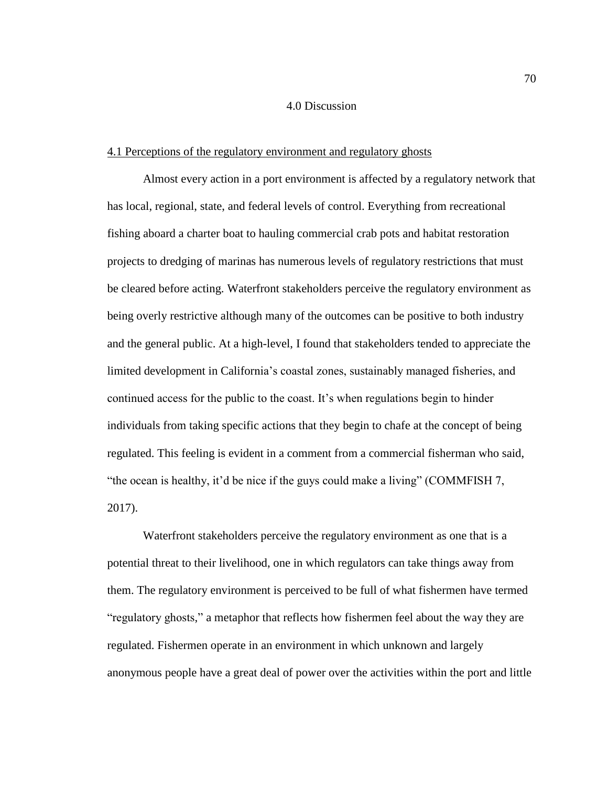# 4.0 Discussion

#### 4.1 Perceptions of the regulatory environment and regulatory ghosts

Almost every action in a port environment is affected by a regulatory network that has local, regional, state, and federal levels of control. Everything from recreational fishing aboard a charter boat to hauling commercial crab pots and habitat restoration projects to dredging of marinas has numerous levels of regulatory restrictions that must be cleared before acting. Waterfront stakeholders perceive the regulatory environment as being overly restrictive although many of the outcomes can be positive to both industry and the general public. At a high-level, I found that stakeholders tended to appreciate the limited development in California's coastal zones, sustainably managed fisheries, and continued access for the public to the coast. It's when regulations begin to hinder individuals from taking specific actions that they begin to chafe at the concept of being regulated. This feeling is evident in a comment from a commercial fisherman who said, "the ocean is healthy, it'd be nice if the guys could make a living" (COMMFISH 7, 2017).

Waterfront stakeholders perceive the regulatory environment as one that is a potential threat to their livelihood, one in which regulators can take things away from them. The regulatory environment is perceived to be full of what fishermen have termed "regulatory ghosts," a metaphor that reflects how fishermen feel about the way they are regulated. Fishermen operate in an environment in which unknown and largely anonymous people have a great deal of power over the activities within the port and little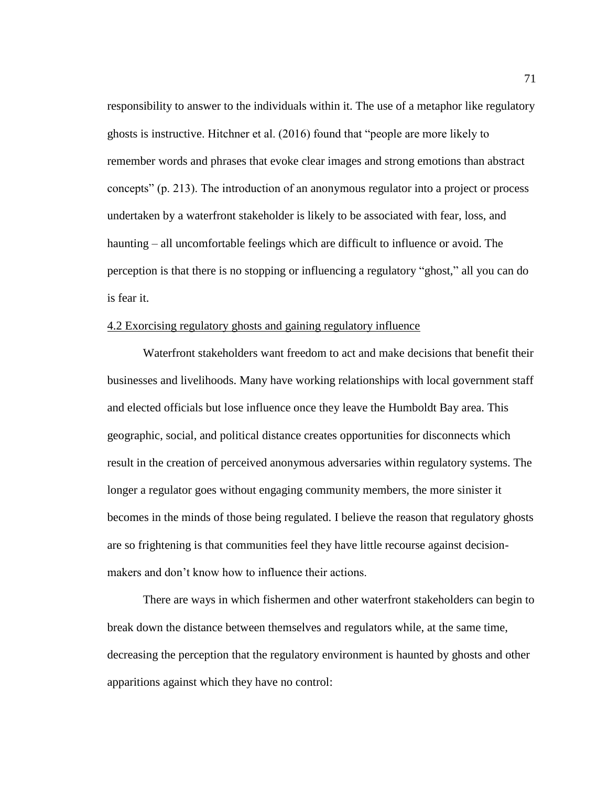responsibility to answer to the individuals within it. The use of a metaphor like regulatory ghosts is instructive. Hitchner et al. (2016) found that "people are more likely to remember words and phrases that evoke clear images and strong emotions than abstract concepts" (p. 213). The introduction of an anonymous regulator into a project or process undertaken by a waterfront stakeholder is likely to be associated with fear, loss, and haunting – all uncomfortable feelings which are difficult to influence or avoid. The perception is that there is no stopping or influencing a regulatory "ghost," all you can do is fear it.

#### 4.2 Exorcising regulatory ghosts and gaining regulatory influence

Waterfront stakeholders want freedom to act and make decisions that benefit their businesses and livelihoods. Many have working relationships with local government staff and elected officials but lose influence once they leave the Humboldt Bay area. This geographic, social, and political distance creates opportunities for disconnects which result in the creation of perceived anonymous adversaries within regulatory systems. The longer a regulator goes without engaging community members, the more sinister it becomes in the minds of those being regulated. I believe the reason that regulatory ghosts are so frightening is that communities feel they have little recourse against decisionmakers and don't know how to influence their actions.

There are ways in which fishermen and other waterfront stakeholders can begin to break down the distance between themselves and regulators while, at the same time, decreasing the perception that the regulatory environment is haunted by ghosts and other apparitions against which they have no control: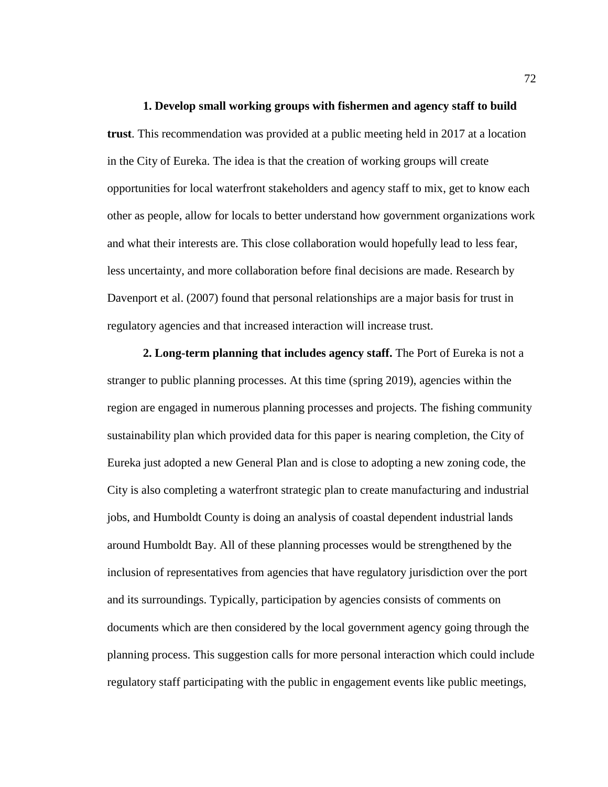**1. Develop small working groups with fishermen and agency staff to build trust**. This recommendation was provided at a public meeting held in 2017 at a location in the City of Eureka. The idea is that the creation of working groups will create opportunities for local waterfront stakeholders and agency staff to mix, get to know each other as people, allow for locals to better understand how government organizations work and what their interests are. This close collaboration would hopefully lead to less fear, less uncertainty, and more collaboration before final decisions are made. Research by Davenport et al. (2007) found that personal relationships are a major basis for trust in regulatory agencies and that increased interaction will increase trust.

**2. Long-term planning that includes agency staff.** The Port of Eureka is not a stranger to public planning processes. At this time (spring 2019), agencies within the region are engaged in numerous planning processes and projects. The fishing community sustainability plan which provided data for this paper is nearing completion, the City of Eureka just adopted a new General Plan and is close to adopting a new zoning code, the City is also completing a waterfront strategic plan to create manufacturing and industrial jobs, and Humboldt County is doing an analysis of coastal dependent industrial lands around Humboldt Bay. All of these planning processes would be strengthened by the inclusion of representatives from agencies that have regulatory jurisdiction over the port and its surroundings. Typically, participation by agencies consists of comments on documents which are then considered by the local government agency going through the planning process. This suggestion calls for more personal interaction which could include regulatory staff participating with the public in engagement events like public meetings,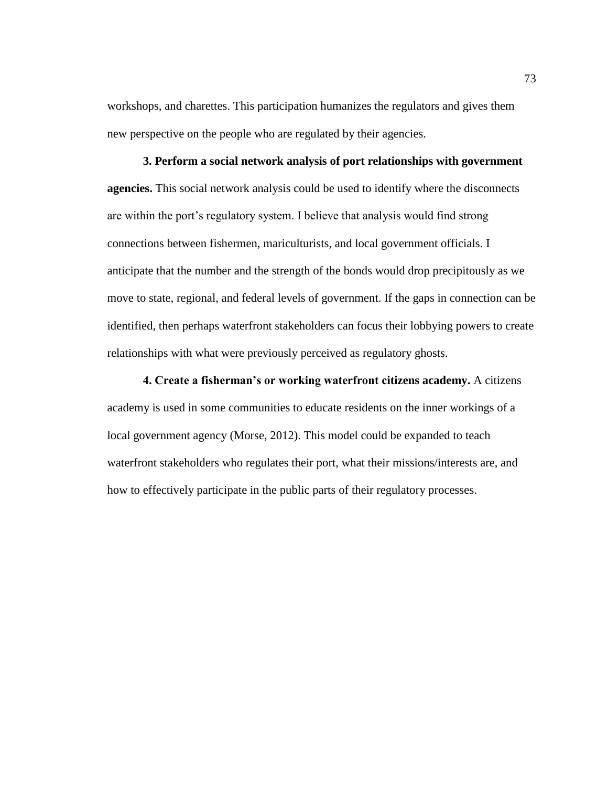workshops, and charettes. This participation humanizes the regulators and gives them new perspective on the people who are regulated by their agencies.

**3. Perform a social network analysis of port relationships with government agencies.** This social network analysis could be used to identify where the disconnects are within the port's regulatory system. I believe that analysis would find strong connections between fishermen, mariculturists, and local government officials. I anticipate that the number and the strength of the bonds would drop precipitously as we move to state, regional, and federal levels of government. If the gaps in connection can be identified, then perhaps waterfront stakeholders can focus their lobbying powers to create relationships with what were previously perceived as regulatory ghosts.

**4. Create a fisherman's or working waterfront citizens academy.** A citizens academy is used in some communities to educate residents on the inner workings of a local government agency (Morse, 2012). This model could be expanded to teach waterfront stakeholders who regulates their port, what their missions/interests are, and how to effectively participate in the public parts of their regulatory processes.

73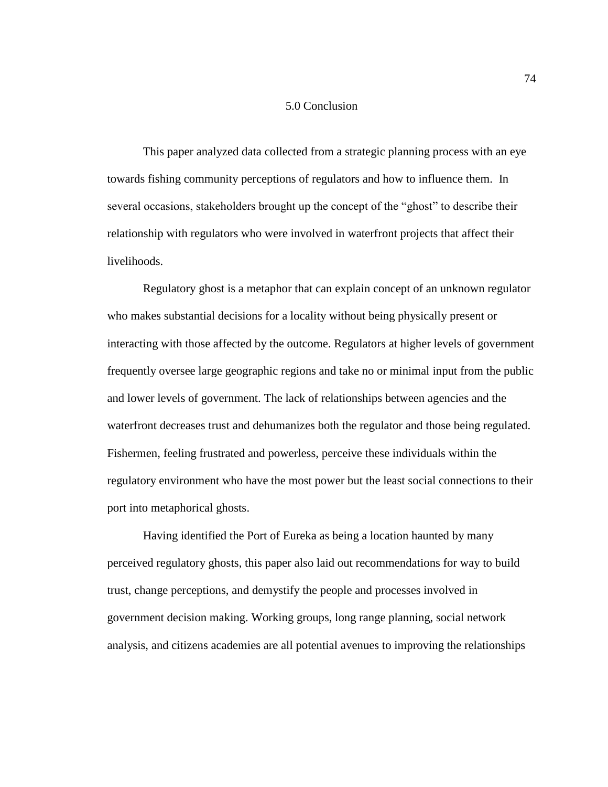# 5.0 Conclusion

This paper analyzed data collected from a strategic planning process with an eye towards fishing community perceptions of regulators and how to influence them. In several occasions, stakeholders brought up the concept of the "ghost" to describe their relationship with regulators who were involved in waterfront projects that affect their livelihoods.

Regulatory ghost is a metaphor that can explain concept of an unknown regulator who makes substantial decisions for a locality without being physically present or interacting with those affected by the outcome. Regulators at higher levels of government frequently oversee large geographic regions and take no or minimal input from the public and lower levels of government. The lack of relationships between agencies and the waterfront decreases trust and dehumanizes both the regulator and those being regulated. Fishermen, feeling frustrated and powerless, perceive these individuals within the regulatory environment who have the most power but the least social connections to their port into metaphorical ghosts.

Having identified the Port of Eureka as being a location haunted by many perceived regulatory ghosts, this paper also laid out recommendations for way to build trust, change perceptions, and demystify the people and processes involved in government decision making. Working groups, long range planning, social network analysis, and citizens academies are all potential avenues to improving the relationships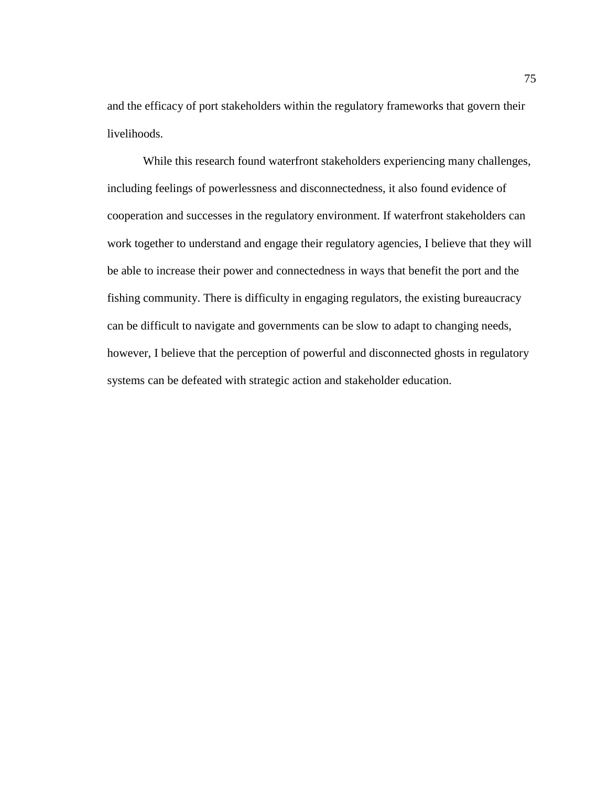and the efficacy of port stakeholders within the regulatory frameworks that govern their livelihoods.

While this research found waterfront stakeholders experiencing many challenges, including feelings of powerlessness and disconnectedness, it also found evidence of cooperation and successes in the regulatory environment. If waterfront stakeholders can work together to understand and engage their regulatory agencies, I believe that they will be able to increase their power and connectedness in ways that benefit the port and the fishing community. There is difficulty in engaging regulators, the existing bureaucracy can be difficult to navigate and governments can be slow to adapt to changing needs, however, I believe that the perception of powerful and disconnected ghosts in regulatory systems can be defeated with strategic action and stakeholder education.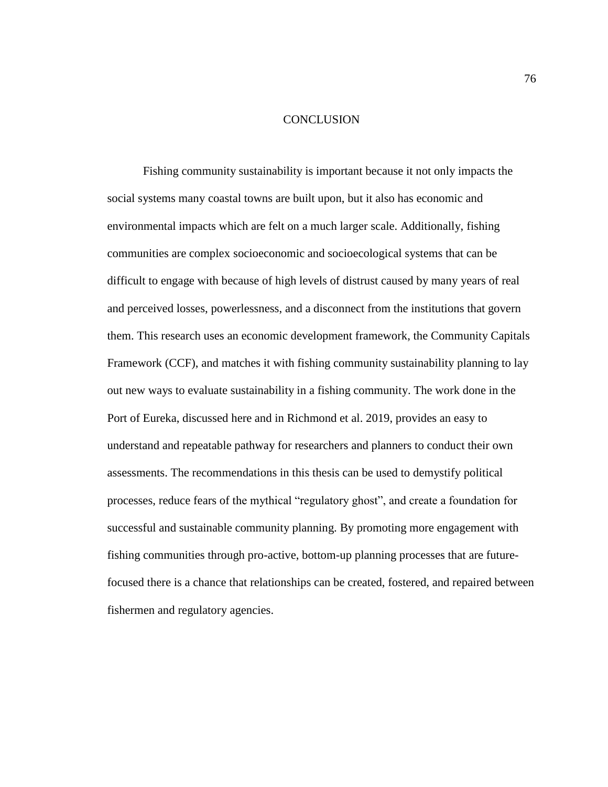# **CONCLUSION**

Fishing community sustainability is important because it not only impacts the social systems many coastal towns are built upon, but it also has economic and environmental impacts which are felt on a much larger scale. Additionally, fishing communities are complex socioeconomic and socioecological systems that can be difficult to engage with because of high levels of distrust caused by many years of real and perceived losses, powerlessness, and a disconnect from the institutions that govern them. This research uses an economic development framework, the Community Capitals Framework (CCF), and matches it with fishing community sustainability planning to lay out new ways to evaluate sustainability in a fishing community. The work done in the Port of Eureka, discussed here and in Richmond et al. 2019, provides an easy to understand and repeatable pathway for researchers and planners to conduct their own assessments. The recommendations in this thesis can be used to demystify political processes, reduce fears of the mythical "regulatory ghost", and create a foundation for successful and sustainable community planning. By promoting more engagement with fishing communities through pro-active, bottom-up planning processes that are futurefocused there is a chance that relationships can be created, fostered, and repaired between fishermen and regulatory agencies.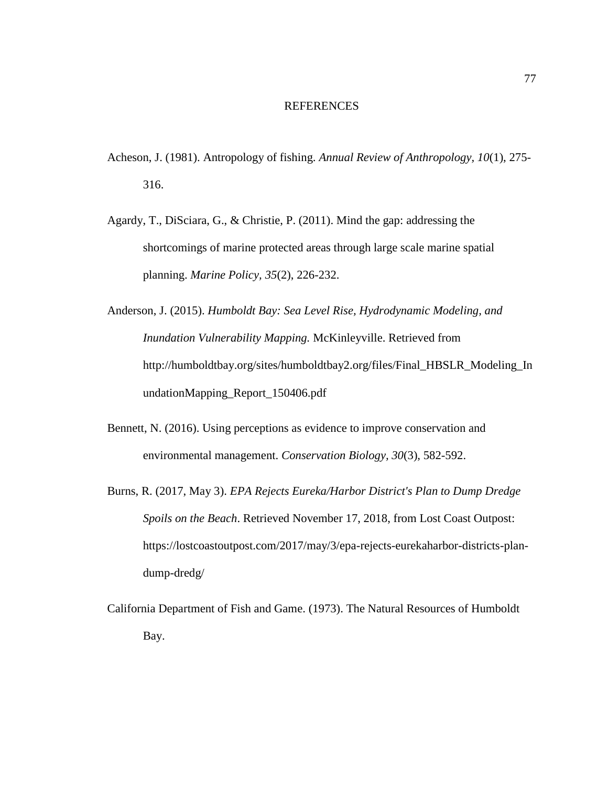### REFERENCES

- Acheson, J. (1981). Antropology of fishing. *Annual Review of Anthropology, 10*(1), 275- 316.
- Agardy, T., DiSciara, G., & Christie, P. (2011). Mind the gap: addressing the shortcomings of marine protected areas through large scale marine spatial planning. *Marine Policy, 35*(2), 226-232.
- Anderson, J. (2015). *Humboldt Bay: Sea Level Rise, Hydrodynamic Modeling, and Inundation Vulnerability Mapping.* McKinleyville. Retrieved from http://humboldtbay.org/sites/humboldtbay2.org/files/Final\_HBSLR\_Modeling\_In undationMapping\_Report\_150406.pdf
- Bennett, N. (2016). Using perceptions as evidence to improve conservation and environmental management. *Conservation Biology, 30*(3), 582-592.
- Burns, R. (2017, May 3). *EPA Rejects Eureka/Harbor District's Plan to Dump Dredge Spoils on the Beach*. Retrieved November 17, 2018, from Lost Coast Outpost: https://lostcoastoutpost.com/2017/may/3/epa-rejects-eurekaharbor-districts-plandump-dredg/
- California Department of Fish and Game. (1973). The Natural Resources of Humboldt Bay.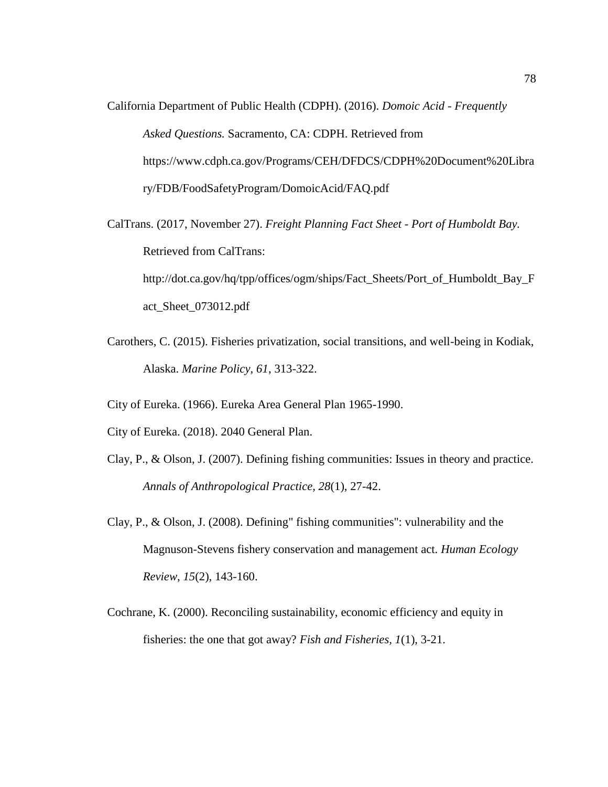California Department of Public Health (CDPH). (2016). *Domoic Acid - Frequently Asked Questions.* Sacramento, CA: CDPH. Retrieved from https://www.cdph.ca.gov/Programs/CEH/DFDCS/CDPH%20Document%20Libra ry/FDB/FoodSafetyProgram/DomoicAcid/FAQ.pdf

CalTrans. (2017, November 27). *Freight Planning Fact Sheet - Port of Humboldt Bay.* Retrieved from CalTrans: http://dot.ca.gov/hq/tpp/offices/ogm/ships/Fact\_Sheets/Port\_of\_Humboldt\_Bay\_F act\_Sheet\_073012.pdf

Carothers, C. (2015). Fisheries privatization, social transitions, and well-being in Kodiak, Alaska. *Marine Policy, 61*, 313-322.

City of Eureka. (1966). Eureka Area General Plan 1965-1990.

City of Eureka. (2018). 2040 General Plan.

- Clay, P., & Olson, J. (2007). Defining fishing communities: Issues in theory and practice. *Annals of Anthropological Practice, 28*(1), 27-42.
- Clay, P., & Olson, J. (2008). Defining" fishing communities": vulnerability and the Magnuson-Stevens fishery conservation and management act. *Human Ecology Review, 15*(2), 143-160.
- Cochrane, K. (2000). Reconciling sustainability, economic efficiency and equity in fisheries: the one that got away? *Fish and Fisheries, 1*(1), 3-21.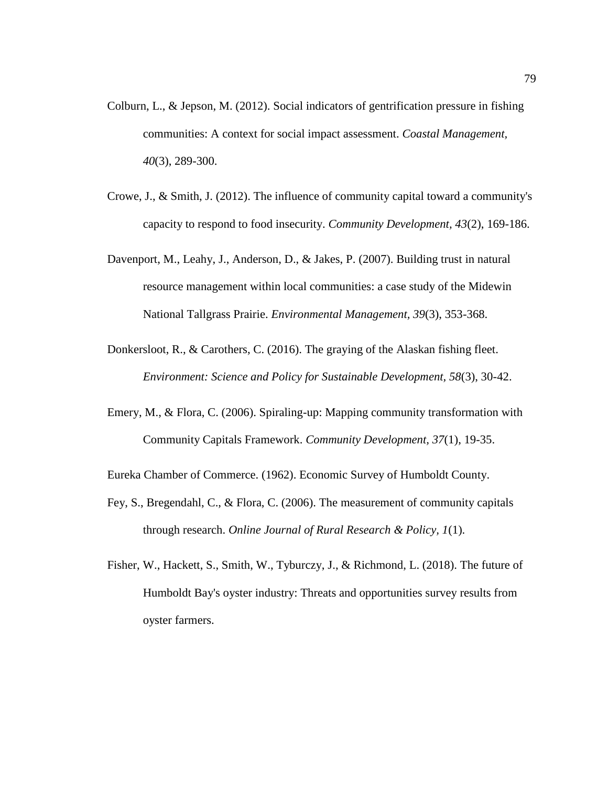- Colburn, L., & Jepson, M. (2012). Social indicators of gentrification pressure in fishing communities: A context for social impact assessment. *Coastal Management, 40*(3), 289-300.
- Crowe, J., & Smith, J. (2012). The influence of community capital toward a community's capacity to respond to food insecurity. *Community Development, 43*(2), 169-186.
- Davenport, M., Leahy, J., Anderson, D., & Jakes, P. (2007). Building trust in natural resource management within local communities: a case study of the Midewin National Tallgrass Prairie. *Environmental Management, 39*(3), 353-368.
- Donkersloot, R., & Carothers, C. (2016). The graying of the Alaskan fishing fleet. *Environment: Science and Policy for Sustainable Development, 58*(3), 30-42.
- Emery, M., & Flora, C. (2006). Spiraling-up: Mapping community transformation with Community Capitals Framework. *Community Development, 37*(1), 19-35.
- Eureka Chamber of Commerce. (1962). Economic Survey of Humboldt County.
- Fey, S., Bregendahl, C., & Flora, C. (2006). The measurement of community capitals through research. *Online Journal of Rural Research & Policy, 1*(1).
- Fisher, W., Hackett, S., Smith, W., Tyburczy, J., & Richmond, L. (2018). The future of Humboldt Bay's oyster industry: Threats and opportunities survey results from oyster farmers.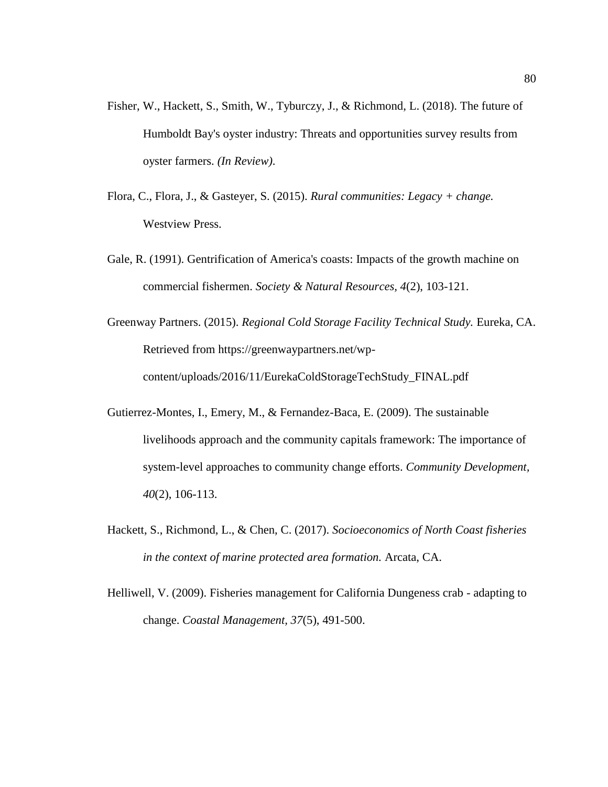- Fisher, W., Hackett, S., Smith, W., Tyburczy, J., & Richmond, L. (2018). The future of Humboldt Bay's oyster industry: Threats and opportunities survey results from oyster farmers. *(In Review)*.
- Flora, C., Flora, J., & Gasteyer, S. (2015). *Rural communities: Legacy + change.* Westview Press.
- Gale, R. (1991). Gentrification of America's coasts: Impacts of the growth machine on commercial fishermen. *Society & Natural Resources, 4*(2), 103-121.
- Greenway Partners. (2015). *Regional Cold Storage Facility Technical Study.* Eureka, CA. Retrieved from https://greenwaypartners.net/wpcontent/uploads/2016/11/EurekaColdStorageTechStudy\_FINAL.pdf
- Gutierrez-Montes, I., Emery, M., & Fernandez-Baca, E. (2009). The sustainable livelihoods approach and the community capitals framework: The importance of system-level approaches to community change efforts. *Community Development, 40*(2), 106-113.
- Hackett, S., Richmond, L., & Chen, C. (2017). *Socioeconomics of North Coast fisheries in the context of marine protected area formation.* Arcata, CA.
- Helliwell, V. (2009). Fisheries management for California Dungeness crab adapting to change. *Coastal Management, 37*(5), 491-500.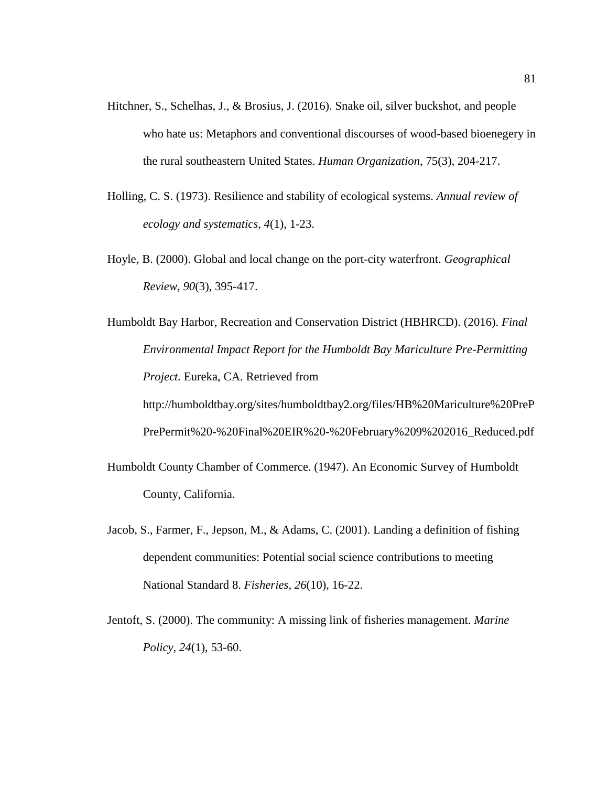- Hitchner, S., Schelhas, J., & Brosius, J. (2016). Snake oil, silver buckshot, and people who hate us: Metaphors and conventional discourses of wood-based bioenegery in the rural southeastern United States. *Human Organization,* 75(3), 204-217.
- Holling, C. S. (1973). Resilience and stability of ecological systems. *Annual review of ecology and systematics, 4*(1), 1-23.
- Hoyle, B. (2000). Global and local change on the port-city waterfront. *Geographical Review, 90*(3), 395-417.
- Humboldt Bay Harbor, Recreation and Conservation District (HBHRCD). (2016). *Final Environmental Impact Report for the Humboldt Bay Mariculture Pre-Permitting Project.* Eureka, CA. Retrieved from http://humboldtbay.org/sites/humboldtbay2.org/files/HB%20Mariculture%20PreP PrePermit%20-%20Final%20EIR%20-%20February%209%202016\_Reduced.pdf
- Humboldt County Chamber of Commerce. (1947). An Economic Survey of Humboldt County, California.
- Jacob, S., Farmer, F., Jepson, M., & Adams, C. (2001). Landing a definition of fishing dependent communities: Potential social science contributions to meeting National Standard 8. *Fisheries, 26*(10), 16-22.
- Jentoft, S. (2000). The community: A missing link of fisheries management. *Marine Policy, 24*(1), 53-60.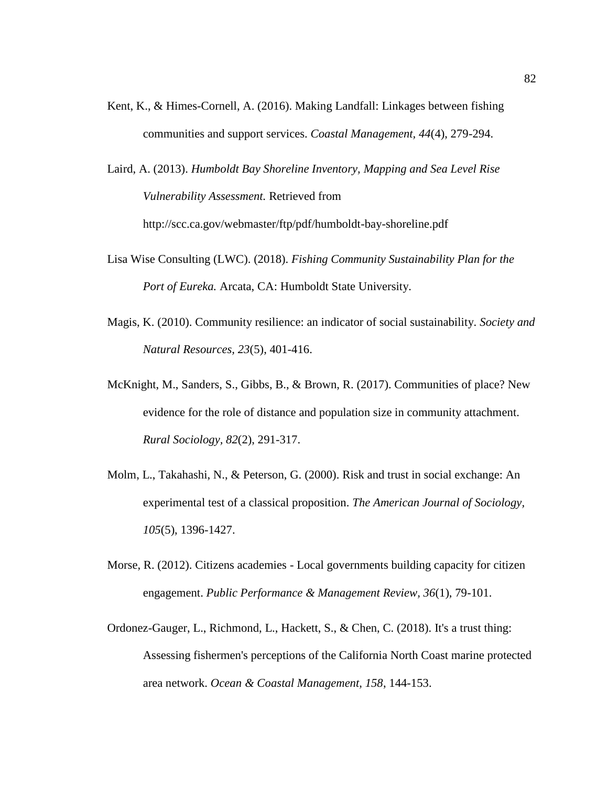- Kent, K., & Himes-Cornell, A. (2016). Making Landfall: Linkages between fishing communities and support services. *Coastal Management, 44*(4), 279-294.
- Laird, A. (2013). *Humboldt Bay Shoreline Inventory, Mapping and Sea Level Rise Vulnerability Assessment.* Retrieved from http://scc.ca.gov/webmaster/ftp/pdf/humboldt-bay-shoreline.pdf
- Lisa Wise Consulting (LWC). (2018). *Fishing Community Sustainability Plan for the Port of Eureka.* Arcata, CA: Humboldt State University.
- Magis, K. (2010). Community resilience: an indicator of social sustainability. *Society and Natural Resources, 23*(5), 401-416.
- McKnight, M., Sanders, S., Gibbs, B., & Brown, R. (2017). Communities of place? New evidence for the role of distance and population size in community attachment. *Rural Sociology, 82*(2), 291-317.
- Molm, L., Takahashi, N., & Peterson, G. (2000). Risk and trust in social exchange: An experimental test of a classical proposition. *The American Journal of Sociology, 105*(5), 1396-1427.
- Morse, R. (2012). Citizens academies Local governments building capacity for citizen engagement. *Public Performance & Management Review, 36*(1), 79-101.
- Ordonez-Gauger, L., Richmond, L., Hackett, S., & Chen, C. (2018). It's a trust thing: Assessing fishermen's perceptions of the California North Coast marine protected area network. *Ocean & Coastal Management, 158*, 144-153.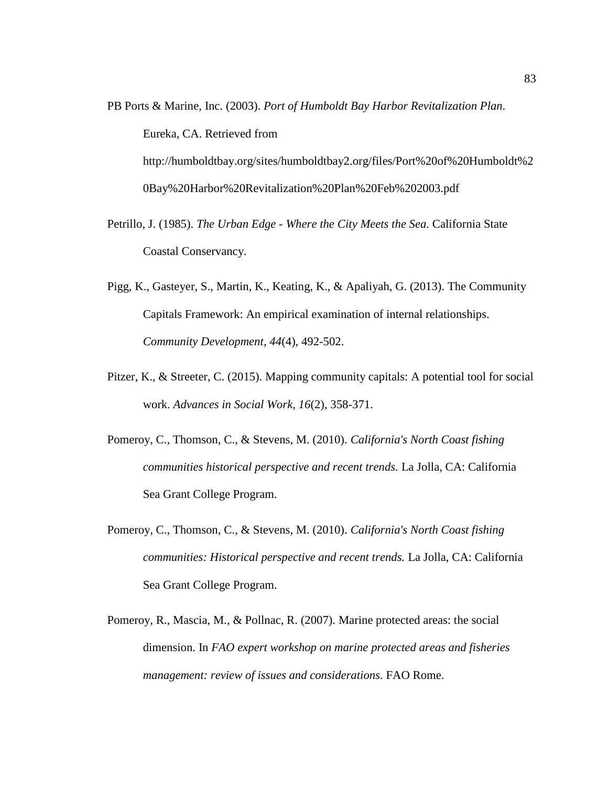- PB Ports & Marine, Inc. (2003). *Port of Humboldt Bay Harbor Revitalization Plan.* Eureka, CA. Retrieved from http://humboldtbay.org/sites/humboldtbay2.org/files/Port%20of%20Humboldt%2 0Bay%20Harbor%20Revitalization%20Plan%20Feb%202003.pdf
- Petrillo, J. (1985). *The Urban Edge - Where the City Meets the Sea.* California State Coastal Conservancy.
- Pigg, K., Gasteyer, S., Martin, K., Keating, K., & Apaliyah, G. (2013). The Community Capitals Framework: An empirical examination of internal relationships. *Community Development, 44*(4), 492-502.
- Pitzer, K., & Streeter, C. (2015). Mapping community capitals: A potential tool for social work. *Advances in Social Work, 16*(2), 358-371.
- Pomeroy, C., Thomson, C., & Stevens, M. (2010). *California's North Coast fishing communities historical perspective and recent trends.* La Jolla, CA: California Sea Grant College Program.
- Pomeroy, C., Thomson, C., & Stevens, M. (2010). *California's North Coast fishing communities: Historical perspective and recent trends.* La Jolla, CA: California Sea Grant College Program.
- Pomeroy, R., Mascia, M., & Pollnac, R. (2007). Marine protected areas: the social dimension. In *FAO expert workshop on marine protected areas and fisheries management: review of issues and considerations.* FAO Rome.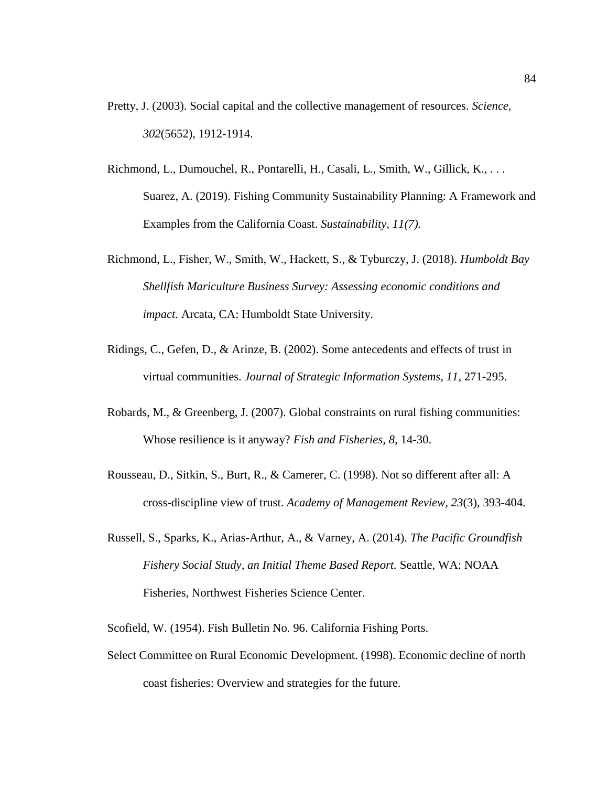- Pretty, J. (2003). Social capital and the collective management of resources. *Science, 302*(5652), 1912-1914.
- Richmond, L., Dumouchel, R., Pontarelli, H., Casali, L., Smith, W., Gillick, K., . . . Suarez, A. (2019). Fishing Community Sustainability Planning: A Framework and Examples from the California Coast. *Sustainability, 11(7).*
- Richmond, L., Fisher, W., Smith, W., Hackett, S., & Tyburczy, J. (2018). *Humboldt Bay Shellfish Mariculture Business Survey: Assessing economic conditions and impact.* Arcata, CA: Humboldt State University.
- Ridings, C., Gefen, D., & Arinze, B. (2002). Some antecedents and effects of trust in virtual communities. *Journal of Strategic Information Systems, 11*, 271-295.
- Robards, M., & Greenberg, J. (2007). Global constraints on rural fishing communities: Whose resilience is it anyway? *Fish and Fisheries, 8*, 14-30.
- Rousseau, D., Sitkin, S., Burt, R., & Camerer, C. (1998). Not so different after all: A cross-discipline view of trust. *Academy of Management Review, 23*(3), 393-404.
- Russell, S., Sparks, K., Arias-Arthur, A., & Varney, A. (2014). *The Pacific Groundfish Fishery Social Study, an Initial Theme Based Report.* Seattle, WA: NOAA Fisheries, Northwest Fisheries Science Center.

Scofield, W. (1954). Fish Bulletin No. 96. California Fishing Ports.

Select Committee on Rural Economic Development. (1998). Economic decline of north coast fisheries: Overview and strategies for the future.